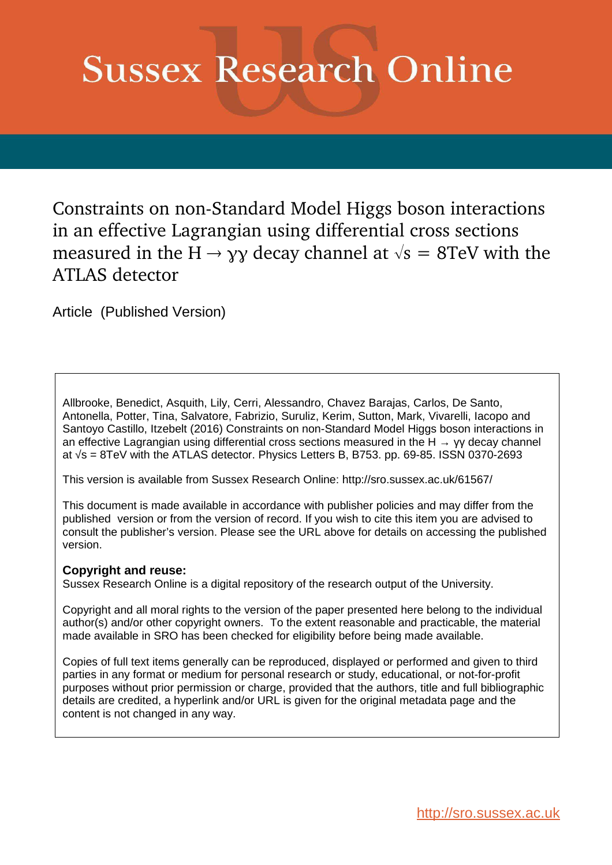# **Sussex Research Online**

Constraints on non-Standard Model Higgs boson interactions in an effective Lagrangian using differential cross sections measured in the H  $\rightarrow$  γγ decay channel at  $\sqrt{s} = 8$ TeV with the ATLAS detector

Article (Published Version)

Allbrooke, Benedict, Asquith, Lily, Cerri, Alessandro, Chavez Barajas, Carlos, De Santo, Antonella, Potter, Tina, Salvatore, Fabrizio, Suruliz, Kerim, Sutton, Mark, Vivarelli, Iacopo and Santoyo Castillo, Itzebelt (2016) Constraints on non-Standard Model Higgs boson interactions in an effective Lagrangian using differential cross sections measured in the H  $\rightarrow$  γγ decay channel at √s = 8TeV with the ATLAS detector. Physics Letters B, B753. pp. 69-85. ISSN 0370-2693

This version is available from Sussex Research Online: http://sro.sussex.ac.uk/61567/

This document is made available in accordance with publisher policies and may differ from the published version or from the version of record. If you wish to cite this item you are advised to consult the publisher's version. Please see the URL above for details on accessing the published version.

#### **Copyright and reuse:**

Sussex Research Online is a digital repository of the research output of the University.

Copyright and all moral rights to the version of the paper presented here belong to the individual author(s) and/or other copyright owners. To the extent reasonable and practicable, the material made available in SRO has been checked for eligibility before being made available.

Copies of full text items generally can be reproduced, displayed or performed and given to third parties in any format or medium for personal research or study, educational, or not-for-profit purposes without prior permission or charge, provided that the authors, title and full bibliographic details are credited, a hyperlink and/or URL is given for the original metadata page and the content is not changed in any way.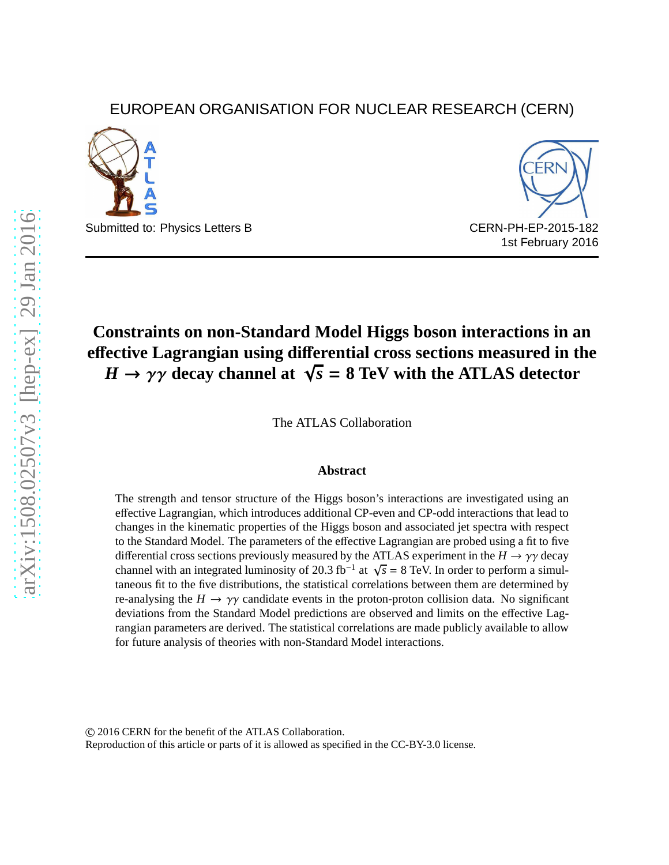# EUROPEAN ORGANISATION FOR NUCLEAR RESEARCH (CERN)



Submitted to: Physics Letters B CERN-PH-EP-2015-182



# **Constraints on non-Standard Model Higgs boson interactions in an e**ff**ective Lagrangian using di**ff**erential cross sections measured in the**  $H \rightarrow \gamma \gamma$  decay channel at  $\sqrt{s} = 8$  TeV with the ATLAS detector

The ATLAS Collaboration

#### **Abstract**

The strength and tensor structure of the Higgs boson's interactions are investigated using an effective Lagrangian, which introduces additional CP-even and CP-odd interactions that lead to changes in the kinematic properties of the Higgs boson and associated jet spectra with respect to the Standard Model. The parameters of the effective Lagrangian are probed using a fit to five differential cross sections previously measured by the ATLAS experiment in the  $H \to \gamma \gamma$  decay channel with an integrated luminosity of 20.3 fb<sup>-1</sup> at  $\sqrt{s} = 8$  TeV. In order to perform a simultaneous fit to the five distributions, the statistical correlations between them are determined by re-analysing the  $H \to \gamma\gamma$  candidate events in the proton-proton collision data. No significant deviations from the Standard Model predictions are observed and limits on the effective Lagrangian parameters are derived. The statistical correlations are made publicly available to allow for future analysis of theories with non-Standard Model interactions.

c 2016 CERN for the benefit of the ATLAS Collaboration.

Reproduction of this article or parts of it is allowed as specified in the CC-BY-3.0 license.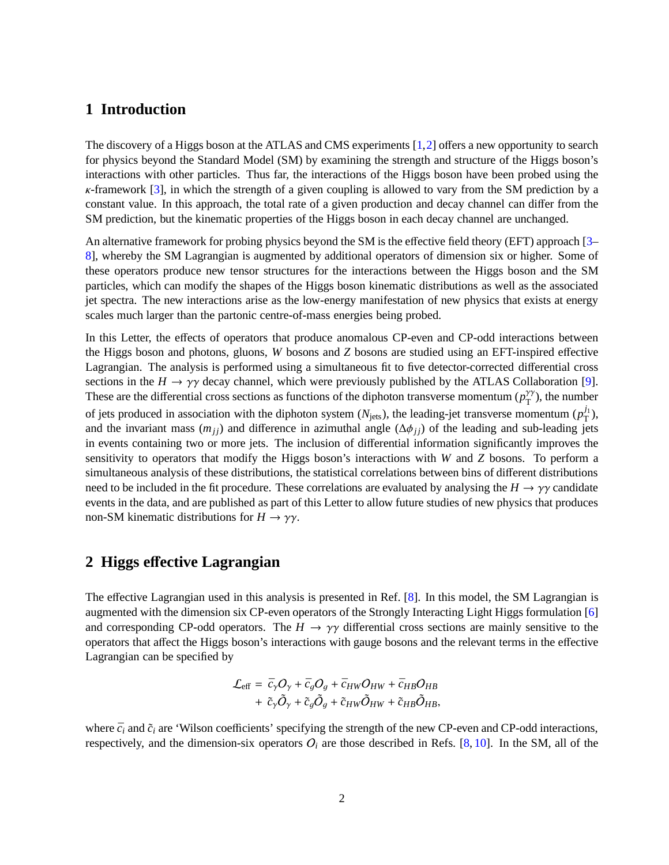### **1 Introduction**

The discovery of a Higgs boson at the ATLAS and CMS experiments [\[1,](#page-11-0)[2\]](#page-11-1) offers a new opportunity to search for physics beyond the Standard Model (SM) by examining the strength and structure of the Higgs boson's interactions with other particles. Thus far, the interactions of the Higgs boson have been probed using the  $\kappa$ -framework [\[3\]](#page-11-2), in which the strength of a given coupling is allowed to vary from the SM prediction by a constant value. In this approach, the total rate of a given production and decay channel can differ from the SM prediction, but the kinematic properties of the Higgs boson in each decay channel are unchanged.

An alternative framework for probing physics beyond the SM is the effective field theory (EFT) approach [\[3–](#page-11-2) [8\]](#page-11-3), whereby the SM Lagrangian is augmented by additional operators of dimension six or higher. Some of these operators produce new tensor structures for the interactions between the Higgs boson and the SM particles, which can modify the shapes of the Higgs boson kinematic distributions as well as the associated jet spectra. The new interactions arise as the low-energy manifestation of new physics that exists at energy scales much larger than the partonic centre-of-mass energies being probed.

In this Letter, the effects of operators that produce anomalous CP-even and CP-odd interactions between the Higgs boson and photons, gluons, *W* bosons and *Z* bosons are studied using an EFT-inspired effective Lagrangian. The analysis is performed using a simultaneous fit to five detector-corrected differential cross sections in the  $H \to \gamma \gamma$  decay channel, which were previously published by the ATLAS Collaboration [\[9\]](#page-11-4). These are the differential cross sections as functions of the diphoton transverse momentum ( $p_T^{\gamma\gamma}$  $T(T)$ , the number of jets produced in association with the diphoton system  $(N_{jets})$ , the leading-jet transverse momentum  $(p_T^j)$  $_{\rm T}^{^{J1}}$ ), and the invariant mass  $(m_{jj})$  and difference in azimuthal angle  $(\Delta \phi_{jj})$  of the leading and sub-leading jets in events containing two or more jets. The inclusion of differential information significantly improves the sensitivity to operators that modify the Higgs boson's interactions with *W* and *Z* bosons. To perform a simultaneous analysis of these distributions, the statistical correlations between bins of different distributions need to be included in the fit procedure. These correlations are evaluated by analysing the  $H \to \gamma\gamma$  candidate events in the data, and are published as part of this Letter to allow future studies of new physics that produces non-SM kinematic distributions for  $H \to \gamma \gamma$ .

#### **2 Higgs e**ff**ective Lagrangian**

The effective Lagrangian used in this analysis is presented in Ref. [\[8\]](#page-11-3). In this model, the SM Lagrangian is augmented with the dimension six CP-even operators of the Strongly Interacting Light Higgs formulation [\[6\]](#page-11-5) and corresponding CP-odd operators. The  $H \to \gamma \gamma$  differential cross sections are mainly sensitive to the operators that affect the Higgs boson's interactions with gauge bosons and the relevant terms in the effective Lagrangian can be specified by

$$
\mathcal{L}_{\text{eff}} = \bar{c}_{\gamma}O_{\gamma} + \bar{c}_{g}O_{g} + \bar{c}_{HW}O_{HW} + \bar{c}_{HB}O_{HB} \n+ \tilde{c}_{\gamma}\tilde{O}_{\gamma} + \tilde{c}_{g}\tilde{O}_{g} + \tilde{c}_{HW}\tilde{O}_{HW} + \tilde{c}_{HB}\tilde{O}_{HB},
$$

<span id="page-2-0"></span>where  $\bar{c}_i$  and  $\tilde{c}_i$  are 'Wilson coefficients' specifying the strength of the new CP-even and CP-odd interactions, respectively, and the dimension-six operators  $O_i$  are those described in Refs. [\[8,](#page-11-3) [10\]](#page-11-6). In the SM, all of the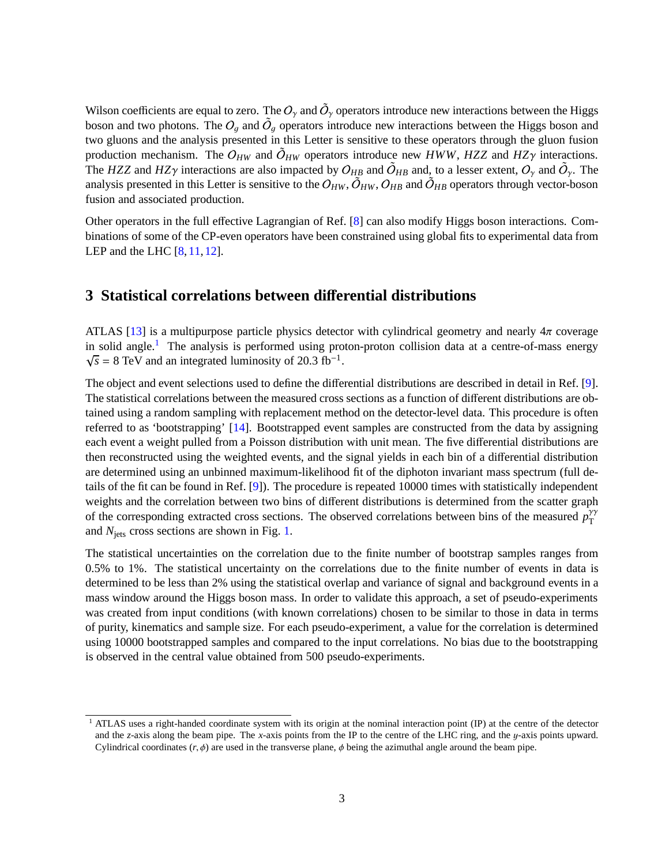<span id="page-3-0"></span>Wilson coefficients are equal to zero. The  $O_\gamma$  and  $\tilde{O}_\gamma$  operators introduce new interactions between the Higgs boson and two photons. The  $O_g$  and  $\tilde{O}_g$  operators introduce new interactions between the Higgs boson and two gluons and the analysis presented in this Letter is sensitive to these operators through the gluon fusion production mechanism. The  $O_{HW}$  and  $\tilde{O}_{HW}$  operators introduce new *HWW*, *HZZ* and *HZ* $\gamma$  interactions. The *HZZ* and *HZ* $\gamma$  interactions are also impacted by  $O_{HB}$  and  $\tilde{O}_{HB}$  and, to a lesser extent,  $O_{\gamma}$  and  $\tilde{O}_{\gamma}$ . The analysis presented in this Letter is sensitive to the  $O_{HW}$ ,  $\tilde{O}_{HW}$ ,  $O_{HB}$  and  $\tilde{O}_{HB}$  operators through vector-boson fusion and associated production.

Other operators in the full effective Lagrangian of Ref. [\[8\]](#page-11-3) can also modify Higgs boson interactions. Combinations of some of the CP-even operators have been constrained using global fits to experimental data from LEP and the LHC [\[8,](#page-11-3) [11,](#page-11-7) [12\]](#page-11-8).

# **3 Statistical correlations between di**ff**erential distributions**

ATLAS [\[13\]](#page-11-9) is a multipurpose particle physics detector with cylindrical geometry and nearly  $4\pi$  coverage in solid angle.<sup>[1](#page-2-0)</sup> The analysis is performed using proton-proton collision data at a centre-of-mass energy  $\sqrt{s}$  = 8 TeV and an integrated luminosity of 20.3 fb<sup>-1</sup>.

The object and event selections used to define the differential distributions are described in detail in Ref. [\[9\]](#page-11-4). The statistical correlations between the measured cross sections as a function of different distributions are obtained using a random sampling with replacement method on the detector-level data. This procedure is often referred to as 'bootstrapping' [\[14\]](#page-11-10). Bootstrapped event samples are constructed from the data by assigning each event a weight pulled from a Poisson distribution with unit mean. The five differential distributions are then reconstructed using the weighted events, and the signal yields in each bin of a differential distribution are determined using an unbinned maximum-likelihood fit of the diphoton invariant mass spectrum (full details of the fit can be found in Ref. [\[9\]](#page-11-4)). The procedure is repeated 10000 times with statistically independent weights and the correlation between two bins of different distributions is determined from the scatter graph of the corresponding extracted cross sections. The observed correlations between bins of the measured  $p_T^{\gamma\gamma}$ T and *N*jets cross sections are shown in Fig. [1.](#page-3-0)

The statistical uncertainties on the correlation due to the finite number of bootstrap samples ranges from 0.5% to 1%. The statistical uncertainty on the correlations due to the finite number of events in data is determined to be less than 2% using the statistical overlap and variance of signal and background events in a mass window around the Higgs boson mass. In order to validate this approach, a set of pseudo-experiments was created from input conditions (with known correlations) chosen to be similar to those in data in terms of purity, kinematics and sample size. For each pseudo-experiment, a value for the correlation is determined using 10000 bootstrapped samples and compared to the input correlations. No bias due to the bootstrapping is observed in the central value obtained from 500 pseudo-experiments.

<span id="page-3-1"></span><sup>&</sup>lt;sup>1</sup> ATLAS uses a right-handed coordinate system with its origin at the nominal interaction point (IP) at the centre of the detector and the *z*-axis along the beam pipe. The *x*-axis points from the IP to the centre of the LHC ring, and the y-axis points upward. Cylindrical coordinates  $(r, \phi)$  are used in the transverse plane,  $\phi$  being the azimuthal angle around the beam pipe.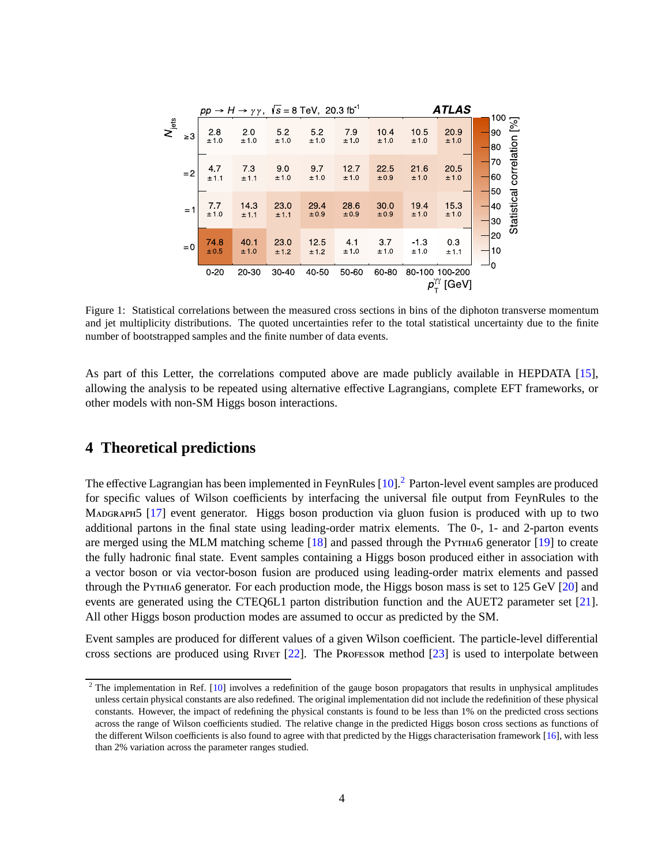|                | $pp \rightarrow H \rightarrow \gamma \gamma$ , $\sqrt{s} = 8 \text{ TeV}$ , 20.3 fb <sup>-1</sup> |                                               |              |                        |                        |              |              | <b>ATLAS</b><br>100 |                                                                                              |  |                |                         |
|----------------|---------------------------------------------------------------------------------------------------|-----------------------------------------------|--------------|------------------------|------------------------|--------------|--------------|---------------------|----------------------------------------------------------------------------------------------|--|----------------|-------------------------|
| $N_{\rm jets}$ | $\geq 3$                                                                                          | $2.8$<br>$± 1.0$                              | 2.0<br>±1.0  | 52<br>±1.0             | 5.2<br>±10             | 79<br>±1.0   | 10.4<br>±10  | 10.5<br>±1.0        | 20.9<br>±10                                                                                  |  | 90<br>80       | [%]                     |
|                | $=2$                                                                                              | 4.7<br>±1.1                                   | 73<br>±1.1   | 9 <sub>0</sub><br>±1.0 | 97<br>±10              | 12.7<br>±10  | 22.5<br>±0.9 | 21.6<br>±1.0        | 20.5<br>±10                                                                                  |  | 70<br>60<br>50 |                         |
|                |                                                                                                   | $\begin{array}{c} 7.7 \\ \pm 1.0 \end{array}$ | 143<br>±1.1  | 23.0<br>±1.1           | 29.4<br>±0.9           | 28.6<br>±0.9 | 30.0<br>±0.9 | 19.4<br>±10         | 15.3<br>±10                                                                                  |  | 40<br> 30      | Statistical correlation |
|                | $= 0$                                                                                             | 74.8<br>±0.5                                  | 40.1<br>±1.0 | 23.0<br>±12            | 12 <sub>5</sub><br>±12 | 4.1<br>±1.0  | 37<br>±1.0   | $-13$<br>±1.0       | 0.3<br>±1.1                                                                                  |  | 20<br>10       |                         |
|                |                                                                                                   | $0 - 20$                                      | 20 30        | 30-40                  | 40 50                  | 50 60        | 60 80        |                     | 80-100 100-200<br>$\rho_{\scriptscriptstyle \sf T}^{\scriptscriptstyle \sf{\tiny YY}}$ [GeV] |  |                |                         |

Figure 1: Statistical correlations between the measured cross sections in bins of the diphoton transverse momentum and jet multiplicity distributions. The quoted uncertainties refer to the total statistical uncertainty due to the finite number of bootstrapped samples and the finite number of data events.

As part of this Letter, the correlations computed above are made publicly available in HEPDATA [\[15\]](#page-11-11), allowing the analysis to be repeated using alternative effective Lagrangians, complete EFT frameworks, or other models with non-SM Higgs boson interactions.

#### **4 Theoretical predictions**

The effective Lagrangian has been implemented in FeynRules [\[10\]](#page-11-6).<sup>[2](#page-3-1)</sup> Parton-level event samples are produced for specific values of Wilson coefficients by interfacing the universal file output from FeynRules to the Madgraph5 [\[17\]](#page-11-12) event generator. Higgs boson production via gluon fusion is produced with up to two additional partons in the final state using leading-order matrix elements. The 0-, 1- and 2-parton events are merged using the MLM matching scheme [\[18\]](#page-11-13) and passed through the Pythia6 generator [\[19\]](#page-11-14) to create the fully hadronic final state. Event samples containing a Higgs boson produced either in association with a vector boson or via vector-boson fusion are produced using leading-order matrix elements and passed through the Pythia6 generator. For each production mode, the Higgs boson mass is set to 125 GeV [\[20\]](#page-11-15) and events are generated using the CTEQ6L1 parton distribution function and the AUET2 parameter set [\[21\]](#page-11-16). All other Higgs boson production modes are assumed to occur as predicted by the SM.

Event samples are produced for different values of a given Wilson coefficient. The particle-level differential cross sections are produced using Rivet [\[22\]](#page-11-17). The Professor method [\[23\]](#page-12-0) is used to interpolate between

 $2$  The implementation in Ref. [\[10\]](#page-11-6) involves a redefinition of the gauge boson propagators that results in unphysical amplitudes unless certain physical constants are also redefined. The original implementation did not include the redefinition of these physical constants. However, the impact of redefining the physical constants is found to be less than 1% on the predicted cross sections across the range of Wilson coefficients studied. The relative change in the predicted Higgs boson cross sections as functions of the different Wilson coefficients is also found to agree with that predicted by the Higgs characterisation framework [\[16\]](#page-11-18), with less than 2% variation across the parameter ranges studied.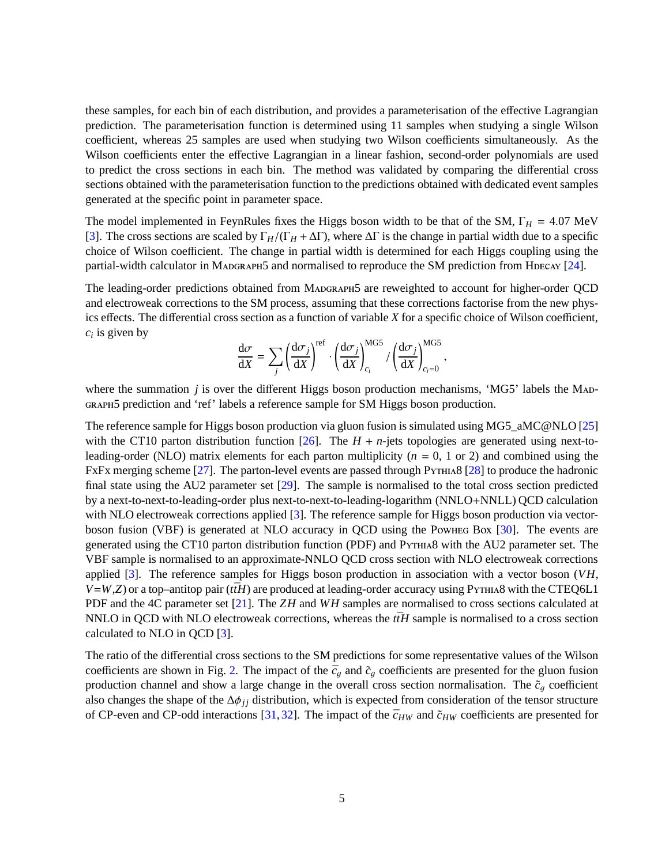<span id="page-5-0"></span>these samples, for each bin of each distribution, and provides a parameterisation of the effective Lagrangian prediction. The parameterisation function is determined using 11 samples when studying a single Wilson coefficient, whereas 25 samples are used when studying two Wilson coefficients simultaneously. As the Wilson coefficients enter the effective Lagrangian in a linear fashion, second-order polynomials are used to predict the cross sections in each bin. The method was validated by comparing the differential cross sections obtained with the parameterisation function to the predictions obtained with dedicated event samples generated at the specific point in parameter space.

The model implemented in FeynRules fixes the Higgs boson width to be that of the SM,  $\Gamma_H = 4.07$  MeV [\[3\]](#page-11-2). The cross sections are scaled by Γ*H*/(Γ*<sup>H</sup>* + ∆Γ), where ∆Γ is the change in partial width due to a specific choice of Wilson coefficient. The change in partial width is determined for each Higgs coupling using the partial-width calculator in MADGRAPH5 and normalised to reproduce the SM prediction from HDECAY  $[24]$ .

The leading-order predictions obtained from Madgraph5 are reweighted to account for higher-order QCD and electroweak corrections to the SM process, assuming that these corrections factorise from the new physics effects. The differential cross section as a function of variable *X* for a specific choice of Wilson coefficient, *ci* is given by

$$
\frac{\mathrm{d}\sigma}{\mathrm{d}X} = \sum_j \left(\frac{\mathrm{d}\sigma_j}{\mathrm{d}X}\right)^{\mathrm{ref}} \cdot \left(\frac{\mathrm{d}\sigma_j}{\mathrm{d}X}\right)_{c_i}^{\mathrm{MGS}} / \left(\frac{\mathrm{d}\sigma_j}{\mathrm{d}X}\right)_{c_i=0}^{\mathrm{MGS}},
$$

where the summation *j* is over the different Higgs boson production mechanisms, 'MG5' labels the MaDgraph5 prediction and 'ref' labels a reference sample for SM Higgs boson production.

<span id="page-5-2"></span>The reference sample for Higgs boson production via gluon fusion is simulated using MG5\_aMC@NLO [\[25\]](#page-12-2) with the CT10 parton distribution function [\[26\]](#page-12-3). The  $H + n$ -jets topologies are generated using next-toleading-order (NLO) matrix elements for each parton multiplicity (*n* = 0, 1 or 2) and combined using the FxFx merging scheme [\[27\]](#page-12-4). The parton-level events are passed through Pythia8 [\[28\]](#page-12-5) to produce the hadronic final state using the AU2 parameter set [\[29\]](#page-12-6). The sample is normalised to the total cross section predicted by a next-to-next-to-leading-order plus next-to-next-to-leading-logarithm (NNLO+NNLL) QCD calculation with NLO electroweak corrections applied [\[3\]](#page-11-2). The reference sample for Higgs boson production via vectorboson fusion (VBF) is generated at NLO accuracy in QCD using the Powheg Box [\[30\]](#page-12-7). The events are generated using the CT10 parton distribution function (PDF) and Pythia8 with the AU2 parameter set. The VBF sample is normalised to an approximate-NNLO QCD cross section with NLO electroweak corrections applied [\[3\]](#page-11-2). The reference samples for Higgs boson production in association with a vector boson (*VH*,  $V=$ *W*,*Z*) or a top–antitop pair (*t* $\overline{t}H$ ) are produced at leading-order accuracy using Pythia8 with the CTEQ6L1 PDF and the 4C parameter set [\[21\]](#page-11-16). The *ZH* and *WH* samples are normalised to cross sections calculated at NNLO in QCD with NLO electroweak corrections, whereas the  $t\bar{t}H$  sample is normalised to a cross section calculated to NLO in QCD [\[3\]](#page-11-2).

<span id="page-5-1"></span>The ratio of the differential cross sections to the SM predictions for some representative values of the Wilson coefficients are shown in Fig. [2.](#page-5-0) The impact of the  $\bar{c}_g$  and  $\tilde{c}_g$  coefficients are presented for the gluon fusion production channel and show a large change in the overall cross section normalisation. The  $\tilde{c}_q$  coefficient also changes the shape of the  $\Delta\phi_{jj}$  distribution, which is expected from consideration of the tensor structure of CP-even and CP-odd interactions [\[31,](#page-12-8) [32\]](#page-12-9). The impact of the  $\bar{c}_{HW}$  and  $\tilde{c}_{HW}$  coefficients are presented for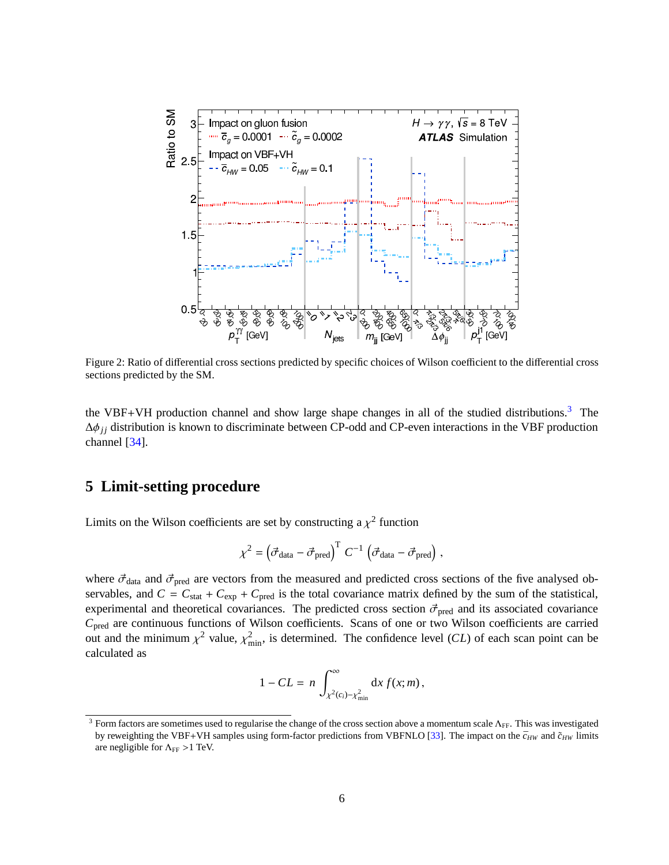<span id="page-6-1"></span>

Figure 2: Ratio of differential cross sections predicted by specific choices of Wilson coefficient to the differential cross sections predicted by the SM.

the VBF+VH production channel and show large shape changes in all of the studied distributions.<sup>[3](#page-5-1)</sup> The ∆φ*j j* distribution is known to discriminate between CP-odd and CP-even interactions in the VBF production channel [\[34\]](#page-12-10).

#### **5 Limit-setting procedure**

Limits on the Wilson coefficients are set by constructing a  $\chi^2$  function

$$
\chi^2 = \left(\vec{\sigma}_{\text{data}} - \vec{\sigma}_{\text{pred}}\right)^T C^{-1} \left(\vec{\sigma}_{\text{data}} - \vec{\sigma}_{\text{pred}}\right),
$$

where  $\vec{\sigma}_{data}$  and  $\vec{\sigma}_{pred}$  are vectors from the measured and predicted cross sections of the five analysed observables, and  $C = C_{stat} + C_{exp} + C_{pred}$  is the total covariance matrix defined by the sum of the statistical, experimental and theoretical covariances. The predicted cross section  $\vec{\sigma}_{pred}$  and its associated covariance *C*pred are continuous functions of Wilson coefficients. Scans of one or two Wilson coefficients are carried out and the minimum  $\chi^2$  value,  $\chi^2_{\text{min}}$ , is determined. The confidence level (*CL*) of each scan point can be calculated as

$$
1 - CL = n \int_{\chi^2(c_i) - \chi^2_{\min}}^{\infty} dx f(x; m),
$$

<span id="page-6-0"></span><sup>&</sup>lt;sup>3</sup> Form factors are sometimes used to regularise the change of the cross section above a momentum scale  $\Lambda_{FF}$ . This was investigated by reweighting the VBF+VH samples using form-factor predictions from VBFNLO [\[33\]](#page-12-11). The impact on the  $\bar{c}_{HW}$  and  $\tilde{c}_{HW}$  limits are negligible for  $\Lambda_{FF} > 1$  TeV.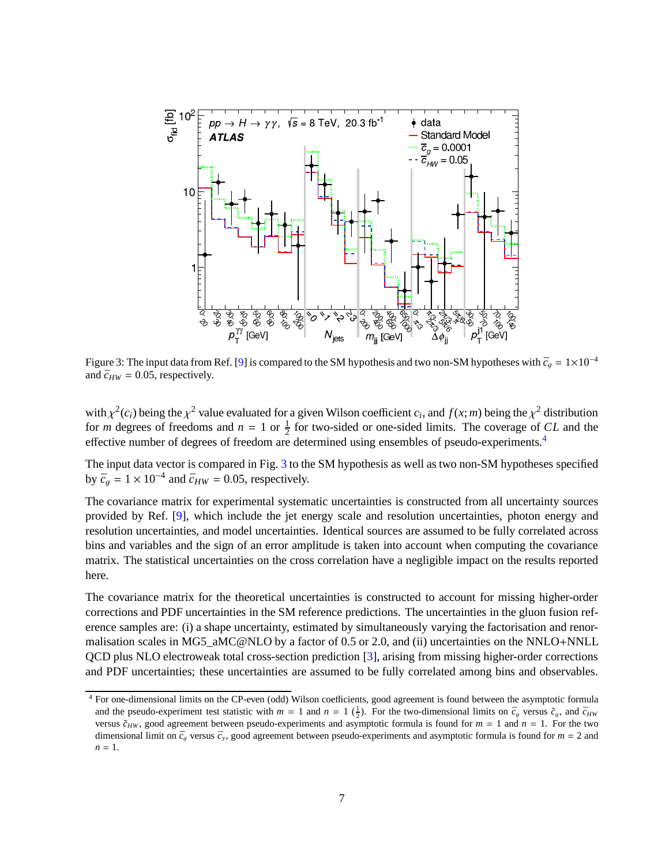<span id="page-7-0"></span>

Figure 3: The input data from Ref. [\[9\]](#page-11-4) is compared to the SM hypothesis and two non-SM hypotheses with  $\bar{c}_q = 1 \times 10^{-4}$ and  $\bar{c}_{HW} = 0.05$ , respectively.

with  $\chi^2(c_i)$  being the  $\chi^2$  value evaluated for a given Wilson coefficient  $c_i$ , and  $f(x; m)$  being the  $\chi^2$  distribution for *m* degrees of freedoms and  $n = 1$  or  $\frac{1}{2}$  for two-sided or one-sided limits. The coverage of *CL* and the effective number of degrees of freedom are determined using ensembles of pseudo-experiments.[4](#page-6-0)

The input data vector is compared in Fig. [3](#page-6-1) to the SM hypothesis as well as two non-SM hypotheses specified by  $\bar{c}_g = 1 \times 10^{-4}$  and  $\bar{c}_{HW} = 0.05$ , respectively.

The covariance matrix for experimental systematic uncertainties is constructed from all uncertainty sources provided by Ref. [\[9\]](#page-11-4), which include the jet energy scale and resolution uncertainties, photon energy and resolution uncertainties, and model uncertainties. Identical sources are assumed to be fully correlated across bins and variables and the sign of an error amplitude is taken into account when computing the covariance matrix. The statistical uncertainties on the cross correlation have a negligible impact on the results reported here.

The covariance matrix for the theoretical uncertainties is constructed to account for missing higher-order corrections and PDF uncertainties in the SM reference predictions. The uncertainties in the gluon fusion reference samples are: (i) a shape uncertainty, estimated by simultaneously varying the factorisation and renormalisation scales in MG5\_aMC@NLO by a factor of 0.5 or 2.0, and (ii) uncertainties on the NNLO+NNLL QCD plus NLO electroweak total cross-section prediction [\[3\]](#page-11-2), arising from missing higher-order corrections and PDF uncertainties; these uncertainties are assumed to be fully correlated among bins and observables.

<sup>4</sup> For one-dimensional limits on the CP-even (odd) Wilson coefficients, good agreement is found between the asymptotic formula and the pseudo-experiment test statistic with  $m = 1$  and  $n = 1$  ( $\frac{1}{2}$ ). For the two-dimensional limits on  $\bar{c}_g$  versus  $\tilde{c}_g$ , and  $\bar{c}_{HW}$ versus  $\tilde{c}_{HW}$ , good agreement between pseudo-experiments and asymptotic formula is found for  $m = 1$  and  $n = 1$ . For the two dimensional limit on  $\bar{c}_g$  versus  $\bar{c}_\gamma$ , good agreement between pseudo-experiments and asymptotic formula is found for  $m = 2$  and  $n = 1$ .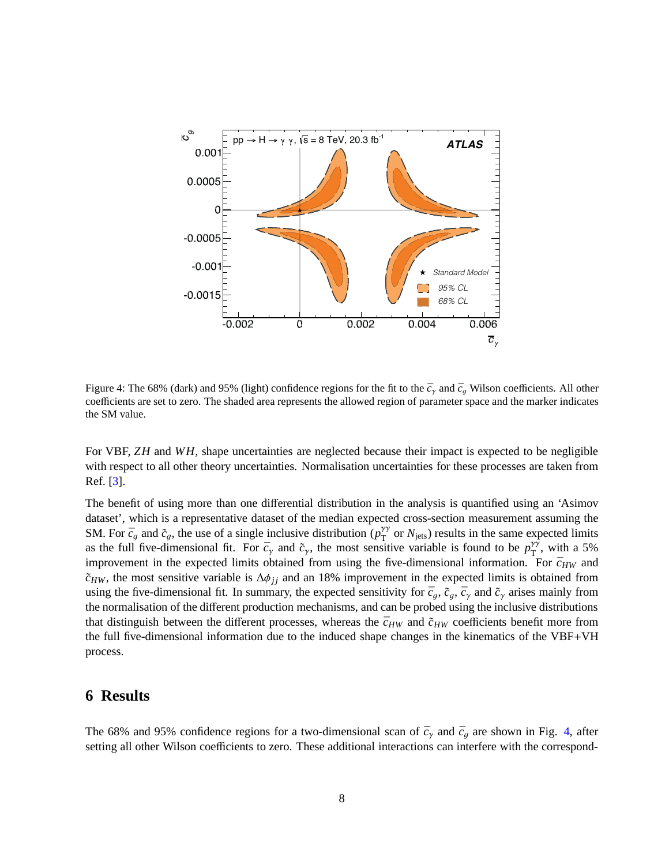<span id="page-8-0"></span>

Figure 4: The 68% (dark) and 95% (light) confidence regions for the fit to the  $\bar{c}_\gamma$  and  $\bar{c}_\alpha$  Wilson coefficients. All other coefficients are set to zero. The shaded area represents the allowed region of parameter space and the marker indicates the SM value.

For VBF, *ZH* and *WH*, shape uncertainties are neglected because their impact is expected to be negligible with respect to all other theory uncertainties. Normalisation uncertainties for these processes are taken from Ref. [\[3\]](#page-11-2).

The benefit of using more than one differential distribution in the analysis is quantified using an 'Asimov dataset', which is a representative dataset of the median expected cross-section measurement assuming the SM. For  $\bar{c}_g$  and  $\tilde{c}_g$ , the use of a single inclusive distribution  $(\rho_{\rm T}^{\gamma\gamma})$  $T_{\text{T}}^{\gamma\gamma}$  or  $N_{\text{jets}}$ ) results in the same expected limits as the full five-dimensional fit. For  $\bar{c}_{\gamma}$  and  $\tilde{c}_{\gamma}$ , the most sensitive variable is found to be  $p_T^{\gamma\gamma}$  $T^{\gamma}$ , with a 5% improvement in the expected limits obtained from using the five-dimensional information. For  $\bar{c}_{HW}$  and  $\tilde{c}_{HW}$ , the most sensitive variable is  $\Delta \phi_{jj}$  and an 18% improvement in the expected limits is obtained from using the five-dimensional fit. In summary, the expected sensitivity for  $\bar{c}_q$ ,  $\bar{c}_q$ ,  $\bar{c}_q$ , and  $\tilde{c}_\gamma$  arises mainly from the normalisation of the different production mechanisms, and can be probed using the inclusive distributions that distinguish between the different processes, whereas the  $\bar{c}_{HW}$  and  $\tilde{c}_{HW}$  coefficients benefit more from the full five-dimensional information due to the induced shape changes in the kinematics of the VBF+VH process.

#### **6 Results**

<span id="page-8-1"></span>The 68% and 95% confidence regions for a two-dimensional scan of  $\bar{c}_{\gamma}$  and  $\bar{c}_{g}$  are shown in Fig. [4,](#page-7-0) after setting all other Wilson coefficients to zero. These additional interactions can interfere with the correspond-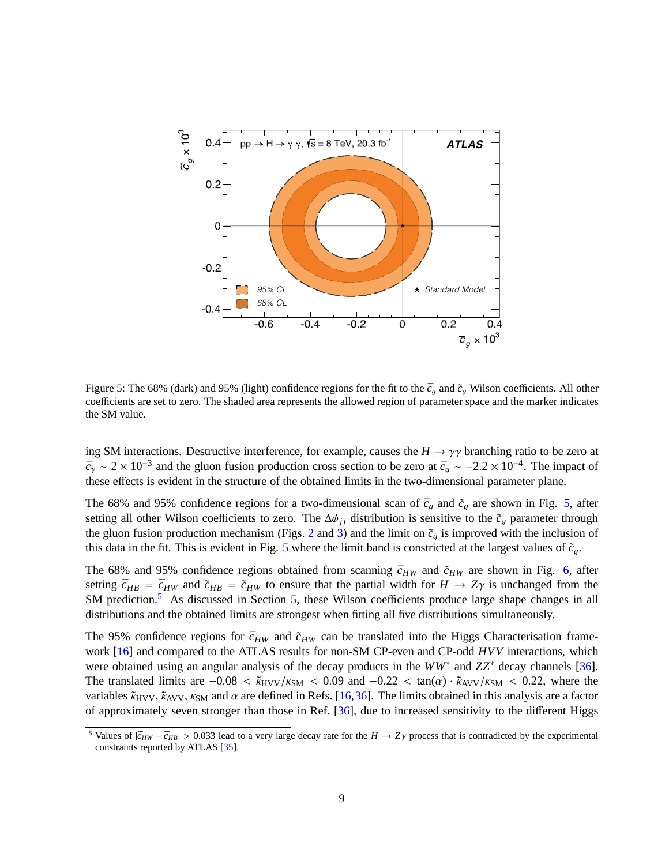<span id="page-9-0"></span>

Figure 5: The 68% (dark) and 95% (light) confidence regions for the fit to the  $\bar{c}_q$  and  $\tilde{c}_q$  Wilson coefficients. All other coefficients are set to zero. The shaded area represents the allowed region of parameter space and the marker indicates the SM value.

ing SM interactions. Destructive interference, for example, causes the  $H \rightarrow \gamma \gamma$  branching ratio to be zero at  $\bar{c}_\gamma \sim 2 \times 10^{-3}$  and the gluon fusion production cross section to be zero at  $\bar{c}_g \sim -2.2 \times 10^{-4}$ . The impact of these effects is evident in the structure of the obtained limits in the two-dimensional parameter plane.

The 68% and 95% confidence regions for a two-dimensional scan of  $\bar{c}_g$  and  $\tilde{c}_g$  are shown in Fig. [5,](#page-8-0) after setting all other Wilson coefficients to zero. The  $\Delta\phi_{jj}$  distribution is sensitive to the  $\tilde{c}_g$  parameter through the gluon fusion production mechanism (Figs. [2](#page-5-0) and [3\)](#page-6-1) and the limit on  $\tilde{c}_q$  is improved with the inclusion of this data in the fit. This is evident in Fig. [5](#page-8-0) where the limit band is constricted at the largest values of  $\tilde{c}_q$ .

The 68% and 95% confidence regions obtained from scanning  $\bar{c}_{HW}$  and  $\tilde{c}_{HW}$  are shown in Fig. [6,](#page-9-0) after setting  $\bar{c}_{HB} = \bar{c}_{HW}$  and  $\tilde{c}_{HB} = \tilde{c}_{HW}$  to ensure that the partial width for  $H \to Z\gamma$  is unchanged from the SM prediction.<sup>[5](#page-8-1)</sup> As discussed in Section [5,](#page-5-2) these Wilson coefficients produce large shape changes in all distributions and the obtained limits are strongest when fitting all five distributions simultaneously.

The 95% confidence regions for  $\bar{c}_{HW}$  and  $\tilde{c}_{HW}$  can be translated into the Higgs Characterisation frame-work [\[16\]](#page-11-18) and compared to the ATLAS results for non-SM CP-even and CP-odd *HVV* interactions, which were obtained using an angular analysis of the decay products in the *WW*<sup>∗</sup> and *ZZ*<sup>∗</sup> decay channels [\[36\]](#page-12-12). The translated limits are  $-0.08 < \tilde{\kappa}_{HVV}/\kappa_{SM} < 0.09$  and  $-0.22 < \tan(\alpha) \cdot \tilde{\kappa}_{AVV}/\kappa_{SM} < 0.22$ , where the variables  $\tilde{\kappa}_{\text{HVV}}$ ,  $\tilde{\kappa}_{\text{AVV}}$ ,  $\kappa_{\text{SM}}$  and  $\alpha$  are defined in Refs. [\[16,](#page-11-18)[36\]](#page-12-12). The limits obtained in this analysis are a factor of approximately seven stronger than those in Ref. [\[36\]](#page-12-12), due to increased sensitivity to the different Higgs

<sup>&</sup>lt;sup>5</sup> Values of  $|\bar{c}_{HW} - \bar{c}_{HB}| > 0.033$  lead to a very large decay rate for the  $H \rightarrow Z\gamma$  process that is contradicted by the experimental constraints reported by ATLAS [\[35\]](#page-12-13).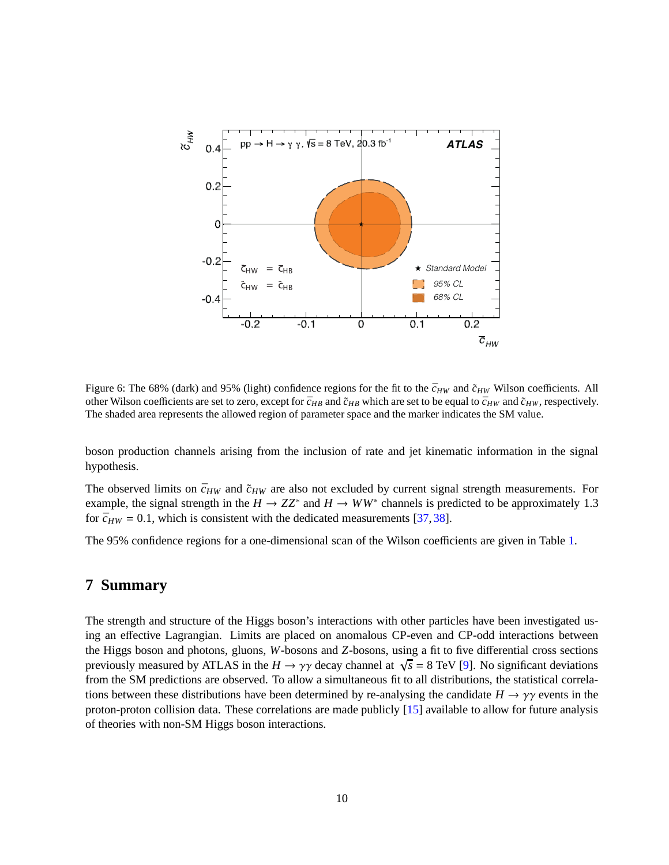<span id="page-10-0"></span>

Figure 6: The 68% (dark) and 95% (light) confidence regions for the fit to the  $\bar{c}_{HW}$  and  $\tilde{c}_{HW}$  Wilson coefficients. All other Wilson coefficients are set to zero, except for  $\bar{c}_{HB}$  and  $\tilde{c}_{HB}$  which are set to be equal to  $\bar{c}_{HW}$  and  $\tilde{c}_{HW}$ , respectively. The shaded area represents the allowed region of parameter space and the marker indicates the SM value.

boson production channels arising from the inclusion of rate and jet kinematic information in the signal hypothesis.

The observed limits on  $\bar{c}_{HW}$  and  $\tilde{c}_{HW}$  are also not excluded by current signal strength measurements. For example, the signal strength in the  $H \to ZZ^*$  and  $H \to WW^*$  channels is predicted to be approximately 1.3 for  $\bar{c}_{HW} = 0.1$ , which is consistent with the dedicated measurements [\[37,](#page-12-14) [38\]](#page-12-15).

The 95% confidence regions for a one-dimensional scan of the Wilson coefficients are given in Table [1.](#page-10-0)

# **7 Summary**

The strength and structure of the Higgs boson's interactions with other particles have been investigated using an effective Lagrangian. Limits are placed on anomalous CP-even and CP-odd interactions between the Higgs boson and photons, gluons, *W*-bosons and *Z*-bosons, using a fit to five differential cross sections previously measured by ATLAS in the  $H \to \gamma\gamma$  decay channel at  $\sqrt{s} = 8$  TeV [\[9\]](#page-11-4). No significant deviations from the SM predictions are observed. To allow a simultaneous fit to all distributions, the statistical correlations between these distributions have been determined by re-analysing the candidate  $H \to \gamma\gamma$  events in the proton-proton collision data. These correlations are made publicly [\[15\]](#page-11-11) available to allow for future analysis of theories with non-SM Higgs boson interactions.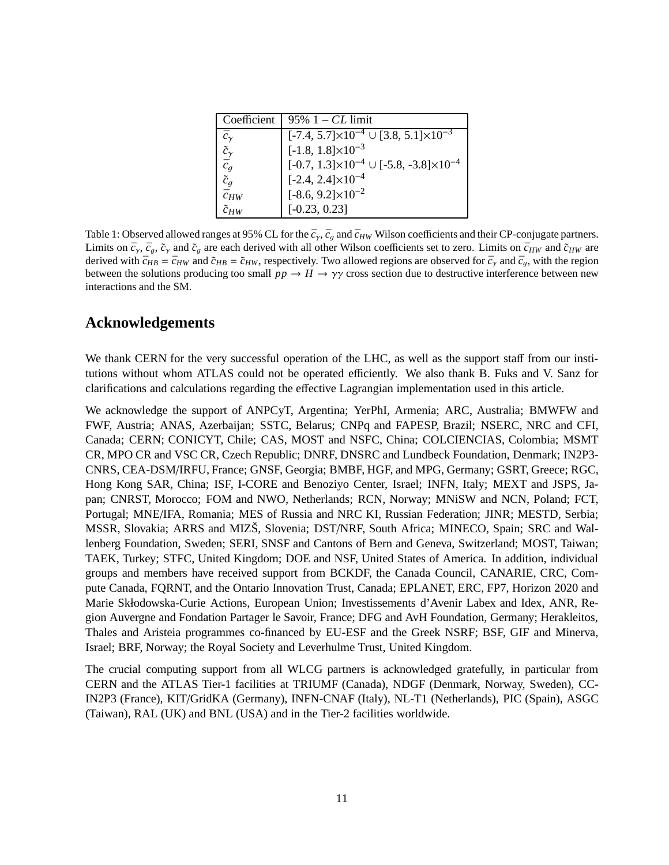| Coefficient          | 95% $1 - CL$ limit                                            |  |  |  |  |  |
|----------------------|---------------------------------------------------------------|--|--|--|--|--|
| $\bar{c}_{\gamma}$   | $[-7.4, 5.7] \times 10^{-4} \cup [3.8, 5.1] \times 10^{-3}$   |  |  |  |  |  |
| $\tilde{c}_{\gamma}$ | $[-1.8, 1.8] \times 10^{-3}$                                  |  |  |  |  |  |
| $\bar{c}_g$          | $[-0.7, 1.3] \times 10^{-4} \cup [-5.8, -3.8] \times 10^{-4}$ |  |  |  |  |  |
| $\tilde{c}_g$        | $[-2.4, 2.4] \times 10^{-4}$                                  |  |  |  |  |  |
| $\bar{c}_{HW}$       | $[-8.6, 9.2] \times 10^{-2}$                                  |  |  |  |  |  |
| $\tilde{c}_{HW}$     | $[-0.23, 0.23]$                                               |  |  |  |  |  |

<span id="page-11-5"></span><span id="page-11-2"></span><span id="page-11-1"></span><span id="page-11-0"></span>Table 1: Observed allowed ranges at 95% CL for the  $\bar{c}_\gamma$ ,  $\bar{c}_q$  and  $\bar{c}_{HW}$  Wilson coefficients and their CP-conjugate partners. Limits on  $\bar{c}_\gamma$ ,  $\bar{c}_g$ ,  $\tilde{c}_\gamma$  and  $\tilde{c}_g$  are each derived with all other Wilson coefficients set to zero. Limits on  $\bar{c}_{HW}$  and  $\tilde{c}_{HW}$  are derived with  $\bar{c}_{HB} = \bar{c}_{HW}$  and  $\tilde{c}_{HB} = \tilde{c}_{HW}$ , respectively. Two allowed regions are observed for  $\bar{c}_{\gamma}$  and  $\bar{c}_{q}$ , with the region between the solutions producing too small  $pp \to H \to \gamma\gamma$  cross section due to destructive interference between new interactions and the SM.

# <span id="page-11-3"></span>**Acknowledgements**

<span id="page-11-6"></span><span id="page-11-4"></span>We thank CERN for the very successful operation of the LHC, as well as the support staff from our institutions without whom ATLAS could not be operated efficiently. We also thank B. Fuks and V. Sanz for clarifications and calculations regarding the effective Lagrangian implementation used in this article.

<span id="page-11-18"></span><span id="page-11-12"></span><span id="page-11-11"></span><span id="page-11-10"></span><span id="page-11-9"></span><span id="page-11-8"></span><span id="page-11-7"></span>We acknowledge the support of ANPCyT, Argentina; YerPhI, Armenia; ARC, Australia; BMWFW and FWF, Austria; ANAS, Azerbaijan; SSTC, Belarus; CNPq and FAPESP, Brazil; NSERC, NRC and CFI, Canada; CERN; CONICYT, Chile; CAS, MOST and NSFC, China; COLCIENCIAS, Colombia; MSMT CR, MPO CR and VSC CR, Czech Republic; DNRF, DNSRC and Lundbeck Foundation, Denmark; IN2P3- CNRS, CEA-DSM/IRFU, France; GNSF, Georgia; BMBF, HGF, and MPG, Germany; GSRT, Greece; RGC, Hong Kong SAR, China; ISF, I-CORE and Benoziyo Center, Israel; INFN, Italy; MEXT and JSPS, Japan; CNRST, Morocco; FOM and NWO, Netherlands; RCN, Norway; MNiSW and NCN, Poland; FCT, Portugal; MNE/IFA, Romania; MES of Russia and NRC KI, Russian Federation; JINR; MESTD, Serbia; MSSR, Slovakia; ARRS and MIZŠ, Slovenia; DST/NRF, South Africa; MINECO, Spain; SRC and Wallenberg Foundation, Sweden; SERI, SNSF and Cantons of Bern and Geneva, Switzerland; MOST, Taiwan; TAEK, Turkey; STFC, United Kingdom; DOE and NSF, United States of America. In addition, individual groups and members have received support from BCKDF, the Canada Council, CANARIE, CRC, Compute Canada, FQRNT, and the Ontario Innovation Trust, Canada; EPLANET, ERC, FP7, Horizon 2020 and Marie Skłodowska-Curie Actions, European Union; Investissements d'Avenir Labex and Idex, ANR, Region Auvergne and Fondation Partager le Savoir, France; DFG and AvH Foundation, Germany; Herakleitos, Thales and Aristeia programmes co-financed by EU-ESF and the Greek NSRF; BSF, GIF and Minerva, Israel; BRF, Norway; the Royal Society and Leverhulme Trust, United Kingdom.

<span id="page-11-17"></span><span id="page-11-16"></span><span id="page-11-15"></span><span id="page-11-14"></span><span id="page-11-13"></span>The crucial computing support from all WLCG partners is acknowledged gratefully, in particular from CERN and the ATLAS Tier-1 facilities at TRIUMF (Canada), NDGF (Denmark, Norway, Sweden), CC-IN2P3 (France), KIT/GridKA (Germany), INFN-CNAF (Italy), NL-T1 (Netherlands), PIC (Spain), ASGC (Taiwan), RAL (UK) and BNL (USA) and in the Tier-2 facilities worldwide.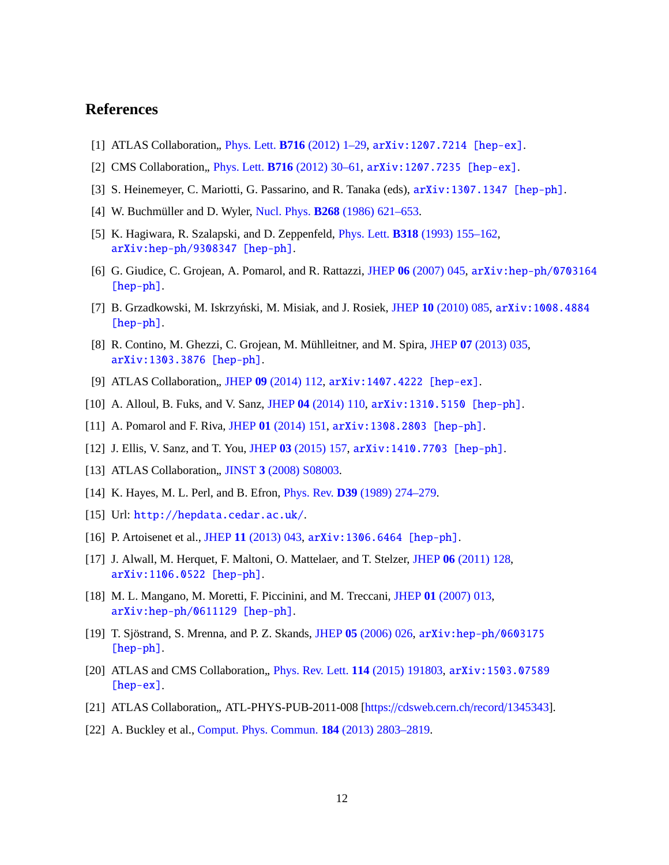#### <span id="page-12-1"></span><span id="page-12-0"></span>**References**

- [1] ATLAS Collaboration, Phys. Lett. **B716** [\(2012\) 1–29,](http://dx.doi.org/10.1016/j.physletb.2012.08.020) arXiv: 1207.7214 [hep-ex].
- <span id="page-12-2"></span>[2] CMS Collaboration, Phys. Lett. **B716** [\(2012\) 30–61,](http://dx.doi.org/10.1016/j.physletb.2012.08.021) arXiv: 1207.7235 [hep-ex].
- <span id="page-12-3"></span>[3] S. Heinemeyer, C. Mariotti, G. Passarino, and R. Tanaka (eds), [arXiv:1307.1347 \[hep-ph\]](http://arxiv.org/abs/1307.1347).
- <span id="page-12-4"></span>[4] W. Buchmüller and D. Wyler, Nucl. Phys. **B268** [\(1986\) 621–653.](http://dx.doi.org/10.1016/0550-3213(86)90262-2)
- <span id="page-12-5"></span>[5] K. Hagiwara, R. Szalapski, and D. Zeppenfeld, Phys. Lett. **B318** [\(1993\) 155–162,](http://dx.doi.org/10.1016/0370-2693(93)91799-S) [arXiv:hep-ph/9308347 \[hep-ph\]](http://arxiv.org/abs/hep-ph/9308347).
- <span id="page-12-6"></span>[6] G. Giudice, C. Grojean, A. Pomarol, and R. Rattazzi, JHEP **06** [\(2007\) 045,](http://dx.doi.org/10.1088/1126-6708/2007/06/045) arXiv:hep-ph/0703164 [hep-ph][.](http://arxiv.org/abs/hep-ph/0703164)
- <span id="page-12-8"></span><span id="page-12-7"></span>[7] B. Grzadkowski, M. Iskrzyński, M. Misiak, and J. Rosiek, JHEP 10 [\(2010\) 085,](http://dx.doi.org/10.1007/JHEP10(2010)085) arXiv:1008.4884 [hep-ph][.](http://arxiv.org/abs/1008.4884)
- <span id="page-12-9"></span>[8] R. Contino, M. Ghezzi, C. Grojean, M. Mühlleitner, and M. Spira, JHEP **07** [\(2013\) 035,](http://dx.doi.org/10.1007/JHEP07(2013)035) [arXiv:1303.3876 \[hep-ph\]](http://arxiv.org/abs/1303.3876).
- <span id="page-12-11"></span><span id="page-12-10"></span>[9] ATLAS Collaboration,, JHEP 09 [\(2014\) 112,](http://dx.doi.org/10.1007/JHEP09(2014)112) [arXiv:1407.4222 \[hep-ex\]](http://arxiv.org/abs/1407.4222).
- [10] A. Alloul, B. Fuks, and V. Sanz, JHEP **04** [\(2014\) 110,](http://dx.doi.org/10.1007/JHEP04(2014)110) [arXiv:1310.5150 \[hep-ph\]](http://arxiv.org/abs/1310.5150).
- <span id="page-12-13"></span>[11] A. Pomarol and F. Riva, JHEP **01** [\(2014\) 151,](http://dx.doi.org/10.1007/JHEP01(2014)151) [arXiv:1308.2803 \[hep-ph\]](http://arxiv.org/abs/1308.2803).
- <span id="page-12-12"></span>[12] J. Ellis, V. Sanz, and T. You, JHEP **03** [\(2015\) 157,](http://dx.doi.org/10.1007/JHEP03(2015)157) [arXiv:1410.7703 \[hep-ph\]](http://arxiv.org/abs/1410.7703).
- <span id="page-12-14"></span>[13] ATLAS Collaboration, JINST **3** [\(2008\) S08003.](http://dx.doi.org/doi:10.1088/1748-0221/3/08/S08003)
- <span id="page-12-15"></span>[14] K. Hayes, M. L. Perl, and B. Efron, Phys. Rev. **D39** [\(1989\) 274–279.](http://dx.doi.org/10.1103/PhysRevD.39.274)
- [15] Url: <http://hepdata.cedar.ac.uk/>.
- [16] P. Artoisenet et al., JHEP **11** [\(2013\) 043,](http://dx.doi.org/10.1007/JHEP11(2013)043) [arXiv:1306.6464 \[hep-ph\]](http://arxiv.org/abs/1306.6464).
- [17] J. Alwall, M. Herquet, F. Maltoni, O. Mattelaer, and T. Stelzer, JHEP **06** [\(2011\) 128,](http://dx.doi.org/10.1007/JHEP06(2011)128) [arXiv:1106.0522 \[hep-ph\]](http://arxiv.org/abs/1106.0522).
- [18] M. L. Mangano, M. Moretti, F. Piccinini, and M. Treccani, JHEP **01** [\(2007\) 013,](http://dx.doi.org/10.1088/1126-6708/2007/01/013) [arXiv:hep-ph/0611129 \[hep-ph\]](http://arxiv.org/abs/hep-ph/0611129).
- [19] T. Sjöstrand, S. Mrenna, and P. Z. Skands, JHEP **05** [\(2006\) 026,](http://dx.doi.org/10.1088/1126-6708/2006/05/026) arXiv:hep-ph/0603175 [hep-ph][.](http://arxiv.org/abs/hep-ph/0603175)
- [20] ATLAS and CMS Collaboration, *[Phys. Rev. Lett.](http://dx.doi.org/10.1103/PhysRevLett.114.191803)* **114** (2015) 191803, arXiv:1503.07589 [hep-ex][.](http://arxiv.org/abs/1503.07589)
- [21] ATLAS Collaboration, ATL-PHYS-PUB-2011-008 [https://[cdsweb.cern.ch](https://cdsweb.cern.ch/record/1345343)/record/1345343].
- [22] A. Buckley et al., [Comput. Phys. Commun.](http://dx.doi.org/http://dx.doi.org/10.1016/j.cpc.2013.05.021) **184** (2013) 2803–2819.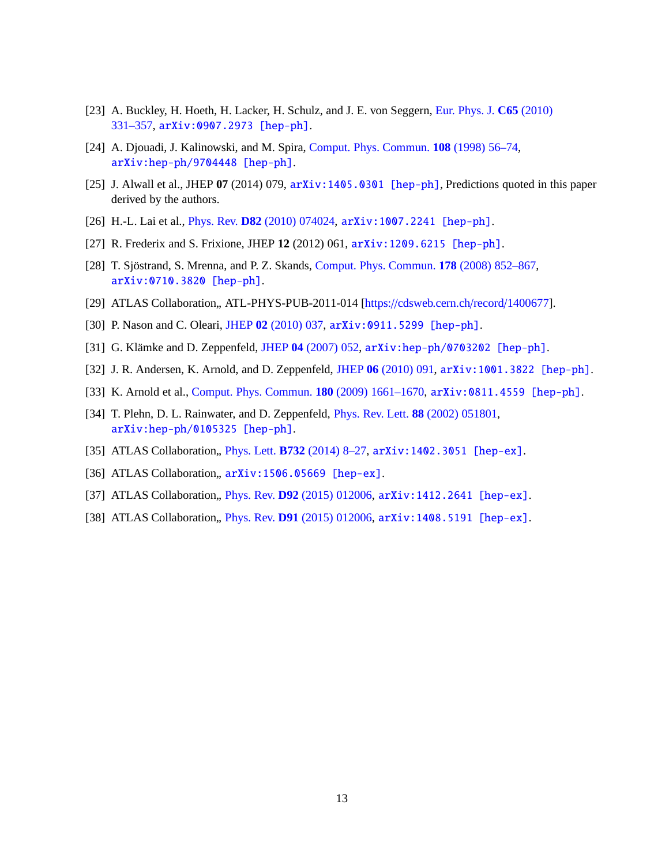- [23] A. Buckley, H. Hoeth, H. Lacker, H. Schulz, and J. E. von Seggern, Eur. Phys. J. **C65** (2010) 331–357, [arXiv:0907.2973 \[hep-ph\]](http://arxiv.org/abs/0907.2973).
- [24] A. Djouadi, J. Kalinowski, and M. Spira, [Comput. Phys. Commun.](http://dx.doi.org/10.1016/S0010-4655(97)00123-9) **108** (1998) 56–74, [arXiv:hep-ph/9704448 \[hep-ph\]](http://arxiv.org/abs/hep-ph/9704448).
- [25] J. Alwall et al., JHEP **07** (2014) 079, [arXiv:1405.0301 \[hep-ph\]](http://arxiv.org/abs/1405.0301), Predictions quoted in this paper derived by the authors.
- [26] H.-L. Lai et al., Phys. Rev. **D82** [\(2010\) 074024,](http://dx.doi.org/10.1103/PhysRevD.82.074024) [arXiv:1007.2241 \[hep-ph\]](http://arxiv.org/abs/1007.2241).
- [27] R. Frederix and S. Frixione, JHEP **12** (2012) 061, [arXiv:1209.6215 \[hep-ph\]](http://arxiv.org/abs/1209.6215).
- [28] T. Sjöstrand, S. Mrenna, and P. Z. Skands, [Comput. Phys. Commun.](http://dx.doi.org/10.1016/j.cpc.2008.01.036) **178** (2008) 852–867, [arXiv:0710.3820 \[hep-ph\]](http://arxiv.org/abs/0710.3820).
- [29] ATLAS Collaboration,, ATL-PHYS-PUB-2011-014 [https://[cdsweb.cern.ch](https://cdsweb.cern.ch/record/1400677)/record/1400677].
- [30] P. Nason and C. Oleari, JHEP **02** [\(2010\) 037,](http://dx.doi.org/10.1007/JHEP02(2010)037) [arXiv:0911.5299 \[hep-ph\]](http://arxiv.org/abs/0911.5299).
- [31] G. Klämke and D. Zeppenfeld, JHEP **04** [\(2007\) 052,](http://dx.doi.org/10.1088/1126-6708/2007/04/052) [arXiv:hep-ph/0703202 \[hep-ph\]](http://arxiv.org/abs/hep-ph/0703202).
- [32] J. R. Andersen, K. Arnold, and D. Zeppenfeld, JHEP **06** [\(2010\) 091,](http://dx.doi.org/10.1007/JHEP06(2010)091) [arXiv:1001.3822 \[hep-ph\]](http://arxiv.org/abs/1001.3822).
- [33] K. Arnold et al., [Comput. Phys. Commun.](http://dx.doi.org/10.1016/j.cpc.2009.03.006) **180** (2009) 1661–1670, [arXiv:0811.4559 \[hep-ph\]](http://arxiv.org/abs/0811.4559).
- [34] T. Plehn, D. L. Rainwater, and D. Zeppenfeld, [Phys. Rev. Lett.](http://dx.doi.org/10.1103/PhysRevLett.88.051801) **88** (2002) 051801, [arXiv:hep-ph/0105325 \[hep-ph\]](http://arxiv.org/abs/hep-ph/0105325).
- [35] ATLAS Collaboration, Phys. Lett. **B732** (2014) 8-27, arXiv: 1402.3051 [hep-ex].
- [36] ATLAS Collaboration,,  $arXiv:1506.05669$  [hep-ex].
- [37] ATLAS Collaboration, Phys. Rev. **D92** [\(2015\) 012006,](http://dx.doi.org/10.1103/PhysRevD.92.012006) arXiv: 1412.2641 [hep-ex].
- [38] ATLAS Collaboration, Phys. Rev. **D91** [\(2015\) 012006,](http://dx.doi.org/10.1103/PhysRevD.91.012006) arXiv: 1408.5191 [hep-ex].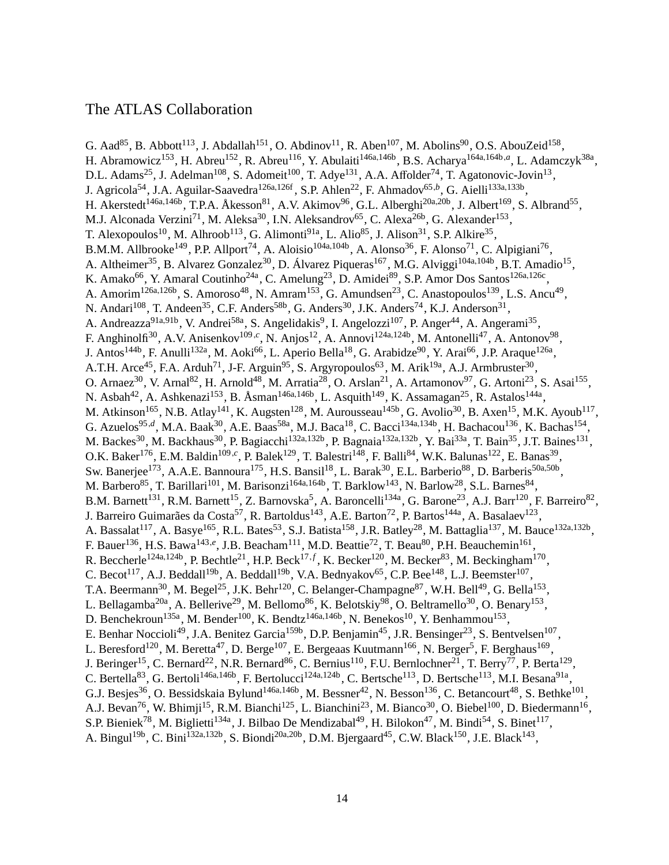#### The ATLAS Collaboration

G. Aad<sup>85</sup>, B. Abbott<sup>113</sup>, J. Abdallah<sup>151</sup>, O. Abdinov<sup>11</sup>, R. Aben<sup>107</sup>, M. Abolins<sup>90</sup>, O.S. AbouZeid<sup>158</sup>, H. Abramowicz<sup>153</sup>, H. Abreu<sup>152</sup>, R. Abreu<sup>116</sup>, Y. Abulaiti<sup>146a,146b</sup>, B.S. Acharya<sup>164a,164b,a</sup>, L. Adamczyk<sup>38a</sup>, D.L. Adams<sup>25</sup>, J. Adelman<sup>108</sup>, S. Adomeit<sup>100</sup>, T. Adye<sup>131</sup>, A.A. Affolder<sup>74</sup>, T. Agatonovic-Jovin<sup>13</sup>, J. Agricola<sup>54</sup>, J.A. Aguilar-Saavedra<sup>126a,126f</sup>, S.P. Ahlen<sup>22</sup>, F. Ahmadov<sup>65,b</sup>, G. Aielli<sup>133a,133b</sup>, H. Akerstedt<sup>146a,146b</sup>, T.P.A. Åkesson<sup>81</sup>, A.V. Akimov<sup>96</sup>, G.L. Alberghi<sup>20a,20b</sup>, J. Albert<sup>169</sup>, S. Albrand<sup>55</sup>, M.J. Alconada Verzini<sup>71</sup>, M. Aleksa<sup>30</sup>, I.N. Aleksandrov<sup>65</sup>, C. Alexa<sup>26b</sup>, G. Alexander<sup>153</sup>, T. Alexopoulos<sup>10</sup>, M. Alhroob<sup>113</sup>, G. Alimonti<sup>91a</sup>, L. Alio<sup>85</sup>, J. Alison<sup>31</sup>, S.P. Alkire<sup>35</sup>, B.M.M. Allbrooke<sup>149</sup>, P.P. Allport<sup>74</sup>, A. Aloisio<sup>104a,104b</sup>, A. Alonso<sup>36</sup>, F. Alonso<sup>71</sup>, C. Alpigiani<sup>76</sup>, A. Altheimer<sup>35</sup>, B. Alvarez Gonzalez<sup>30</sup>, D. Álvarez Piqueras<sup>167</sup>, M.G. Alviggi<sup>104a,104b</sup>, B.T. Amadio<sup>15</sup>, K. Amako<sup>66</sup>, Y. Amaral Coutinho<sup>24a</sup>, C. Amelung<sup>23</sup>, D. Amidei<sup>89</sup>, S.P. Amor Dos Santos<sup>126a,126c</sup>, A. Amorim<sup>126a,126b</sup>, S. Amoroso<sup>48</sup>, N. Amram<sup>153</sup>, G. Amundsen<sup>23</sup>, C. Anastopoulos<sup>139</sup>, L.S. Ancu<sup>49</sup>, N. Andari<sup>108</sup>, T. Andeen<sup>35</sup>, C.F. Anders<sup>58b</sup>, G. Anders<sup>30</sup>, J.K. Anders<sup>74</sup>, K.J. Anderson<sup>31</sup>, A. Andreazza<sup>91a,91b</sup>, V. Andrei<sup>58a</sup>, S. Angelidakis<sup>9</sup>, I. Angelozzi<sup>107</sup>, P. Anger<sup>44</sup>, A. Angerami<sup>35</sup>, F. Anghinolfi<sup>30</sup>, A.V. Anisenkov<sup>109,*c*</sup>, N. Anjos<sup>12</sup>, A. Annovi<sup>124a,124b</sup>, M. Antonelli<sup>47</sup>, A. Antonov<sup>98</sup>, J. Antos<sup>144b</sup>, F. Anulli<sup>132a</sup>, M. Aoki<sup>66</sup>, L. Aperio Bella<sup>18</sup>, G. Arabidze<sup>90</sup>, Y. Arai<sup>66</sup>, J.P. Araque<sup>126a</sup>, A.T.H. Arce<sup>45</sup>, F.A. Arduh<sup>71</sup>, J-F. Arguin<sup>95</sup>, S. Argyropoulos<sup>63</sup>, M. Arik<sup>19a</sup>, A.J. Armbruster<sup>30</sup>, O. Arnaez<sup>30</sup>, V. Arnal<sup>82</sup>, H. Arnold<sup>48</sup>, M. Arratia<sup>28</sup>, O. Arslan<sup>21</sup>, A. Artamonov<sup>97</sup>, G. Artoni<sup>23</sup>, S. Asai<sup>155</sup>, N. Asbah<sup>42</sup>, A. Ashkenazi<sup>153</sup>, B. Åsman<sup>146a,146b</sup>, L. Asquith<sup>149</sup>, K. Assamagan<sup>25</sup>, R. Astalos<sup>144a</sup>, M. Atkinson<sup>165</sup>, N.B. Atlay<sup>141</sup>, K. Augsten<sup>128</sup>, M. Aurousseau<sup>145b</sup>, G. Avolio<sup>30</sup>, B. Axen<sup>15</sup>, M.K. Ayoub<sup>117</sup>, G. Azuelos<sup>95,d</sup>, M.A. Baak<sup>30</sup>, A.E. Baas<sup>58a</sup>, M.J. Baca<sup>18</sup>, C. Bacci<sup>134a,134b</sup>, H. Bachacou<sup>136</sup>, K. Bachas<sup>154</sup>, M. Backes<sup>30</sup>, M. Backhaus<sup>30</sup>, P. Bagiacchi<sup>132a,132b</sup>, P. Bagnaia<sup>132a,132b</sup>, Y. Bai<sup>33a</sup>, T. Bain<sup>35</sup>, J.T. Baines<sup>131</sup>, O.K. Baker<sup>176</sup>, E.M. Baldin<sup>109,*c*</sup>, P. Balek<sup>129</sup>, T. Balestri<sup>148</sup>, F. Balli<sup>84</sup>, W.K. Balunas<sup>122</sup>, E. Banas<sup>39</sup>, Sw. Banerjee<sup>173</sup>, A.A.E. Bannoura<sup>175</sup>, H.S. Bansil<sup>18</sup>, L. Barak<sup>30</sup>, E.L. Barberio<sup>88</sup>, D. Barberis<sup>50a,50b</sup>, M. Barbero<sup>85</sup>, T. Barillari<sup>101</sup>, M. Barisonzi<sup>164a,164b</sup>, T. Barklow<sup>143</sup>, N. Barlow<sup>28</sup>, S.L. Barnes<sup>84</sup>, B.M. Barnett<sup>131</sup>, R.M. Barnett<sup>15</sup>, Z. Barnovska<sup>5</sup>, A. Baroncelli<sup>134a</sup>, G. Barone<sup>23</sup>, A.J. Barr<sup>120</sup>, F. Barreiro<sup>82</sup>, J. Barreiro Guimarães da Costa<sup>57</sup>, R. Bartoldus<sup>143</sup>, A.E. Barton<sup>72</sup>, P. Bartos<sup>144a</sup>, A. Basalaev<sup>123</sup>, A. Bassalat<sup>117</sup>, A. Basye<sup>165</sup>, R.L. Bates<sup>53</sup>, S.J. Batista<sup>158</sup>, J.R. Batley<sup>28</sup>, M. Battaglia<sup>137</sup>, M. Bauce<sup>132a,132b</sup>, F. Bauer<sup>136</sup>, H.S. Bawa<sup>143,e</sup>, J.B. Beacham<sup>111</sup>, M.D. Beattie<sup>72</sup>, T. Beau<sup>80</sup>, P.H. Beauchemin<sup>161</sup>, R. Beccherle<sup>124a,124b</sup>, P. Bechtle<sup>21</sup>, H.P. Beck<sup>17, *f*</sup>, K. Becker<sup>120</sup>, M. Becker<sup>83</sup>, M. Beckingham<sup>170</sup>, C. Becot<sup>117</sup>, A.J. Beddall<sup>19b</sup>, A. Beddall<sup>19b</sup>, V.A. Bednyakov<sup>65</sup>, C.P. Bee<sup>148</sup>, L.J. Beemster<sup>107</sup>, T.A. Beermann<sup>30</sup>, M. Begel<sup>25</sup>, J.K. Behr<sup>120</sup>, C. Belanger-Champagne<sup>87</sup>, W.H. Bell<sup>49</sup>, G. Bella<sup>153</sup>, L. Bellagamba<sup>20a</sup>, A. Bellerive<sup>29</sup>, M. Bellomo<sup>86</sup>, K. Belotskiy<sup>98</sup>, O. Beltramello<sup>30</sup>, O. Benary<sup>153</sup>, D. Benchekroun<sup>135a</sup>, M. Bender<sup>100</sup>, K. Bendtz<sup>146a,146b</sup>, N. Benekos<sup>10</sup>, Y. Benhammou<sup>153</sup>, E. Benhar Noccioli<sup>49</sup>, J.A. Benitez Garcia<sup>159b</sup>, D.P. Benjamin<sup>45</sup>, J.R. Bensinger<sup>23</sup>, S. Bentvelsen<sup>107</sup>, L. Beresford<sup>120</sup>, M. Beretta<sup>47</sup>, D. Berge<sup>107</sup>, E. Bergeaas Kuutmann<sup>166</sup>, N. Berger<sup>5</sup>, F. Berghaus<sup>169</sup>, J. Beringer<sup>15</sup>, C. Bernard<sup>22</sup>, N.R. Bernard<sup>86</sup>, C. Bernius<sup>110</sup>, F.U. Bernlochner<sup>21</sup>, T. Berry<sup>77</sup>, P. Berta<sup>129</sup>, C. Bertella<sup>83</sup>, G. Bertoli<sup>146a,146b</sup>, F. Bertolucci<sup>124a,124b</sup>, C. Bertsche<sup>113</sup>, D. Bertsche<sup>113</sup>, M.I. Besana<sup>91a</sup>, G.J. Besjes<sup>36</sup>, O. Bessidskaia Bylund<sup>146a,146b</sup>, M. Bessner<sup>42</sup>, N. Besson<sup>136</sup>, C. Betancourt<sup>48</sup>, S. Bethke<sup>101</sup>, A.J. Bevan<sup>76</sup>, W. Bhimji<sup>15</sup>, R.M. Bianchi<sup>125</sup>, L. Bianchini<sup>23</sup>, M. Bianco<sup>30</sup>, O. Biebel<sup>100</sup>, D. Biedermann<sup>16</sup>, S.P. Bieniek<sup>78</sup>, M. Biglietti<sup>134a</sup>, J. Bilbao De Mendizabal<sup>49</sup>, H. Bilokon<sup>47</sup>, M. Bindi<sup>54</sup>, S. Binet<sup>117</sup>, A. Bingul<sup>19b</sup>, C. Bini<sup>132a,132b</sup>, S. Biondi<sup>20a,20b</sup>, D.M. Bjergaard<sup>45</sup>, C.W. Black<sup>150</sup>, J.E. Black<sup>143</sup>,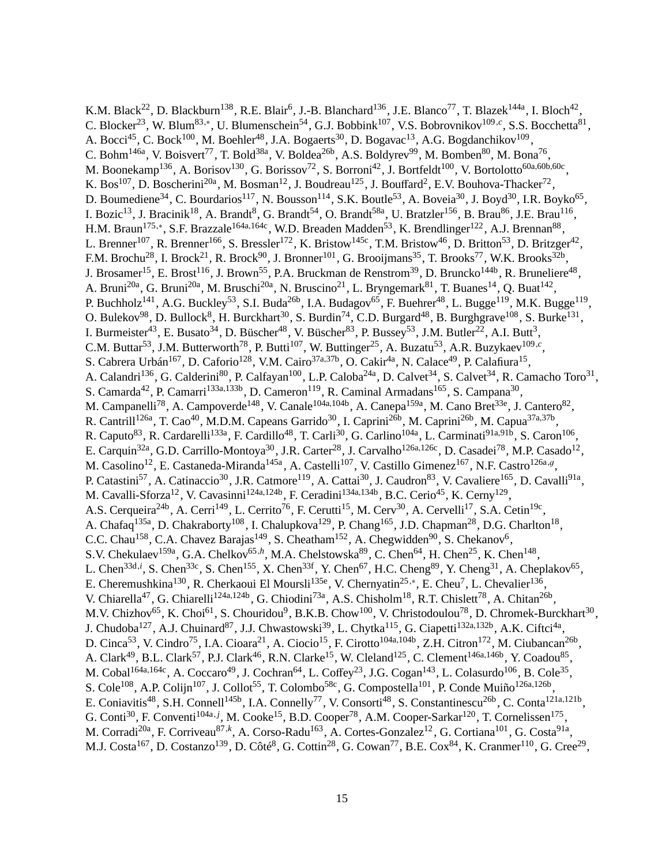K.M. Black<sup>22</sup>, D. Blackburn<sup>138</sup>, R.E. Blair<sup>6</sup>, J.-B. Blanchard<sup>136</sup>, J.E. Blanco<sup>77</sup>, T. Blazek<sup>144a</sup>, I. Bloch<sup>42</sup>, C. Blocker<sup>23</sup>, W. Blum<sup>83,\*</sup>, U. Blumenschein<sup>54</sup>, G.J. Bobbink<sup>107</sup>, V.S. Bobrovnikov<sup>109,*c*</sup>, S.S. Bocchetta<sup>81</sup>, A. Bocci<sup>45</sup>, C. Bock<sup>100</sup>, M. Boehler<sup>48</sup>, J.A. Bogaerts<sup>30</sup>, D. Bogavac<sup>13</sup>, A.G. Bogdanchikov<sup>109</sup>, C. Bohm<sup>146a</sup>, V. Boisvert<sup>77</sup>, T. Bold<sup>38a</sup>, V. Boldea<sup>26b</sup>, A.S. Boldyrev<sup>99</sup>, M. Bomben<sup>80</sup>, M. Bona<sup>76</sup>, M. Boonekamp<sup>136</sup>, A. Borisov<sup>130</sup>, G. Borissov<sup>72</sup>, S. Borroni<sup>42</sup>, J. Bortfeldt<sup>100</sup>, V. Bortolotto<sup>60a,60b,60c</sup>, K. Bos<sup>107</sup>, D. Boscherini<sup>20a</sup>, M. Bosman<sup>12</sup>, J. Boudreau<sup>125</sup>, J. Bouffard<sup>2</sup>, E.V. Bouhova-Thacker<sup>72</sup>, D. Boumediene<sup>34</sup>, C. Bourdarios<sup>117</sup>, N. Bousson<sup>114</sup>, S.K. Boutle<sup>53</sup>, A. Boveia<sup>30</sup>, J. Boyd<sup>30</sup>, I.R. Boyko<sup>65</sup>, I. Bozic<sup>13</sup>, J. Bracinik<sup>18</sup>, A. Brandt<sup>8</sup>, G. Brandt<sup>54</sup>, O. Brandt<sup>58a</sup>, U. Bratzler<sup>156</sup>, B. Brau<sup>86</sup>, J.E. Brau<sup>116</sup>, H.M. Braun<sup>175,\*</sup>, S.F. Brazzale<sup>164a,164c</sup>, W.D. Breaden Madden<sup>53</sup>, K. Brendlinger<sup>122</sup>, A.J. Brennan<sup>88</sup>, L. Brenner<sup>107</sup>, R. Brenner<sup>166</sup>, S. Bressler<sup>172</sup>, K. Bristow<sup>145c</sup>, T.M. Bristow<sup>46</sup>, D. Britton<sup>53</sup>, D. Britzger<sup>42</sup>, F.M. Brochu<sup>28</sup>, I. Brock<sup>21</sup>, R. Brock<sup>90</sup>, J. Bronner<sup>101</sup>, G. Brooijmans<sup>35</sup>, T. Brooks<sup>77</sup>, W.K. Brooks<sup>32b</sup>, J. Brosamer<sup>15</sup>, E. Brost<sup>116</sup>, J. Brown<sup>55</sup>, P.A. Bruckman de Renstrom<sup>39</sup>, D. Bruncko<sup>144b</sup>, R. Bruneliere<sup>48</sup>, A. Bruni<sup>20a</sup>, G. Bruni<sup>20a</sup>, M. Bruschi<sup>20a</sup>, N. Bruscino<sup>21</sup>, L. Bryngemark<sup>81</sup>, T. Buanes<sup>14</sup>, Q. Buat<sup>142</sup>, P. Buchholz<sup>141</sup>, A.G. Buckley<sup>53</sup>, S.I. Buda<sup>26b</sup>, I.A. Budagov<sup>65</sup>, F. Buehrer<sup>48</sup>, L. Bugge<sup>119</sup>, M.K. Bugge<sup>119</sup>, O. Bulekov<sup>98</sup>, D. Bullock<sup>8</sup>, H. Burckhart<sup>30</sup>, S. Burdin<sup>74</sup>, C.D. Burgard<sup>48</sup>, B. Burghgrave<sup>108</sup>, S. Burke<sup>131</sup>, I. Burmeister<sup>43</sup>, E. Busato<sup>34</sup>, D. Büscher<sup>48</sup>, V. Büscher<sup>83</sup>, P. Bussey<sup>53</sup>, J.M. Butler<sup>22</sup>, A.I. Butt<sup>3</sup>, C.M. Buttar<sup>53</sup>, J.M. Butterworth<sup>78</sup>, P. Butti<sup>107</sup>, W. Buttinger<sup>25</sup>, A. Buzatu<sup>53</sup>, A.R. Buzykaev<sup>109,*c*</sup>, S. Cabrera Urbán<sup>167</sup>, D. Caforio<sup>128</sup>, V.M. Cairo<sup>37a,37b</sup>, O. Cakir<sup>4a</sup>, N. Calace<sup>49</sup>, P. Calafiura<sup>15</sup>, A. Calandri<sup>136</sup>, G. Calderini<sup>80</sup>, P. Calfayan<sup>100</sup>, L.P. Caloba<sup>24a</sup>, D. Calvet<sup>34</sup>, S. Calvet<sup>34</sup>, R. Camacho Toro<sup>31</sup>, S. Camarda<sup>42</sup>, P. Camarri<sup>133a,133b</sup>, D. Cameron<sup>119</sup>, R. Caminal Armadans<sup>165</sup>, S. Campana<sup>30</sup>, M. Campanelli<sup>78</sup>, A. Campoverde<sup>148</sup>, V. Canale<sup>104a,104b</sup>, A. Canepa<sup>159a</sup>, M. Cano Bret<sup>33e</sup>, J. Cantero<sup>82</sup>, R. Cantrill<sup>126a</sup>, T. Cao<sup>40</sup>, M.D.M. Capeans Garrido<sup>30</sup>, I. Caprini<sup>26b</sup>, M. Caprini<sup>26b</sup>, M. Capua<sup>37a,37b</sup>, R. Caputo<sup>83</sup>, R. Cardarelli<sup>133a</sup>, F. Cardillo<sup>48</sup>, T. Carli<sup>30</sup>, G. Carlino<sup>104a</sup>, L. Carminati<sup>91a,91b</sup>, S. Caron<sup>106</sup>, E. Carquin<sup>32a</sup>, G.D. Carrillo-Montoya<sup>30</sup>, J.R. Carter<sup>28</sup>, J. Carvalho<sup>126a,126c</sup>, D. Casadei<sup>78</sup>, M.P. Casado<sup>12</sup>, M. Casolino<sup>12</sup>, E. Castaneda-Miranda<sup>145a</sup>, A. Castelli<sup>107</sup>, V. Castillo Gimenez<sup>167</sup>, N.F. Castro<sup>126a,g</sup>, P. Catastini<sup>57</sup>, A. Catinaccio<sup>30</sup>, J.R. Catmore<sup>119</sup>, A. Cattai<sup>30</sup>, J. Caudron<sup>83</sup>, V. Cavaliere<sup>165</sup>, D. Cavalli<sup>91a</sup>, M. Cavalli-Sforza<sup>12</sup>, V. Cavasinni<sup>124a,124b</sup>, F. Ceradini<sup>134a,134b</sup>, B.C. Cerio<sup>45</sup>, K. Cerny<sup>129</sup>, A.S. Cerqueira<sup>24b</sup>, A. Cerri<sup>149</sup>, L. Cerrito<sup>76</sup>, F. Cerutti<sup>15</sup>, M. Cerv<sup>30</sup>, A. Cervelli<sup>17</sup>, S.A. Cetin<sup>19c</sup>, A. Chafaq<sup>135a</sup>, D. Chakraborty<sup>108</sup>, I. Chalupkova<sup>129</sup>, P. Chang<sup>165</sup>, J.D. Chapman<sup>28</sup>, D.G. Charlton<sup>18</sup>, C.C. Chau<sup>158</sup>, C.A. Chavez Barajas<sup>149</sup>, S. Cheatham<sup>152</sup>, A. Chegwidden<sup>90</sup>, S. Chekanov<sup>6</sup>, S.V. Chekulaev<sup>159a</sup>, G.A. Chelkov<sup>65,h</sup>, M.A. Chelstowska<sup>89</sup>, C. Chen<sup>64</sup>, H. Chen<sup>25</sup>, K. Chen<sup>148</sup>, L. Chen<sup>33d,*i*</sup>, S. Chen<sup>33c</sup>, S. Chen<sup>155</sup>, X. Chen<sup>33f</sup>, Y. Chen<sup>67</sup>, H.C. Cheng<sup>89</sup>, Y. Cheng<sup>31</sup>, A. Cheplakov<sup>65</sup>, E. Cheremushkina<sup>130</sup>, R. Cherkaoui El Moursli<sup>135e</sup>, V. Chernyatin<sup>25,\*</sup>, E. Cheu<sup>7</sup>, L. Chevalier<sup>136</sup>, V. Chiarella<sup>47</sup>, G. Chiarelli<sup>124a,124b</sup>, G. Chiodini<sup>73a</sup>, A.S. Chisholm<sup>18</sup>, R.T. Chislett<sup>78</sup>, A. Chitan<sup>26b</sup>, M.V. Chizhov<sup>65</sup>, K. Choi<sup>61</sup>, S. Chouridou<sup>9</sup>, B.K.B. Chow<sup>100</sup>, V. Christodoulou<sup>78</sup>, D. Chromek-Burckhart<sup>30</sup>, J. Chudoba<sup>127</sup>, A.J. Chuinard<sup>87</sup>, J.J. Chwastowski<sup>39</sup>, L. Chytka<sup>115</sup>, G. Ciapetti<sup>132a,132b</sup>, A.K. Ciftci<sup>4a</sup>, D. Cinca<sup>53</sup>, V. Cindro<sup>75</sup>, I.A. Cioara<sup>21</sup>, A. Ciocio<sup>15</sup>, F. Cirotto<sup>104a,104b</sup>, Z.H. Citron<sup>172</sup>, M. Ciubancan<sup>26b</sup>, A. Clark<sup>49</sup>, B.L. Clark<sup>57</sup>, P.J. Clark<sup>46</sup>, R.N. Clarke<sup>15</sup>, W. Cleland<sup>125</sup>, C. Clement<sup>146a,146b</sup>, Y. Coadou<sup>85</sup>, M. Cobal $^{164a,164c}$ , A. Coccaro $^{49}$ , J. Cochran $^{64}$ , L. Coffey $^{23}$ , J.G. Cogan $^{143}$ , L. Colasurdo $^{106}$ , B. Cole $^{35}$ , S. Cole<sup>108</sup>, A.P. Colijn<sup>107</sup>, J. Collot<sup>55</sup>, T. Colombo<sup>58c</sup>, G. Compostella<sup>101</sup>, P. Conde Muiño<sup>126a,126b</sup>, E. Coniavitis<sup>48</sup>, S.H. Connell<sup>145b</sup>, I.A. Connelly<sup>77</sup>, V. Consorti<sup>48</sup>, S. Constantinescu<sup>26b</sup>, C. Conta<sup>121a,121b</sup>, G. Conti<sup>30</sup>, F. Conventi<sup>104a, *j*</sup>, M. Cooke<sup>15</sup>, B.D. Cooper<sup>78</sup>, A.M. Cooper-Sarkar<sup>120</sup>, T. Cornelissen<sup>175</sup>, M. Corradi<sup>20a</sup>, F. Corriveau<sup>87, k</sup>, A. Corso-Radu<sup>163</sup>, A. Cortes-Gonzalez<sup>12</sup>, G. Cortiana<sup>101</sup>, G. Costa<sup>91a</sup>, M.J. Costa<sup>167</sup>, D. Costanzo<sup>139</sup>, D. Côté<sup>8</sup>, G. Cottin<sup>28</sup>, G. Cowan<sup>77</sup>, B.E. Cox<sup>84</sup>, K. Cranmer<sup>110</sup>, G. Cree<sup>29</sup>,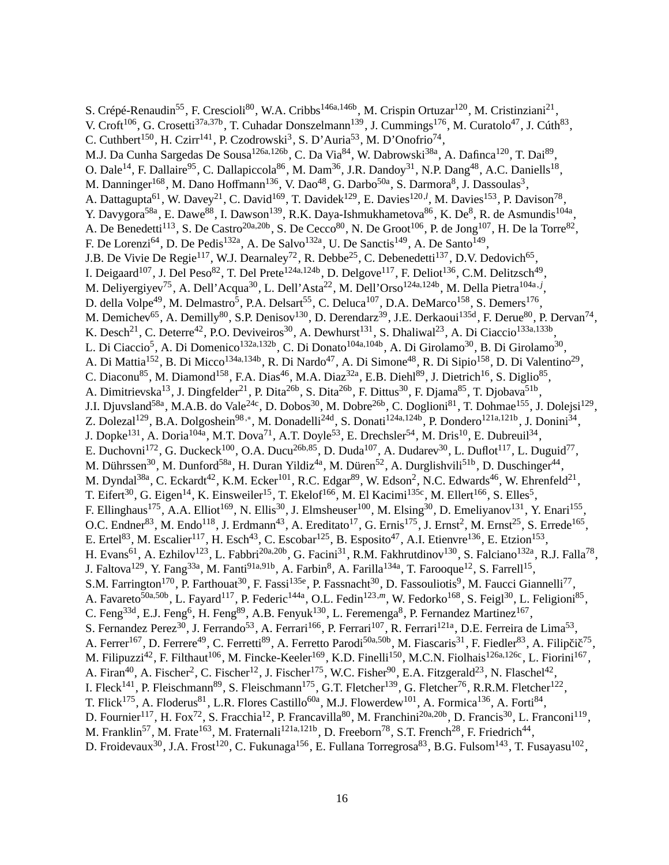S. Crépé-Renaudin<sup>55</sup>, F. Crescioli<sup>80</sup>, W.A. Cribbs<sup>146a,146b</sup>, M. Crispin Ortuzar<sup>120</sup>, M. Cristinziani<sup>21</sup>, V. Croft<sup>106</sup>, G. Crosetti<sup>37a,37b</sup>, T. Cuhadar Donszelmann<sup>139</sup>, J. Cummings<sup>176</sup>, M. Curatolo<sup>47</sup>, J. Cúth<sup>83</sup>, C. Cuthbert<sup>150</sup>, H. Czirr<sup>141</sup>, P. Czodrowski<sup>3</sup>, S. D'Auria<sup>53</sup>, M. D'Onofrio<sup>74</sup>, M.J. Da Cunha Sargedas De Sousa<sup>126a,126b</sup>, C. Da Via<sup>84</sup>, W. Dabrowski<sup>38a</sup>, A. Dafinca<sup>120</sup>, T. Dai<sup>89</sup>, O. Dale<sup>14</sup>, F. Dallaire<sup>95</sup>, C. Dallapiccola<sup>86</sup>, M. Dam<sup>36</sup>, J.R. Dandoy<sup>31</sup>, N.P. Dang<sup>48</sup>, A.C. Daniells<sup>18</sup>, M. Danninger<sup>168</sup>, M. Dano Hoffmann<sup>136</sup>, V. Dao<sup>48</sup>, G. Darbo<sup>50a</sup>, S. Darmora<sup>8</sup>, J. Dassoulas<sup>3</sup>, A. Dattagupta<sup>61</sup>, W. Davey<sup>21</sup>, C. David<sup>169</sup>, T. Davidek<sup>129</sup>, E. Davies<sup>120,*l*</sup>, M. Davies<sup>153</sup>, P. Davison<sup>78</sup>, Y. Davygora<sup>58a</sup>, E. Dawe<sup>88</sup>, I. Dawson<sup>139</sup>, R.K. Daya-Ishmukhametova<sup>86</sup>, K. De<sup>8</sup>, R. de Asmundis<sup>104a</sup>, A. De Benedetti<sup>113</sup>, S. De Castro<sup>20a,20b</sup>, S. De Cecco<sup>80</sup>, N. De Groot<sup>106</sup>, P. de Jong<sup>107</sup>, H. De la Torre<sup>82</sup>, F. De Lorenzi<sup>64</sup>, D. De Pedis<sup>132a</sup>, A. De Salvo<sup>132a</sup>, U. De Sanctis<sup>149</sup>, A. De Santo<sup>149</sup>, J.B. De Vivie De Regie<sup>117</sup>, W.J. Dearnaley<sup>72</sup>, R. Debbe<sup>25</sup>, C. Debenedetti<sup>137</sup>, D.V. Dedovich<sup>65</sup>, I. Deigaard<sup>107</sup>, J. Del Peso<sup>82</sup>, T. Del Prete<sup>124a,124b</sup>, D. Delgove<sup>117</sup>, F. Deliot<sup>136</sup>, C.M. Delitzsch<sup>49</sup>, M. Deliyergiyev<sup>75</sup>, A. Dell'Acqua<sup>30</sup>, L. Dell'Asta<sup>22</sup>, M. Dell'Orso<sup>124a,124b</sup>, M. Della Pietra<sup>104a, j</sup>, D. della Volpe<sup>49</sup>, M. Delmastro<sup>5</sup>, P.A. Delsart<sup>55</sup>, C. Deluca<sup>107</sup>, D.A. DeMarco<sup>158</sup>, S. Demers<sup>176</sup>, M. Demichev<sup>65</sup>, A. Demilly<sup>80</sup>, S.P. Denisov<sup>130</sup>, D. Derendarz<sup>39</sup>, J.E. Derkaoui<sup>135d</sup>, F. Derue<sup>80</sup>, P. Dervan<sup>74</sup>, K. Desch<sup>21</sup>, C. Deterre<sup>42</sup>, P.O. Deviveiros<sup>30</sup>, A. Dewhurst<sup>131</sup>, S. Dhaliwal<sup>23</sup>, A. Di Ciaccio<sup>133a,133b</sup>, L. Di Ciaccio<sup>5</sup>, A. Di Domenico<sup>132a,132b</sup>, C. Di Donato<sup>104a,104b</sup>, A. Di Girolamo<sup>30</sup>, B. Di Girolamo<sup>30</sup>, A. Di Mattia<sup>152</sup>, B. Di Micco<sup>134a,134b</sup>, R. Di Nardo<sup>47</sup>, A. Di Simone<sup>48</sup>, R. Di Sipio<sup>158</sup>, D. Di Valentino<sup>29</sup>, C. Diaconu<sup>85</sup>, M. Diamond<sup>158</sup>, F.A. Dias<sup>46</sup>, M.A. Diaz<sup>32a</sup>, E.B. Diehl<sup>89</sup>, J. Dietrich<sup>16</sup>, S. Diglio<sup>85</sup>, A. Dimitrievska<sup>13</sup>, J. Dingfelder<sup>21</sup>, P. Dita<sup>26b</sup>, S. Dita<sup>26b</sup>, F. Dittus<sup>30</sup>, F. Djama<sup>85</sup>, T. Djobava<sup>51b</sup>, J.I. Djuvsland<sup>58a</sup>, M.A.B. do Vale<sup>24c</sup>, D. Dobos<sup>30</sup>, M. Dobre<sup>26b</sup>, C. Doglioni<sup>81</sup>, T. Dohmae<sup>155</sup>, J. Dolejsi<sup>129</sup>, Z. Dolezal<sup>129</sup>, B.A. Dolgoshein<sup>98,∗</sup>, M. Donadelli<sup>24d</sup>, S. Donati<sup>124a,124b</sup>, P. Dondero<sup>121a,121b</sup>, J. Donini<sup>34</sup>, J. Dopke<sup>131</sup>, A. Doria<sup>104a</sup>, M.T. Dova<sup>71</sup>, A.T. Doyle<sup>53</sup>, E. Drechsler<sup>54</sup>, M. Dris<sup>10</sup>, E. Dubreuil<sup>34</sup>, E. Duchovni<sup>172</sup>, G. Duckeck<sup>100</sup>, O.A. Ducu<sup>26b,85</sup>, D. Duda<sup>107</sup>, A. Dudarev<sup>30</sup>, L. Duflot<sup>117</sup>, L. Duguid<sup>77</sup>, M. Dührssen<sup>30</sup>, M. Dunford<sup>58a</sup>, H. Duran Yildiz<sup>4a</sup>, M. Düren<sup>52</sup>, A. Durglishvili<sup>51b</sup>, D. Duschinger<sup>44</sup>, M. Dyndal $^{38a}$ , C. Eckardt $^{42}$ , K.M. Ecker $^{101}$ , R.C. Edgar $^{89}$ , W. Edson $^2$ , N.C. Edwards $^{46}$ , W. Ehrenfeld $^{21}$ , T. Eifert $^{30}$ , G. Eigen $^{14}$ , K. Einsweiler $^{15}$ , T. Ekelof $^{166}$ , M. El Kacimi $^{135c}$ , M. Ellert $^{166}$ , S. Elles $^5$ , F. Ellinghaus<sup>175</sup>, A.A. Elliot<sup>169</sup>, N. Ellis<sup>30</sup>, J. Elmsheuser<sup>100</sup>, M. Elsing<sup>30</sup>, D. Emeliyanov<sup>131</sup>, Y. Enari<sup>155</sup>, O.C. Endner<sup>83</sup>, M. Endo<sup>118</sup>, J. Erdmann<sup>43</sup>, A. Ereditato<sup>17</sup>, G. Ernis<sup>175</sup>, J. Ernst<sup>2</sup>, M. Ernst<sup>25</sup>, S. Errede<sup>165</sup>, E. Ertel<sup>83</sup>, M. Escalier<sup>117</sup>, H. Esch<sup>43</sup>, C. Escobar<sup>125</sup>, B. Esposito<sup>47</sup>, A.I. Etienvre<sup>136</sup>, E. Etzion<sup>153</sup>, H. Evans<sup>61</sup>, A. Ezhilov<sup>123</sup>, L. Fabbri<sup>20a,20b</sup>, G. Facini<sup>31</sup>, R.M. Fakhrutdinov<sup>130</sup>, S. Falciano<sup>132a</sup>, R.J. Falla<sup>78</sup>, J. Faltova<sup>129</sup>, Y. Fang<sup>33a</sup>, M. Fanti<sup>91a,91b</sup>, A. Farbin<sup>8</sup>, A. Farilla<sup>134a</sup>, T. Farooque<sup>12</sup>, S. Farrell<sup>15</sup>, S.M. Farrington<sup>170</sup>, P. Farthouat<sup>30</sup>, F. Fassi<sup>135e</sup>, P. Fassnacht<sup>30</sup>, D. Fassouliotis<sup>9</sup>, M. Faucci Giannelli<sup>77</sup>, A. Favareto<sup>50a,50b</sup>, L. Fayard<sup>117</sup>, P. Federic<sup>144a</sup>, O.L. Fedin<sup>123,m</sup>, W. Fedorko<sup>168</sup>, S. Feigl<sup>30</sup>, L. Feligioni<sup>85</sup>, C. Feng<sup>33d</sup>, E.J. Feng<sup>6</sup>, H. Feng<sup>89</sup>, A.B. Fenyuk<sup>130</sup>, L. Feremenga<sup>8</sup>, P. Fernandez Martinez<sup>167</sup>, S. Fernandez Perez<sup>30</sup>, J. Ferrando<sup>53</sup>, A. Ferrari<sup>166</sup>, P. Ferrari<sup>107</sup>, R. Ferrari<sup>121a</sup>, D.E. Ferreira de Lima<sup>53</sup>, A. Ferrer<sup>167</sup>, D. Ferrere<sup>49</sup>, C. Ferretti<sup>89</sup>, A. Ferretto Parodi<sup>50a,50b</sup>, M. Fiascaris<sup>31</sup>, F. Fiedler<sup>83</sup>, A. Filipčič<sup>75</sup>, M. Filipuzzi<sup>42</sup>, F. Filthaut<sup>106</sup>, M. Fincke-Keeler<sup>169</sup>, K.D. Finelli<sup>150</sup>, M.C.N. Fiolhais<sup>126a,126c</sup>, L. Fiorini<sup>167</sup>, A. Firan<sup>40</sup>, A. Fischer<sup>2</sup>, C. Fischer<sup>12</sup>, J. Fischer<sup>175</sup>, W.C. Fisher<sup>90</sup>, E.A. Fitzgerald<sup>23</sup>, N. Flaschel<sup>42</sup>, I. Fleck<sup>141</sup>, P. Fleischmann<sup>89</sup>, S. Fleischmann<sup>175</sup>, G.T. Fletcher<sup>139</sup>, G. Fletcher<sup>76</sup>, R.R.M. Fletcher<sup>122</sup>, T. Flick<sup>175</sup>, A. Floderus<sup>81</sup>, L.R. Flores Castillo<sup>60a</sup>, M.J. Flowerdew<sup>101</sup>, A. Formica<sup>136</sup>, A. Forti<sup>84</sup>, D. Fournier<sup>117</sup>, H. Fox<sup>72</sup>, S. Fracchia<sup>12</sup>, P. Francavilla<sup>80</sup>, M. Franchini<sup>20a,20b</sup>, D. Francis<sup>30</sup>, L. Franconi<sup>119</sup>, M. Franklin<sup>57</sup>, M. Frate<sup>163</sup>, M. Fraternali<sup>121a,121b</sup>, D. Freeborn<sup>78</sup>, S.T. French<sup>28</sup>, F. Friedrich<sup>44</sup>, D. Froidevaux<sup>30</sup>, J.A. Frost<sup>120</sup>, C. Fukunaga<sup>156</sup>, E. Fullana Torregrosa<sup>83</sup>, B.G. Fulsom<sup>143</sup>, T. Fusayasu<sup>102</sup>,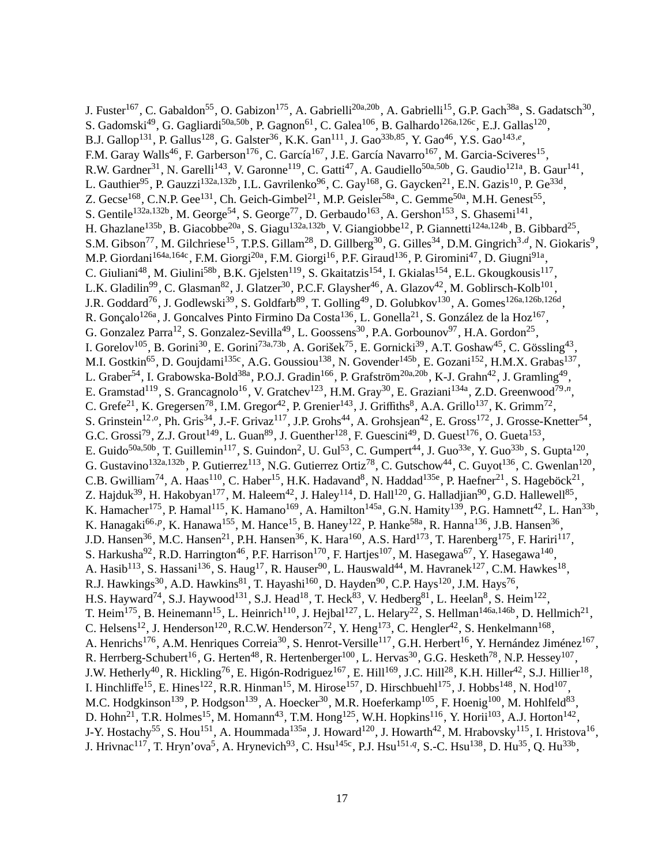J. Fuster<sup>167</sup>, C. Gabaldon<sup>55</sup>, O. Gabizon<sup>175</sup>, A. Gabrielli<sup>20a,20b</sup>, A. Gabrielli<sup>15</sup>, G.P. Gach<sup>38a</sup>, S. Gadatsch<sup>30</sup>, S. Gadomski<sup>49</sup>, G. Gagliardi<sup>50a,50b</sup>, P. Gagnon<sup>61</sup>, C. Galea<sup>106</sup>, B. Galhardo<sup>126a,126c</sup>, E.J. Gallas<sup>120</sup>, B.J. Gallop<sup>131</sup>, P. Gallus<sup>128</sup>, G. Galster<sup>36</sup>, K.K. Gan<sup>111</sup>, J. Gao<sup>33b,85</sup>, Y. Gao<sup>46</sup>, Y.S. Gao<sup>143,e</sup>, F.M. Garay Walls<sup>46</sup>, F. Garberson<sup>176</sup>, C. García<sup>167</sup>, J.E. García Navarro<sup>167</sup>, M. Garcia-Sciveres<sup>15</sup>, R.W. Gardner<sup>31</sup>, N. Garelli<sup>143</sup>, V. Garonne<sup>119</sup>, C. Gatti<sup>47</sup>, A. Gaudiello<sup>50a,50b</sup>, G. Gaudio<sup>121a</sup>, B. Gaur<sup>141</sup>, L. Gauthier<sup>95</sup>, P. Gauzzi<sup>132a,132b</sup>, I.L. Gavrilenko<sup>96</sup>, C. Gay<sup>168</sup>, G. Gaycken<sup>21</sup>, E.N. Gazis<sup>10</sup>, P. Ge<sup>33d</sup>, Z. Gecse<sup>168</sup>, C.N.P. Gee<sup>131</sup>, Ch. Geich-Gimbel<sup>21</sup>, M.P. Geisler<sup>58a</sup>, C. Gemme<sup>50a</sup>, M.H. Genest<sup>55</sup>, S. Gentile<sup>132a,132b</sup>, M. George<sup>54</sup>, S. George<sup>77</sup>, D. Gerbaudo<sup>163</sup>, A. Gershon<sup>153</sup>, S. Ghasemi<sup>141</sup>, H. Ghazlane<sup>135b</sup>, B. Giacobbe<sup>20a</sup>, S. Giagu<sup>132a,132b</sup>, V. Giangiobbe<sup>12</sup>, P. Giannetti<sup>124a,124b</sup>, B. Gibbard<sup>25</sup>, S.M. Gibson<sup>77</sup>, M. Gilchriese<sup>15</sup>, T.P.S. Gillam<sup>28</sup>, D. Gillberg<sup>30</sup>, G. Gilles<sup>34</sup>, D.M. Gingrich<sup>3,d</sup>, N. Giokaris<sup>9</sup>, M.P. Giordani<sup>164a,164c</sup>, F.M. Giorgi<sup>20a</sup>, F.M. Giorgi<sup>16</sup>, P.F. Giraud<sup>136</sup>, P. Giromini<sup>47</sup>, D. Giugni<sup>91a</sup>, C. Giuliani<sup>48</sup>, M. Giulini<sup>58b</sup>, B.K. Gjelsten<sup>119</sup>, S. Gkaitatzis<sup>154</sup>, I. Gkialas<sup>154</sup>, E.L. Gkougkousis<sup>117</sup>, L.K. Gladilin<sup>99</sup>, C. Glasman<sup>82</sup>, J. Glatzer<sup>30</sup>, P.C.F. Glaysher<sup>46</sup>, A. Glazov<sup>42</sup>, M. Goblirsch-Kolb<sup>101</sup>, J.R. Goddard<sup>76</sup>, J. Godlewski<sup>39</sup>, S. Goldfarb<sup>89</sup>, T. Golling<sup>49</sup>, D. Golubkov<sup>130</sup>, A. Gomes<sup>126a,126b,126d</sup>, R. Gonçalo<sup>126a</sup>, J. Goncalves Pinto Firmino Da Costa<sup>136</sup>, L. Gonella<sup>21</sup>, S. González de la Hoz<sup>167</sup>, G. Gonzalez Parra<sup>12</sup>, S. Gonzalez-Sevilla<sup>49</sup>, L. Goossens<sup>30</sup>, P.A. Gorbounov<sup>97</sup>, H.A. Gordon<sup>25</sup>, I. Gorelov<sup>105</sup>, B. Gorini<sup>30</sup>, E. Gorini<sup>73a,73b</sup>, A. Gorišek<sup>75</sup>, E. Gornicki<sup>39</sup>, A.T. Goshaw<sup>45</sup>, C. Gössling<sup>43</sup>, M.I. Gostkin<sup>65</sup>, D. Goujdami<sup>135c</sup>, A.G. Goussiou<sup>138</sup>, N. Govender<sup>145b</sup>, E. Gozani<sup>152</sup>, H.M.X. Grabas<sup>137</sup>, L. Graber<sup>54</sup>, I. Grabowska-Bold<sup>38a</sup>, P.O.J. Gradin<sup>166</sup>, P. Grafström<sup>20a,20b</sup>, K-J. Grahn<sup>42</sup>, J. Gramling<sup>49</sup>, E. Gramstad<sup>119</sup>, S. Grancagnolo<sup>16</sup>, V. Gratchev<sup>123</sup>, H.M. Gray<sup>30</sup>, E. Graziani<sup>134a</sup>, Z.D. Greenwood<sup>79,n</sup>, C. Grefe<sup>21</sup>, K. Gregersen<sup>78</sup>, I.M. Gregor<sup>42</sup>, P. Grenier<sup>143</sup>, J. Griffiths<sup>8</sup>, A.A. Grillo<sup>137</sup>, K. Grimm<sup>72</sup>, S. Grinstein<sup>12,o</sup>, Ph. Gris<sup>34</sup>, J.-F. Grivaz<sup>117</sup>, J.P. Grohs<sup>44</sup>, A. Grohsjean<sup>42</sup>, E. Gross<sup>172</sup>, J. Grosse-Knetter<sup>54</sup>, G.C. Grossi<sup>79</sup>, Z.J. Grout<sup>149</sup>, L. Guan<sup>89</sup>, J. Guenther<sup>128</sup>, F. Guescini<sup>49</sup>, D. Guest<sup>176</sup>, O. Gueta<sup>153</sup>, E. Guido<sup>50a,50b</sup>, T. Guillemin<sup>117</sup>, S. Guindon<sup>2</sup>, U. Gul<sup>53</sup>, C. Gumpert<sup>44</sup>, J. Guo<sup>33e</sup>, Y. Guo<sup>33b</sup>, S. Gupta<sup>120</sup>, G. Gustavino<sup>132a,132b</sup>, P. Gutierrez<sup>113</sup>, N.G. Gutierrez Ortiz<sup>78</sup>, C. Gutschow<sup>44</sup>, C. Guyot<sup>136</sup>, C. Gwenlan<sup>120</sup>, C.B. Gwilliam<sup>74</sup>, A. Haas<sup>110</sup>, C. Haber<sup>15</sup>, H.K. Hadavand<sup>8</sup>, N. Haddad<sup>135e</sup>, P. Haefner<sup>21</sup>, S. Hageböck<sup>21</sup>, Z. Hajduk<sup>39</sup>, H. Hakobyan<sup>177</sup>, M. Haleem<sup>42</sup>, J. Haley<sup>114</sup>, D. Hall<sup>120</sup>, G. Halladjian<sup>90</sup>, G.D. Hallewell<sup>85</sup>, K. Hamacher<sup>175</sup>, P. Hamal<sup>115</sup>, K. Hamano<sup>169</sup>, A. Hamilton<sup>145a</sup>, G.N. Hamity<sup>139</sup>, P.G. Hamnett<sup>42</sup>, L. Han<sup>33b</sup>, K. Hanagaki<sup>66, p</sup>, K. Hanawa<sup>155</sup>, M. Hance<sup>15</sup>, B. Haney<sup>122</sup>, P. Hanke<sup>58a</sup>, R. Hanna<sup>136</sup>, J.B. Hansen<sup>36</sup>, J.D. Hansen<sup>36</sup>, M.C. Hansen<sup>21</sup>, P.H. Hansen<sup>36</sup>, K. Hara<sup>160</sup>, A.S. Hard<sup>173</sup>, T. Harenberg<sup>175</sup>, F. Hariri<sup>117</sup>, S. Harkusha<sup>92</sup>, R.D. Harrington<sup>46</sup>, P.F. Harrison<sup>170</sup>, F. Hartjes<sup>107</sup>, M. Hasegawa<sup>67</sup>, Y. Hasegawa<sup>140</sup>, A. Hasib<sup>113</sup>, S. Hassani<sup>136</sup>, S. Haug<sup>17</sup>, R. Hauser<sup>90</sup>, L. Hauswald<sup>44</sup>, M. Havranek<sup>127</sup>, C.M. Hawkes<sup>18</sup>, R.J. Hawkings<sup>30</sup>, A.D. Hawkins<sup>81</sup>, T. Hayashi<sup>160</sup>, D. Hayden<sup>90</sup>, C.P. Hays<sup>120</sup>, J.M. Hays<sup>76</sup>, H.S. Hayward<sup>74</sup>, S.J. Haywood<sup>131</sup>, S.J. Head<sup>18</sup>, T. Heck<sup>83</sup>, V. Hedberg<sup>81</sup>, L. Heelan<sup>8</sup>, S. Heim<sup>122</sup>, T. Heim<sup>175</sup>, B. Heinemann<sup>15</sup>, L. Heinrich<sup>110</sup>, J. Hejbal<sup>127</sup>, L. Helary<sup>22</sup>, S. Hellman<sup>146a,146b</sup>, D. Hellmich<sup>21</sup>, C. Helsens<sup>12</sup>, J. Henderson<sup>120</sup>, R.C.W. Henderson<sup>72</sup>, Y. Heng<sup>173</sup>, C. Hengler<sup>42</sup>, S. Henkelmann<sup>168</sup>, A. Henrichs<sup>176</sup>, A.M. Henriques Correia<sup>30</sup>, S. Henrot-Versille<sup>117</sup>, G.H. Herbert<sup>16</sup>, Y. Hernández Jiménez<sup>167</sup>, R. Herrberg-Schubert<sup>16</sup>, G. Herten<sup>48</sup>, R. Hertenberger<sup>100</sup>, L. Hervas<sup>30</sup>, G.G. Hesketh<sup>78</sup>, N.P. Hessey<sup>107</sup>, J.W. Hetherly<sup>40</sup>, R. Hickling<sup>76</sup>, E. Higón-Rodriguez<sup>167</sup>, E. Hill<sup>169</sup>, J.C. Hill<sup>28</sup>, K.H. Hiller<sup>42</sup>, S.J. Hillier<sup>18</sup>, I. Hinchliffe<sup>15</sup>, E. Hines<sup>122</sup>, R.R. Hinman<sup>15</sup>, M. Hirose<sup>157</sup>, D. Hirschbuehl<sup>175</sup>, J. Hobbs<sup>148</sup>, N. Hod<sup>107</sup>, M.C. Hodgkinson $^{139}$ , P. Hodgson $^{139}$ , A. Hoecker $^{30}$ , M.R. Hoeferkamp $^{105}$ , F. Hoenig $^{100}$ , M. Hohlfeld $^{83}$ , D. Hohn<sup>21</sup>, T.R. Holmes<sup>15</sup>, M. Homann<sup>43</sup>, T.M. Hong<sup>125</sup>, W.H. Hopkins<sup>116</sup>, Y. Horii<sup>103</sup>, A.J. Horton<sup>142</sup>, J-Y. Hostachy<sup>55</sup>, S. Hou<sup>151</sup>, A. Hoummada<sup>135a</sup>, J. Howard<sup>120</sup>, J. Howarth<sup>42</sup>, M. Hrabovsky<sup>115</sup>, I. Hristova<sup>16</sup>, J. Hrivnac<sup>117</sup>, T. Hryn'ova<sup>5</sup>, A. Hrynevich<sup>93</sup>, C. Hsu<sup>145c</sup>, P.J. Hsu<sup>151,q</sup>, S.-C. Hsu<sup>138</sup>, D. Hu<sup>35</sup>, Q. Hu<sup>33b</sup>,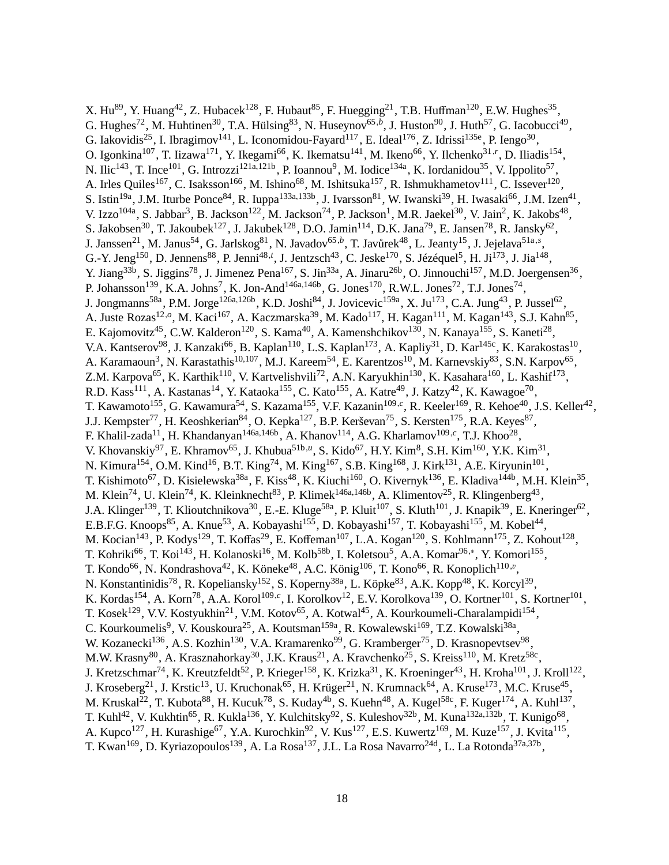X. Hu<sup>89</sup>, Y. Huang<sup>42</sup>, Z. Hubacek<sup>128</sup>, F. Hubaut<sup>85</sup>, F. Huegging<sup>21</sup>, T.B. Huffman<sup>120</sup>, E.W. Hughes<sup>35</sup>, G. Hughes<sup>72</sup>, M. Huhtinen<sup>30</sup>, T.A. Hülsing<sup>83</sup>, N. Huseynov<sup>65,b</sup>, J. Huston<sup>90</sup>, J. Huth<sup>57</sup>, G. Iacobucci<sup>49</sup>, G. Iakovidis<sup>25</sup>, I. Ibragimov<sup>141</sup>, L. Iconomidou-Fayard<sup>117</sup>, E. Ideal<sup>176</sup>, Z. Idrissi<sup>135e</sup>, P. Iengo<sup>30</sup>, O. Igonkina<sup>107</sup>, T. Iizawa<sup>171</sup>, Y. Ikegami<sup>66</sup>, K. Ikematsu<sup>141</sup>, M. Ikeno<sup>66</sup>, Y. Ilchenko<sup>31,r</sup>, D. Iliadis<sup>154</sup>, N. Ilic<sup>143</sup>, T. Ince<sup>101</sup>, G. Introzzi<sup>121a,121b</sup>, P. Ioannou<sup>9</sup>, M. Iodice<sup>134a</sup>, K. Iordanidou<sup>35</sup>, V. Ippolito<sup>57</sup>, A. Irles Quiles<sup>167</sup>, C. Isaksson<sup>166</sup>, M. Ishino<sup>68</sup>, M. Ishitsuka<sup>157</sup>, R. Ishmukhametov<sup>111</sup>, C. Issever<sup>120</sup>, S. Istin<sup>19a</sup>, J.M. Iturbe Ponce<sup>84</sup>, R. Iuppa<sup>133a,133b</sup>, J. Ivarsson<sup>81</sup>, W. Iwanski<sup>39</sup>, H. Iwasaki<sup>66</sup>, J.M. Izen<sup>41</sup>, V. Izzo<sup>104a</sup>, S. Jabbar<sup>3</sup>, B. Jackson<sup>122</sup>, M. Jackson<sup>74</sup>, P. Jackson<sup>1</sup>, M.R. Jaekel<sup>30</sup>, V. Jain<sup>2</sup>, K. Jakobs<sup>48</sup>, S. Jakobsen<sup>30</sup>, T. Jakoubek<sup>127</sup>, J. Jakubek<sup>128</sup>, D.O. Jamin<sup>114</sup>, D.K. Jana<sup>79</sup>, E. Jansen<sup>78</sup>, R. Jansky<sup>62</sup>, J. Janssen<sup>21</sup>, M. Janus<sup>54</sup>, G. Jarlskog<sup>81</sup>, N. Javadov<sup>65,b</sup>, T. Javůrek<sup>48</sup>, L. Jeanty<sup>15</sup>, J. Jejelava<sup>51a,s</sup>, G.-Y. Jeng<sup>150</sup>, D. Jennens<sup>88</sup>, P. Jenni<sup>48,*t*</sup>, J. Jentzsch<sup>43</sup>, C. Jeske<sup>170</sup>, S. Jézéquel<sup>5</sup>, H. Ji<sup>173</sup>, J. Jia<sup>148</sup>, Y. Jiang<sup>33b</sup>, S. Jiggins<sup>78</sup>, J. Jimenez Pena<sup>167</sup>, S. Jin<sup>33a</sup>, A. Jinaru<sup>26b</sup>, O. Jinnouchi<sup>157</sup>, M.D. Joergensen<sup>36</sup>, P. Johansson<sup>139</sup>, K.A. Johns<sup>7</sup>, K. Jon-And<sup>146a,146b</sup>, G. Jones<sup>170</sup>, R.W.L. Jones<sup>72</sup>, T.J. Jones<sup>74</sup>, J. Jongmanns<sup>58a</sup>, P.M. Jorge<sup>126a,126b</sup>, K.D. Joshi<sup>84</sup>, J. Jovicevic<sup>159a</sup>, X. Ju<sup>173</sup>, C.A. Jung<sup>43</sup>, P. Jussel<sup>62</sup>, A. Juste Rozas<sup>12,0</sup>, M. Kaci<sup>167</sup>, A. Kaczmarska<sup>39</sup>, M. Kado<sup>117</sup>, H. Kagan<sup>111</sup>, M. Kagan<sup>143</sup>, S.J. Kahn<sup>85</sup>, E. Kajomovitz<sup>45</sup>, C.W. Kalderon<sup>120</sup>, S. Kama<sup>40</sup>, A. Kamenshchikov<sup>130</sup>, N. Kanaya<sup>155</sup>, S. Kaneti<sup>28</sup>, V.A. Kantserov<sup>98</sup>, J. Kanzaki<sup>66</sup>, B. Kaplan<sup>110</sup>, L.S. Kaplan<sup>173</sup>, A. Kapliy<sup>31</sup>, D. Kar<sup>145c</sup>, K. Karakostas<sup>10</sup>, A. Karamaoun<sup>3</sup>, N. Karastathis<sup>10,107</sup>, M.J. Kareem<sup>54</sup>, E. Karentzos<sup>10</sup>, M. Karnevskiy<sup>83</sup>, S.N. Karpov<sup>65</sup>, Z.M. Karpova<sup>65</sup>, K. Karthik<sup>110</sup>, V. Kartvelishvili<sup>72</sup>, A.N. Karyukhin<sup>130</sup>, K. Kasahara<sup>160</sup>, L. Kashif<sup>173</sup>, R.D. Kass<sup>111</sup>, A. Kastanas<sup>14</sup>, Y. Kataoka<sup>155</sup>, C. Kato<sup>155</sup>, A. Katre<sup>49</sup>, J. Katzy<sup>42</sup>, K. Kawagoe<sup>70</sup>, T. Kawamoto<sup>155</sup>, G. Kawamura<sup>54</sup>, S. Kazama<sup>155</sup>, V.F. Kazanin<sup>109,*c*</sup>, R. Keeler<sup>169</sup>, R. Kehoe<sup>40</sup>, J.S. Keller<sup>42</sup>, J.J. Kempster<sup>77</sup>, H. Keoshkerian<sup>84</sup>, O. Kepka<sup>127</sup>, B.P. Kerševan<sup>75</sup>, S. Kersten<sup>175</sup>, R.A. Keyes<sup>87</sup>, F. Khalil-zada<sup>11</sup>, H. Khandanyan<sup>146a,146b</sup>, A. Khanov<sup>114</sup>, A.G. Kharlamov<sup>109,*c*</sup>, T.J. Khoo<sup>28</sup>, V. Khovanskiy<sup>97</sup>, E. Khramov<sup>65</sup>, J. Khubua<sup>51b,*u*</sup>, S. Kido<sup>67</sup>, H.Y. Kim<sup>8</sup>, S.H. Kim<sup>160</sup>, Y.K. Kim<sup>31</sup>, N. Kimura<sup>154</sup>, O.M. Kind<sup>16</sup>, B.T. King<sup>74</sup>, M. King<sup>167</sup>, S.B. King<sup>168</sup>, J. Kirk<sup>131</sup>, A.E. Kiryunin<sup>101</sup>, T. Kishimoto<sup>67</sup>, D. Kisielewska<sup>38a</sup>, F. Kiss<sup>48</sup>, K. Kiuchi<sup>160</sup>, O. Kivernyk<sup>136</sup>, E. Kladiva<sup>144b</sup>, M.H. Klein<sup>35</sup>, M. Klein<sup>74</sup>, U. Klein<sup>74</sup>, K. Kleinknecht<sup>83</sup>, P. Klimek<sup>146a,146b</sup>, A. Klimentov<sup>25</sup>, R. Klingenberg<sup>43</sup>, J.A. Klinger<sup>139</sup>, T. Klioutchnikova<sup>30</sup>, E.-E. Kluge<sup>58a</sup>, P. Kluit<sup>107</sup>, S. Kluth<sup>101</sup>, J. Knapik<sup>39</sup>, E. Kneringer<sup>62</sup>, E.B.F.G. Knoops<sup>85</sup>, A. Knue<sup>53</sup>, A. Kobayashi<sup>155</sup>, D. Kobayashi<sup>157</sup>, T. Kobayashi<sup>155</sup>, M. Kobel<sup>44</sup>, M. Kocian<sup>143</sup>, P. Kodys<sup>129</sup>, T. Koffas<sup>29</sup>, E. Koffeman<sup>107</sup>, L.A. Kogan<sup>120</sup>, S. Kohlmann<sup>175</sup>, Z. Kohout<sup>128</sup>, T. Kohriki<sup>66</sup>, T. Koi<sup>143</sup>, H. Kolanoski<sup>16</sup>, M. Kolb<sup>58b</sup>, I. Koletsou<sup>5</sup>, A.A. Komar<sup>96,\*</sup>, Y. Komori<sup>155</sup>, T. Kondo<sup>66</sup>, N. Kondrashova<sup>42</sup>, K. Köneke<sup>48</sup>, A.C. König<sup>106</sup>, T. Kono<sup>66</sup>, R. Konoplich<sup>110,*v*</sup>, N. Konstantinidis<sup>78</sup>, R. Kopeliansky<sup>152</sup>, S. Koperny<sup>38a</sup>, L. Köpke<sup>83</sup>, A.K. Kopp<sup>48</sup>, K. Korcyl<sup>39</sup>, K. Kordas<sup>154</sup>, A. Korn<sup>78</sup>, A.A. Korol<sup>109,*c*</sup>, I. Korolkov<sup>12</sup>, E.V. Korolkova<sup>139</sup>, O. Kortner<sup>101</sup>, S. Kortner<sup>101</sup>, T. Kosek<sup>129</sup>, V.V. Kostyukhin<sup>21</sup>, V.M. Kotov<sup>65</sup>, A. Kotwal<sup>45</sup>, A. Kourkoumeli-Charalampidi<sup>154</sup>, C. Kourkoumelis<sup>9</sup>, V. Kouskoura<sup>25</sup>, A. Koutsman<sup>159a</sup>, R. Kowalewski<sup>169</sup>, T.Z. Kowalski<sup>38a</sup>, W. Kozanecki<sup>136</sup>, A.S. Kozhin<sup>130</sup>, V.A. Kramarenko<sup>99</sup>, G. Kramberger<sup>75</sup>, D. Krasnopevtsev<sup>98</sup>, M.W. Krasny<sup>80</sup>, A. Krasznahorkay<sup>30</sup>, J.K. Kraus<sup>21</sup>, A. Kravchenko<sup>25</sup>, S. Kreiss<sup>110</sup>, M. Kretz<sup>58c</sup>, J. Kretzschmar<sup>74</sup>, K. Kreutzfeldt<sup>52</sup>, P. Krieger<sup>158</sup>, K. Krizka<sup>31</sup>, K. Kroeninger<sup>43</sup>, H. Kroha<sup>101</sup>, J. Kroll<sup>122</sup>, J. Kroseberg<sup>21</sup>, J. Krstic<sup>13</sup>, U. Kruchonak<sup>65</sup>, H. Krüger<sup>21</sup>, N. Krumnack<sup>64</sup>, A. Kruse<sup>173</sup>, M.C. Kruse<sup>45</sup>, M. Kruskal<sup>22</sup>, T. Kubota<sup>88</sup>, H. Kucuk<sup>78</sup>, S. Kuday<sup>4b</sup>, S. Kuehn<sup>48</sup>, A. Kugel<sup>58c</sup>, F. Kuger<sup>174</sup>, A. Kuhl<sup>137</sup>, T. Kuhl<sup>42</sup>, V. Kukhtin<sup>65</sup>, R. Kukla<sup>136</sup>, Y. Kulchitsky<sup>92</sup>, S. Kuleshov<sup>32b</sup>, M. Kuna<sup>132a,132b</sup>, T. Kunigo<sup>68</sup>, A. Kupco<sup>127</sup>, H. Kurashige<sup>67</sup>, Y.A. Kurochkin<sup>92</sup>, V. Kus<sup>127</sup>, E.S. Kuwertz<sup>169</sup>, M. Kuze<sup>157</sup>, J. Kvita<sup>115</sup>, T. Kwan<sup>169</sup>, D. Kyriazopoulos<sup>139</sup>, A. La Rosa<sup>137</sup>, J.L. La Rosa Navarro<sup>24d</sup>, L. La Rotonda<sup>37a,37b</sup>,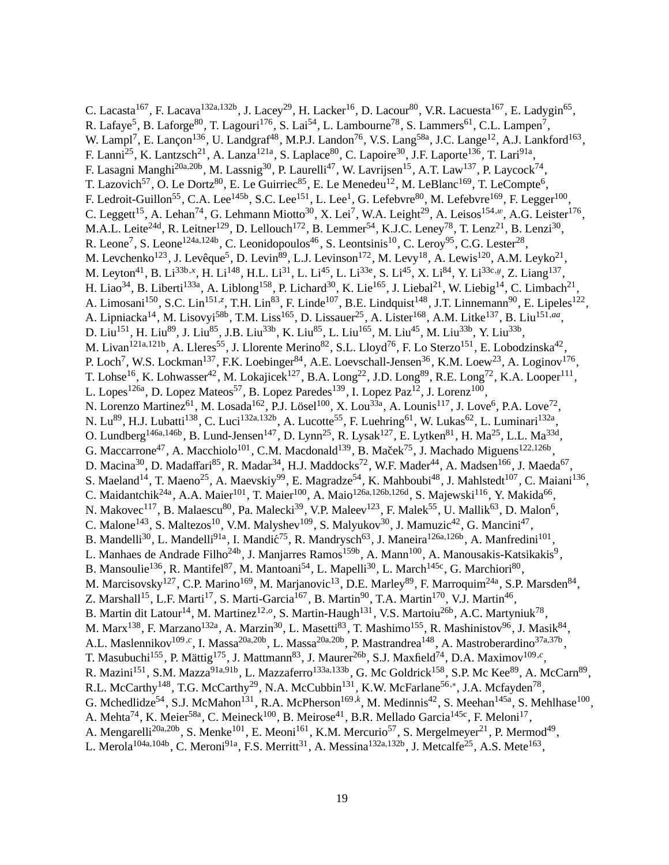C. Lacasta<sup>167</sup>, F. Lacava<sup>132a,132b</sup>, J. Lacey<sup>29</sup>, H. Lacker<sup>16</sup>, D. Lacour<sup>80</sup>, V.R. Lacuesta<sup>167</sup>, E. Ladygin<sup>65</sup>, R. Lafaye<sup>5</sup>, B. Laforge<sup>80</sup>, T. Lagouri<sup>176</sup>, S. Lai<sup>54</sup>, L. Lambourne<sup>78</sup>, S. Lammers<sup>61</sup>, C.L. Lampen<sup>7</sup>, W. Lampl<sup>7</sup>, E. Lançon<sup>136</sup>, U. Landgraf<sup>48</sup>, M.P.J. Landon<sup>76</sup>, V.S. Lang<sup>58a</sup>, J.C. Lange<sup>12</sup>, A.J. Lankford<sup>163</sup>, F. Lanni<sup>25</sup>, K. Lantzsch<sup>21</sup>, A. Lanza<sup>121a</sup>, S. Laplace<sup>80</sup>, C. Lapoire<sup>30</sup>, J.F. Laporte<sup>136</sup>, T. Lari<sup>91a</sup>, F. Lasagni Manghi<sup>20a,20b</sup>, M. Lassnig<sup>30</sup>, P. Laurelli<sup>47</sup>, W. Lavrijsen<sup>15</sup>, A.T. Law<sup>137</sup>, P. Laycock<sup>74</sup>, T. Lazovich<sup>57</sup>, O. Le Dortz<sup>80</sup>, E. Le Guirriec<sup>85</sup>, E. Le Menedeu<sup>12</sup>, M. LeBlanc<sup>169</sup>, T. LeCompte<sup>6</sup>, F. Ledroit-Guillon<sup>55</sup>, C.A. Lee<sup>145b</sup>, S.C. Lee<sup>151</sup>, L. Lee<sup>1</sup>, G. Lefebvre<sup>80</sup>, M. Lefebvre<sup>169</sup>, F. Legger<sup>100</sup>, C. Leggett<sup>15</sup>, A. Lehan<sup>74</sup>, G. Lehmann Miotto<sup>30</sup>, X. Lei<sup>7</sup>, W.A. Leight<sup>29</sup>, A. Leisos<sup>154,*w*</sup>, A.G. Leister<sup>176</sup>, M.A.L. Leite<sup>24d</sup>, R. Leitner<sup>129</sup>, D. Lellouch<sup>172</sup>, B. Lemmer<sup>54</sup>, K.J.C. Leney<sup>78</sup>, T. Lenz<sup>21</sup>, B. Lenzi<sup>30</sup>, R. Leone<sup>7</sup>, S. Leone<sup>124a,124b</sup>, C. Leonidopoulos<sup>46</sup>, S. Leontsinis<sup>10</sup>, C. Leroy<sup>95</sup>, C.G. Lester<sup>28</sup>, M. Levchenko<sup>123</sup>, J. Levêque<sup>5</sup>, D. Levin<sup>89</sup>, L.J. Levinson<sup>172</sup>, M. Levy<sup>18</sup>, A. Lewis<sup>120</sup>, A.M. Leyko<sup>21</sup>, M. Leyton<sup>41</sup>, B. Li<sup>33b,x</sup>, H. Li<sup>148</sup>, H.L. Li<sup>31</sup>, L. Li<sup>45</sup>, L. Li<sup>33e</sup>, S. Li<sup>45</sup>, X. Li<sup>84</sup>, Y. Li<sup>33c,y</sup>, Z. Liang<sup>137</sup>, H. Liao<sup>34</sup>, B. Liberti<sup>133a</sup>, A. Liblong<sup>158</sup>, P. Lichard<sup>30</sup>, K. Lie<sup>165</sup>, J. Liebal<sup>21</sup>, W. Liebig<sup>14</sup>, C. Limbach<sup>21</sup>, A. Limosani<sup>150</sup>, S.C. Lin<sup>151, z</sup>, T.H. Lin<sup>83</sup>, F. Linde<sup>107</sup>, B.E. Lindquist<sup>148</sup>, J.T. Linnemann<sup>90</sup>, E. Lipeles<sup>122</sup>, A. Lipniacka<sup>14</sup>, M. Lisovyi<sup>58b</sup>, T.M. Liss<sup>165</sup>, D. Lissauer<sup>25</sup>, A. Lister<sup>168</sup>, A.M. Litke<sup>137</sup>, B. Liu<sup>151,aa</sup>, D. Liu<sup>151</sup>, H. Liu<sup>89</sup>, J. Liu<sup>85</sup>, J.B. Liu<sup>33b</sup>, K. Liu<sup>85</sup>, L. Liu<sup>165</sup>, M. Liu<sup>45</sup>, M. Liu<sup>33b</sup>, Y. Liu<sup>33b</sup>, M. Livan<sup>121a,121b</sup>, A. Lleres<sup>55</sup>, J. Llorente Merino<sup>82</sup>, S.L. Lloyd<sup>76</sup>, F. Lo Sterzo<sup>151</sup>, E. Lobodzinska<sup>42</sup>, P. Loch<sup>7</sup>, W.S. Lockman<sup>137</sup>, F.K. Loebinger<sup>84</sup>, A.E. Loevschall-Jensen<sup>36</sup>, K.M. Loew<sup>23</sup>, A. Loginov<sup>176</sup>, T. Lohse<sup>16</sup>, K. Lohwasser<sup>42</sup>, M. Lokajicek<sup>127</sup>, B.A. Long<sup>22</sup>, J.D. Long<sup>89</sup>, R.E. Long<sup>72</sup>, K.A. Looper<sup>111</sup>, L. Lopes<sup>126a</sup>, D. Lopez Mateos<sup>57</sup>, B. Lopez Paredes<sup>139</sup>, I. Lopez Paz<sup>12</sup>, J. Lorenz<sup>100</sup>, N. Lorenzo Martinez<sup>61</sup>, M. Losada<sup>162</sup>, P.J. Lösel<sup>100</sup>, X. Lou<sup>33a</sup>, A. Lounis<sup>117</sup>, J. Love<sup>6</sup>, P.A. Love<sup>72</sup>, N. Lu<sup>89</sup>, H.J. Lubatti<sup>138</sup>, C. Luci<sup>132a,132b</sup>, A. Lucotte<sup>55</sup>, F. Luehring<sup>61</sup>, W. Lukas<sup>62</sup>, L. Luminari<sup>132a</sup>, O. Lundberg<sup>146a,146b</sup>, B. Lund-Jensen<sup>147</sup>, D. Lynn<sup>25</sup>, R. Lysak<sup>127</sup>, E. Lytken<sup>81</sup>, H. Ma<sup>25</sup>, L.L. Ma<sup>33d</sup>, G. Maccarrone<sup>47</sup>, A. Macchiolo<sup>101</sup>, C.M. Macdonald<sup>139</sup>, B. Maček<sup>75</sup>, J. Machado Miguens<sup>122,126b</sup>, D. Macina<sup>30</sup>, D. Madaffari<sup>85</sup>, R. Madar<sup>34</sup>, H.J. Maddocks<sup>72</sup>, W.F. Mader<sup>44</sup>, A. Madsen<sup>166</sup>, J. Maeda<sup>67</sup>, S. Maeland<sup>14</sup>, T. Maeno<sup>25</sup>, A. Maevskiy<sup>99</sup>, E. Magradze<sup>54</sup>, K. Mahboubi<sup>48</sup>, J. Mahlstedt<sup>107</sup>, C. Maiani<sup>136</sup>, C. Maidantchik<sup>24a</sup>, A.A. Maier<sup>101</sup>, T. Maier<sup>100</sup>, A. Maio<sup>126a,126b,126d</sup>, S. Majewski<sup>116</sup>, Y. Makida<sup>66</sup>, N. Makovec $^{117}$ , B. Malaescu $^{80}$ , Pa. Malecki $^{39}$ , V.P. Maleev $^{123}$ , F. Malek $^{55}$ , U. Mallik $^{63}$ , D. Malon $^6$ , C. Malone<sup>143</sup>, S. Maltezos<sup>10</sup>, V.M. Malyshev<sup>109</sup>, S. Malyukov<sup>30</sup>, J. Mamuzic<sup>42</sup>, G. Mancini<sup>47</sup>, B. Mandelli<sup>30</sup>, L. Mandelli<sup>91a</sup>, I. Mandić<sup>75</sup>, R. Mandrysch<sup>63</sup>, J. Maneira<sup>126a,126b</sup>, A. Manfredini<sup>101</sup>, L. Manhaes de Andrade Filho<sup>24b</sup>, J. Manjarres Ramos<sup>159b</sup>, A. Mann<sup>100</sup>, A. Manousakis-Katsikakis<sup>9</sup>, B. Mansoulie<sup>136</sup>, R. Mantifel<sup>87</sup>, M. Mantoani<sup>54</sup>, L. Mapelli<sup>30</sup>, L. March<sup>145c</sup>, G. Marchiori<sup>80</sup>, M. Marcisovsky<sup>127</sup>, C.P. Marino<sup>169</sup>, M. Marjanovic<sup>13</sup>, D.E. Marley<sup>89</sup>, F. Marroquim<sup>24a</sup>, S.P. Marsden<sup>84</sup>, Z. Marshall<sup>15</sup>, L.F. Marti<sup>17</sup>, S. Marti-Garcia<sup>167</sup>, B. Martin<sup>90</sup>, T.A. Martin<sup>170</sup>, V.J. Martin<sup>46</sup>, B. Martin dit Latour<sup>14</sup>, M. Martinez<sup>12,0</sup>, S. Martin-Haugh<sup>131</sup>, V.S. Martoiu<sup>26b</sup>, A.C. Martyniuk<sup>78</sup>, M. Marx<sup>138</sup>, F. Marzano<sup>132a</sup>, A. Marzin<sup>30</sup>, L. Masetti<sup>83</sup>, T. Mashimo<sup>155</sup>, R. Mashinistov<sup>96</sup>, J. Masik<sup>84</sup>, A.L. Maslennikov<sup>109,*c*</sup>, I. Massa<sup>20a,20b</sup>, L. Massa<sup>20a,20b</sup>, P. Mastrandrea<sup>148</sup>, A. Mastroberardino<sup>37a,37b</sup>, T. Masubuchi<sup>155</sup>, P. Mättig<sup>175</sup>, J. Mattmann<sup>83</sup>, J. Maurer<sup>26b</sup>, S.J. Maxfield<sup>74</sup>, D.A. Maximov<sup>109,*c*</sup>, R. Mazini<sup>151</sup>, S.M. Mazza<sup>91a,91b</sup>, L. Mazzaferro<sup>133a,133b</sup>, G. Mc Goldrick<sup>158</sup>, S.P. Mc Kee<sup>89</sup>, A. McCarn<sup>89</sup>, R.L. McCarthy<sup>148</sup>, T.G. McCarthy<sup>29</sup>, N.A. McCubbin<sup>131</sup>, K.W. McFarlane<sup>56,∗</sup>, J.A. Mcfayden<sup>78</sup>, G. Mchedlidze<sup>54</sup>, S.J. McMahon<sup>131</sup>, R.A. McPherson<sup>169,k</sup>, M. Medinnis<sup>42</sup>, S. Meehan<sup>145a</sup>, S. Mehlhase<sup>100</sup>, A. Mehta<sup>74</sup>, K. Meier<sup>58a</sup>, C. Meineck<sup>100</sup>, B. Meirose<sup>41</sup>, B.R. Mellado Garcia<sup>145c</sup>, F. Meloni<sup>17</sup>, A. Mengarelli<sup>20a,20b</sup>, S. Menke<sup>101</sup>, E. Meoni<sup>161</sup>, K.M. Mercurio<sup>57</sup>, S. Mergelmeyer<sup>21</sup>, P. Mermod<sup>49</sup>, L. Merola<sup>104a,104b</sup>, C. Meroni<sup>91a</sup>, F.S. Merritt<sup>31</sup>, A. Messina<sup>132a,132b</sup>, J. Metcalfe<sup>25</sup>, A.S. Mete<sup>163</sup>,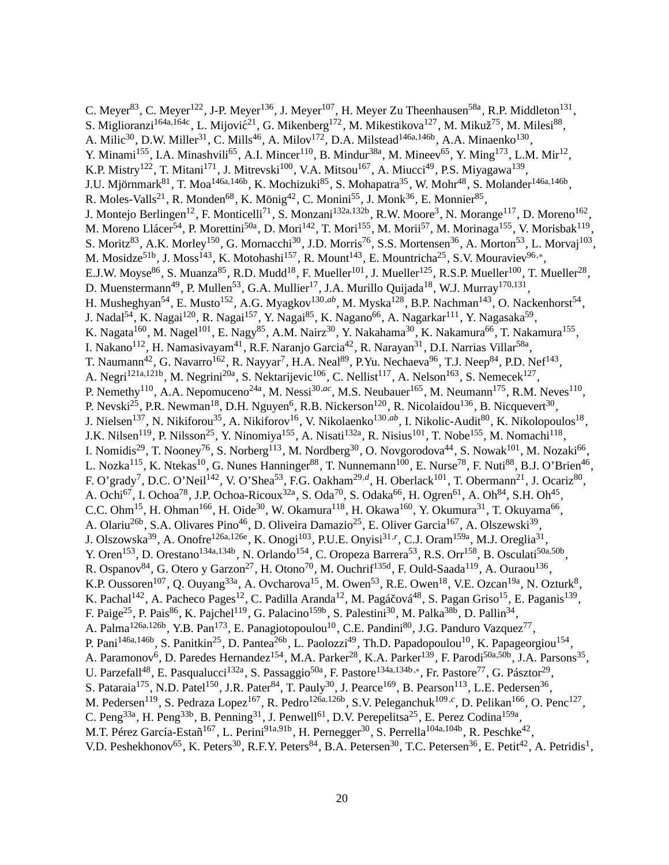C. Meyer<sup>83</sup>, C. Meyer<sup>122</sup>, J-P. Meyer<sup>136</sup>, J. Meyer<sup>107</sup>, H. Meyer Zu Theenhausen<sup>58a</sup>, R.P. Middleton<sup>131</sup>, S. Miglioranzi<sup>164a,164c</sup>, L. Mijović<sup>21</sup>, G. Mikenberg<sup>172</sup>, M. Mikestikova<sup>127</sup>, M. Mikuž<sup>75</sup>, M. Milesi<sup>88</sup>, A. Milic<sup>30</sup>, D.W. Miller<sup>31</sup>, C. Mills<sup>46</sup>, A. Milov<sup>172</sup>, D.A. Milstead<sup>146a,146b</sup>, A.A. Minaenko<sup>130</sup>, Y. Minami<sup>155</sup>, I.A. Minashvili<sup>65</sup>, A.I. Mincer<sup>110</sup>, B. Mindur<sup>38a</sup>, M. Mineev<sup>65</sup>, Y. Ming<sup>173</sup>, L.M. Mir<sup>12</sup>, K.P. Mistry<sup>122</sup>, T. Mitani<sup>171</sup>, J. Mitrevski<sup>100</sup>, V.A. Mitsou<sup>167</sup>, A. Miucci<sup>49</sup>, P.S. Miyagawa<sup>139</sup>, J.U. Mjörnmark<sup>81</sup>, T. Moa<sup>146a,146b</sup>, K. Mochizuki<sup>85</sup>, S. Mohapatra<sup>35</sup>, W. Mohr<sup>48</sup>, S. Molander<sup>146a,146b</sup>, R. Moles-Valls<sup>21</sup>, R. Monden<sup>68</sup>, K. Mönig<sup>42</sup>, C. Monini<sup>55</sup>, J. Monk<sup>36</sup>, E. Monnier<sup>85</sup>, J. Montejo Berlingen<sup>12</sup>, F. Monticelli<sup>71</sup>, S. Monzani<sup>132a,132b</sup>, R.W. Moore<sup>3</sup>, N. Morange<sup>117</sup>, D. Moreno<sup>162</sup>, M. Moreno Llácer<sup>54</sup>, P. Morettini<sup>50a</sup>, D. Mori<sup>142</sup>, T. Mori<sup>155</sup>, M. Morii<sup>57</sup>, M. Morinaga<sup>155</sup>, V. Morisbak<sup>119</sup>, S. Moritz<sup>83</sup>, A.K. Morley<sup>150</sup>, G. Mornacchi<sup>30</sup>, J.D. Morris<sup>76</sup>, S.S. Mortensen<sup>36</sup>, A. Morton<sup>53</sup>, L. Morvaj<sup>103</sup>, M. Mosidze<sup>51b</sup>, J. Moss<sup>143</sup>, K. Motohashi<sup>157</sup>, R. Mount<sup>143</sup>, E. Mountricha<sup>25</sup>, S.V. Mouraviev<sup>96,\*</sup>, E.J.W. Moyse<sup>86</sup>, S. Muanza<sup>85</sup>, R.D. Mudd<sup>18</sup>, F. Mueller<sup>101</sup>, J. Mueller<sup>125</sup>, R.S.P. Mueller<sup>100</sup>, T. Mueller<sup>28</sup>, D. Muenstermann<sup>49</sup>, P. Mullen<sup>53</sup>, G.A. Mullier<sup>17</sup>, J.A. Murillo Quijada<sup>18</sup>, W.J. Murray<sup>170,131</sup>, H. Musheghyan<sup>54</sup>, E. Musto<sup>152</sup>, A.G. Myagkov<sup>130,ab</sup>, M. Myska<sup>128</sup>, B.P. Nachman<sup>143</sup>, O. Nackenhorst<sup>54</sup>, J. Nadal<sup>54</sup>, K. Nagai<sup>120</sup>, R. Nagai<sup>157</sup>, Y. Nagai<sup>85</sup>, K. Nagano<sup>66</sup>, A. Nagarkar<sup>111</sup>, Y. Nagasaka<sup>59</sup>, K. Nagata $^{160}$ , M. Nagel $^{101}$ , E. Nagy $^{85}$ , A.M. Nairz $^{30}$ , Y. Nakahama $^{30}$ , K. Nakamura $^{66}$ , T. Nakamura $^{155}$ , I. Nakano<sup>112</sup>, H. Namasivayam<sup>41</sup>, R.F. Naranjo Garcia<sup>42</sup>, R. Narayan<sup>31</sup>, D.I. Narrias Villar<sup>58a</sup>, T. Naumann<sup>42</sup>, G. Navarro<sup>162</sup>, R. Nayyar<sup>7</sup>, H.A. Neal<sup>89</sup>, P.Yu. Nechaeva<sup>96</sup>, T.J. Neep<sup>84</sup>, P.D. Nef<sup>143</sup>, A. Negri<sup>121a,121b</sup>, M. Negrini<sup>20a</sup>, S. Nektarijevic<sup>106</sup>, C. Nellist<sup>117</sup>, A. Nelson<sup>163</sup>, S. Nemecek<sup>127</sup>, P. Nemethy<sup>110</sup>, A.A. Nepomuceno<sup>24a</sup>, M. Nessi<sup>30,ac</sup>, M.S. Neubauer<sup>165</sup>, M. Neumann<sup>175</sup>, R.M. Neves<sup>110</sup>, P. Nevski<sup>25</sup>, P.R. Newman<sup>18</sup>, D.H. Nguyen<sup>6</sup>, R.B. Nickerson<sup>120</sup>, R. Nicolaidou<sup>136</sup>, B. Nicquevert<sup>30</sup>, J. Nielsen<sup>137</sup>, N. Nikiforou<sup>35</sup>, A. Nikiforov<sup>16</sup>, V. Nikolaenko<sup>130,ab</sup>, I. Nikolic-Audit<sup>80</sup>, K. Nikolopoulos<sup>18</sup>, J.K. Nilsen<sup>119</sup>, P. Nilsson<sup>25</sup>, Y. Ninomiya<sup>155</sup>, A. Nisati<sup>132a</sup>, R. Nisius<sup>101</sup>, T. Nobe<sup>155</sup>, M. Nomachi<sup>118</sup>, I. Nomidis<sup>29</sup>, T. Nooney<sup>76</sup>, S. Norberg<sup>113</sup>, M. Nordberg<sup>30</sup>, O. Novgorodova<sup>44</sup>, S. Nowak<sup>101</sup>, M. Nozaki<sup>66</sup>, L. Nozka<sup>115</sup>, K. Ntekas<sup>10</sup>, G. Nunes Hanninger<sup>88</sup>, T. Nunnemann<sup>100</sup>, E. Nurse<sup>78</sup>, F. Nuti<sup>88</sup>, B.J. O'Brien<sup>46</sup>, F. O'grady<sup>7</sup>, D.C. O'Neil<sup>142</sup>, V. O'Shea<sup>53</sup>, F.G. Oakham<sup>29,d</sup>, H. Oberlack<sup>101</sup>, T. Obermann<sup>21</sup>, J. Ocariz<sup>80</sup>, A. Ochi<sup>67</sup>, I. Ochoa<sup>78</sup>, J.P. Ochoa-Ricoux<sup>32a</sup>, S. Oda<sup>70</sup>, S. Odaka<sup>66</sup>, H. Ogren<sup>61</sup>, A. Oh<sup>84</sup>, S.H. Oh<sup>45</sup>, C.C. Ohm<sup>15</sup>, H. Ohman<sup>166</sup>, H. Oide<sup>30</sup>, W. Okamura<sup>118</sup>, H. Okawa<sup>160</sup>, Y. Okumura<sup>31</sup>, T. Okuyama<sup>66</sup>, A. Olariu<sup>26b</sup>, S.A. Olivares Pino<sup>46</sup>, D. Oliveira Damazio<sup>25</sup>, E. Oliver Garcia<sup>167</sup>, A. Olszewski<sup>39</sup>, J. Olszowska<sup>39</sup>, A. Onofre<sup>126a,126e</sup>, K. Onogi<sup>103</sup>, P.U.E. Onyisi<sup>31,r</sup>, C.J. Oram<sup>159a</sup>, M.J. Oreglia<sup>31</sup>, Y. Oren<sup>153</sup>, D. Orestano<sup>134a,134b</sup>, N. Orlando<sup>154</sup>, C. Oropeza Barrera<sup>53</sup>, R.S. Orr<sup>158</sup>, B. Osculati<sup>50a,50b</sup>, R. Ospanov<sup>84</sup>, G. Otero y Garzon<sup>27</sup>, H. Otono<sup>70</sup>, M. Ouchrif<sup>135d</sup>, F. Ould-Saada<sup>119</sup>, A. Ouraou<sup>136</sup>, K.P. Oussoren<sup>107</sup>, Q. Ouyang<sup>33a</sup>, A. Ovcharova<sup>15</sup>, M. Owen<sup>53</sup>, R.E. Owen<sup>18</sup>, V.E. Ozcan<sup>19a</sup>, N. Ozturk<sup>8</sup>, K. Pachal<sup>142</sup>, A. Pacheco Pages<sup>12</sup>, C. Padilla Aranda<sup>12</sup>, M. Pagáčová<sup>48</sup>, S. Pagan Griso<sup>15</sup>, E. Paganis<sup>139</sup>, F. Paige<sup>25</sup>, P. Pais<sup>86</sup>, K. Pajchel<sup>119</sup>, G. Palacino<sup>159b</sup>, S. Palestini<sup>30</sup>, M. Palka<sup>38b</sup>, D. Pallin<sup>34</sup>, A. Palma<sup>126a,126b</sup>, Y.B. Pan<sup>173</sup>, E. Panagiotopoulou<sup>10</sup>, C.E. Pandini<sup>80</sup>, J.G. Panduro Vazquez<sup>77</sup>, P. Pani<sup>146a,146b</sup>, S. Panitkin<sup>25</sup>, D. Pantea<sup>26b</sup>, L. Paolozzi<sup>49</sup>, Th.D. Papadopoulou<sup>10</sup>, K. Papageorgiou<sup>154</sup>, A. Paramonov<sup>6</sup>, D. Paredes Hernandez<sup>154</sup>, M.A. Parker<sup>28</sup>, K.A. Parker<sup>139</sup>, F. Parodi<sup>50a,50b</sup>, J.A. Parsons<sup>35</sup>, U. Parzefall<sup>48</sup>, E. Pasqualucci<sup>132a</sup>, S. Passaggio<sup>50a</sup>, F. Pastore<sup>134a,134b,\*</sup>, Fr. Pastore<sup>77</sup>, G. Pásztor<sup>29</sup>, S. Pataraia<sup>175</sup>, N.D. Patel<sup>150</sup>, J.R. Pater<sup>84</sup>, T. Pauly<sup>30</sup>, J. Pearce<sup>169</sup>, B. Pearson<sup>113</sup>, L.E. Pedersen<sup>36</sup>, M. Pedersen<sup>119</sup>, S. Pedraza Lopez<sup>167</sup>, R. Pedro<sup>126a,126b</sup>, S.V. Peleganchuk<sup>109,c</sup>, D. Pelikan<sup>166</sup>, O. Penc<sup>127</sup>, C. Peng<sup>33a</sup>, H. Peng<sup>33b</sup>, B. Penning<sup>31</sup>, J. Penwell<sup>61</sup>, D.V. Perepelitsa<sup>25</sup>, E. Perez Codina<sup>159a</sup>, M.T. Pérez García-Estañ<sup>167</sup>, L. Perini<sup>91a,91b</sup>, H. Pernegger<sup>30</sup>, S. Perrella<sup>104a,104b</sup>, R. Peschke<sup>42</sup>, V.D. Peshekhonov<sup>65</sup>, K. Peters<sup>30</sup>, R.F.Y. Peters<sup>84</sup>, B.A. Petersen<sup>30</sup>, T.C. Petersen<sup>36</sup>, E. Petit<sup>42</sup>, A. Petridis<sup>1</sup>,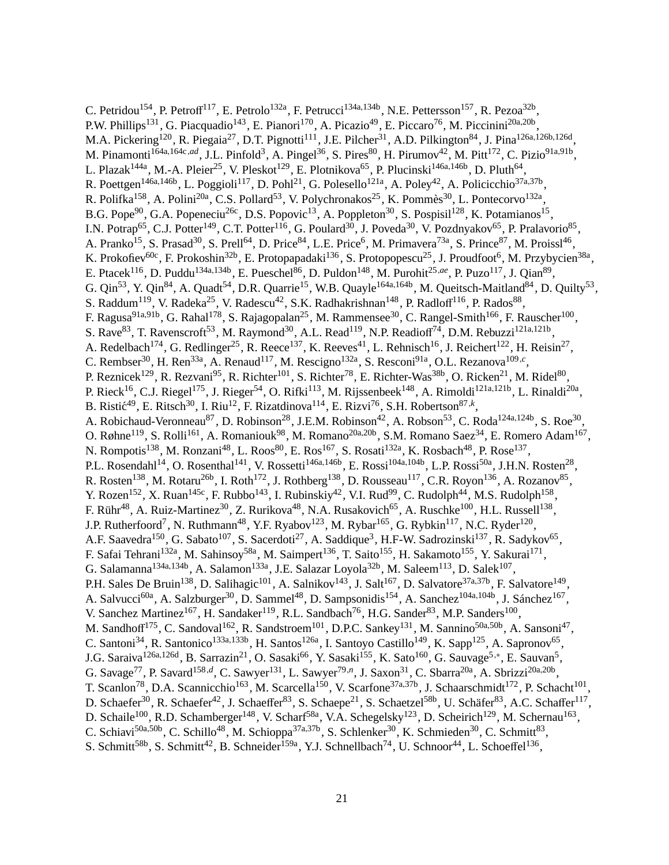C. Petridou<sup>154</sup>, P. Petroff<sup>117</sup>, E. Petrolo<sup>132a</sup>, F. Petrucci<sup>134a,134b</sup>, N.E. Pettersson<sup>157</sup>, R. Pezoa<sup>32b</sup>, P.W. Phillips<sup>131</sup>, G. Piacquadio<sup>143</sup>, E. Pianori<sup>170</sup>, A. Picazio<sup>49</sup>, E. Piccaro<sup>76</sup>, M. Piccinini<sup>20a,20b</sup>, M.A. Pickering<sup>120</sup>, R. Piegaia<sup>27</sup>, D.T. Pignotti<sup>111</sup>, J.E. Pilcher<sup>31</sup>, A.D. Pilkington<sup>84</sup>, J. Pina<sup>126a,126b,126d</sup>, M. Pinamonti<sup>164a,164c,ad</sup>, J.L. Pinfold<sup>3</sup>, A. Pingel<sup>36</sup>, S. Pires<sup>80</sup>, H. Pirumov<sup>42</sup>, M. Pitt<sup>172</sup>, C. Pizio<sup>91a,91b</sup>, L. Plazak<sup>144a</sup>, M.-A. Pleier<sup>25</sup>, V. Pleskot<sup>129</sup>, E. Plotnikova<sup>65</sup>, P. Plucinski<sup>146a,146b</sup>, D. Pluth<sup>64</sup>, R. Poettgen<sup>146a,146b</sup>, L. Poggioli<sup>117</sup>, D. Pohl<sup>21</sup>, G. Polesello<sup>121a</sup>, A. Poley<sup>42</sup>, A. Policicchio<sup>37a,37b</sup>, R. Polifka<sup>158</sup>, A. Polini<sup>20a</sup>, C.S. Pollard<sup>53</sup>, V. Polychronakos<sup>25</sup>, K. Pommès<sup>30</sup>, L. Pontecorvo<sup>132a</sup>, B.G. Pope<sup>90</sup>, G.A. Popeneciu<sup>26c</sup>, D.S. Popovic<sup>13</sup>, A. Poppleton<sup>30</sup>, S. Pospisil<sup>128</sup>, K. Potamianos<sup>15</sup>, I.N. Potrap<sup>65</sup>, C.J. Potter<sup>149</sup>, C.T. Potter<sup>116</sup>, G. Poulard<sup>30</sup>, J. Poveda<sup>30</sup>, V. Pozdnyakov<sup>65</sup>, P. Pralavorio<sup>85</sup>, A. Pranko<sup>15</sup>, S. Prasad<sup>30</sup>, S. Prell<sup>64</sup>, D. Price<sup>84</sup>, L.E. Price<sup>6</sup>, M. Primavera<sup>73a</sup>, S. Prince<sup>87</sup>, M. Proissl<sup>46</sup>, K. Prokofiev<sup>60c</sup>, F. Prokoshin<sup>32b</sup>, E. Protopapadaki<sup>136</sup>, S. Protopopescu<sup>25</sup>, J. Proudfoot<sup>6</sup>, M. Przybycien<sup>38a</sup>, E. Ptacek<sup>116</sup>, D. Puddu<sup>134a,134b</sup>, E. Pueschel<sup>86</sup>, D. Puldon<sup>148</sup>, M. Purohit<sup>25,ae</sup>, P. Puzo<sup>117</sup>, J. Qian<sup>89</sup>, G. Qin<sup>53</sup>, Y. Qin<sup>84</sup>, A. Quadt<sup>54</sup>, D.R. Quarrie<sup>15</sup>, W.B. Quayle<sup>164a,164b</sup>, M. Queitsch-Maitland<sup>84</sup>, D. Quilty<sup>53</sup>, S. Raddum<sup>119</sup>, V. Radeka<sup>25</sup>, V. Radescu<sup>42</sup>, S.K. Radhakrishnan<sup>148</sup>, P. Radloff<sup>116</sup>, P. Rados<sup>88</sup>, F. Ragusa<sup>91a,91b</sup>, G. Rahal<sup>178</sup>, S. Rajagopalan<sup>25</sup>, M. Rammensee<sup>30</sup>, C. Rangel-Smith<sup>166</sup>, F. Rauscher<sup>100</sup>, S. Rave<sup>83</sup>, T. Ravenscroft<sup>53</sup>, M. Raymond<sup>30</sup>, A.L. Read<sup>119</sup>, N.P. Readioff<sup>74</sup>, D.M. Rebuzzi<sup>121a,121b</sup>, A. Redelbach<sup>174</sup>, G. Redlinger<sup>25</sup>, R. Reece<sup>137</sup>, K. Reeves<sup>41</sup>, L. Rehnisch<sup>16</sup>, J. Reichert<sup>122</sup>, H. Reisin<sup>27</sup>, C. Rembser<sup>30</sup>, H. Ren<sup>33a</sup>, A. Renaud<sup>117</sup>, M. Rescigno<sup>132a</sup>, S. Resconi<sup>91a</sup>, O.L. Rezanova<sup>109,*c*</sup>, P. Reznicek<sup>129</sup>, R. Rezvani<sup>95</sup>, R. Richter<sup>101</sup>, S. Richter<sup>78</sup>, E. Richter-Was<sup>38b</sup>, O. Ricken<sup>21</sup>, M. Ridel<sup>80</sup>, P. Rieck<sup>16</sup>, C.J. Riegel<sup>175</sup>, J. Rieger<sup>54</sup>, O. Rifki<sup>113</sup>, M. Rijssenbeek<sup>148</sup>, A. Rimoldi<sup>121a,121b</sup>, L. Rinaldi<sup>20a</sup>, B. Ristic<sup>49</sup>, E. Ritsch<sup>30</sup>, I. Riu<sup>12</sup>, F. Rizatdinova<sup>114</sup>, E. Rizvi<sup>76</sup>, S.H. Robertson<sup>87,k</sup>, A. Robichaud-Veronneau<sup>87</sup>, D. Robinson<sup>28</sup>, J.E.M. Robinson<sup>42</sup>, A. Robson<sup>53</sup>, C. Roda<sup>124a,124b</sup>, S. Roe<sup>30</sup>, O. Røhne<sup>119</sup>, S. Rolli<sup>161</sup>, A. Romaniouk<sup>98</sup>, M. Romano<sup>20a,20b</sup>, S.M. Romano Saez<sup>34</sup>, E. Romero Adam<sup>167</sup>, N. Rompotis<sup>138</sup>, M. Ronzani<sup>48</sup>, L. Roos<sup>80</sup>, E. Ros<sup>167</sup>, S. Rosati<sup>132a</sup>, K. Rosbach<sup>48</sup>, P. Rose<sup>137</sup>, P.L. Rosendahl<sup>14</sup>, O. Rosenthal<sup>141</sup>, V. Rossetti<sup>146a,146b</sup>, E. Rossi<sup>104a,104b</sup>, L.P. Rossi<sup>50a</sup>, J.H.N. Rosten<sup>28</sup>, R. Rosten<sup>138</sup>, M. Rotaru<sup>26b</sup>, I. Roth<sup>172</sup>, J. Rothberg<sup>138</sup>, D. Rousseau<sup>117</sup>, C.R. Royon<sup>136</sup>, A. Rozanov<sup>85</sup>, Y. Rozen<sup>152</sup>, X. Ruan<sup>145c</sup>, F. Rubbo<sup>143</sup>, I. Rubinskiy<sup>42</sup>, V.I. Rud<sup>99</sup>, C. Rudolph<sup>44</sup>, M.S. Rudolph<sup>158</sup>, F. Rühr<sup>48</sup>, A. Ruiz-Martinez<sup>30</sup>, Z. Rurikova<sup>48</sup>, N.A. Rusakovich<sup>65</sup>, A. Ruschke<sup>100</sup>, H.L. Russell<sup>138</sup>, J.P. Rutherfoord<sup>7</sup>, N. Ruthmann<sup>48</sup>, Y.F. Ryabov<sup>123</sup>, M. Rybar<sup>165</sup>, G. Rybkin<sup>117</sup>, N.C. Ryder<sup>120</sup>, A.F. Saavedra<sup>150</sup>, G. Sabato<sup>107</sup>, S. Sacerdoti<sup>27</sup>, A. Saddique<sup>3</sup>, H.F-W. Sadrozinski<sup>137</sup>, R. Sadykov<sup>65</sup>, F. Safai Tehrani<sup>132a</sup>, M. Sahinsoy<sup>58a</sup>, M. Saimpert<sup>136</sup>, T. Saito<sup>155</sup>, H. Sakamoto<sup>155</sup>, Y. Sakurai<sup>171</sup>, G. Salamanna<sup>134a,134b</sup>, A. Salamon<sup>133a</sup>, J.E. Salazar Loyola<sup>32b</sup>, M. Saleem<sup>113</sup>, D. Salek<sup>107</sup>, P.H. Sales De Bruin<sup>138</sup>, D. Salihagic<sup>101</sup>, A. Salnikov<sup>143</sup>, J. Salt<sup>167</sup>, D. Salvatore<sup>37a,37b</sup>, F. Salvatore<sup>149</sup>, A. Salvucci<sup>60a</sup>, A. Salzburger<sup>30</sup>, D. Sammel<sup>48</sup>, D. Sampsonidis<sup>154</sup>, A. Sanchez<sup>104a,104b</sup>, J. Sánchez<sup>167</sup>, V. Sanchez Martinez<sup>167</sup>, H. Sandaker<sup>119</sup>, R.L. Sandbach<sup>76</sup>, H.G. Sander<sup>83</sup>, M.P. Sanders<sup>100</sup>, M. Sandhoff<sup>175</sup>, C. Sandoval<sup>162</sup>, R. Sandstroem<sup>101</sup>, D.P.C. Sankey<sup>131</sup>, M. Sannino<sup>50a,50b</sup>, A. Sansoni<sup>47</sup>, C. Santoni<sup>34</sup>, R. Santonico<sup>133a,133b</sup>, H. Santos<sup>126a</sup>, I. Santoyo Castillo<sup>149</sup>, K. Sapp<sup>125</sup>, A. Sapronov<sup>65</sup>, J.G. Saraiva<sup>126a,126d</sup>, B. Sarrazin<sup>21</sup>, O. Sasaki<sup>66</sup>, Y. Sasaki<sup>155</sup>, K. Sato<sup>160</sup>, G. Sauvage<sup>5,\*</sup>, E. Sauvan<sup>5</sup>, G. Savage<sup>77</sup>, P. Savard<sup>158,d</sup>, C. Sawyer<sup>131</sup>, L. Sawyer<sup>79,n</sup>, J. Saxon<sup>31</sup>, C. Sbarra<sup>20a</sup>, A. Sbrizzi<sup>20a,20b</sup>, T. Scanlon<sup>78</sup>, D.A. Scannicchio<sup>163</sup>, M. Scarcella<sup>150</sup>, V. Scarfone<sup>37a,37b</sup>, J. Schaarschmidt<sup>172</sup>, P. Schacht<sup>101</sup>, D. Schaefer<sup>30</sup>, R. Schaefer<sup>42</sup>, J. Schaeffer<sup>83</sup>, S. Schaepe<sup>21</sup>, S. Schaetzel<sup>58b</sup>, U. Schäfer<sup>83</sup>, A.C. Schaffer<sup>117</sup>, D. Schaile<sup>100</sup>, R.D. Schamberger<sup>148</sup>, V. Scharf<sup>58a</sup>, V.A. Schegelsky<sup>123</sup>, D. Scheirich<sup>129</sup>, M. Schernau<sup>163</sup>, C. Schiavi<sup>50a,50b</sup>, C. Schillo<sup>48</sup>, M. Schioppa<sup>37a,37b</sup>, S. Schlenker<sup>30</sup>, K. Schmieden<sup>30</sup>, C. Schmitt<sup>83</sup>, S. Schmitt<sup>58b</sup>, S. Schmitt<sup>42</sup>, B. Schneider<sup>159a</sup>, Y.J. Schnellbach<sup>74</sup>, U. Schnoor<sup>44</sup>, L. Schoeffel<sup>136</sup>,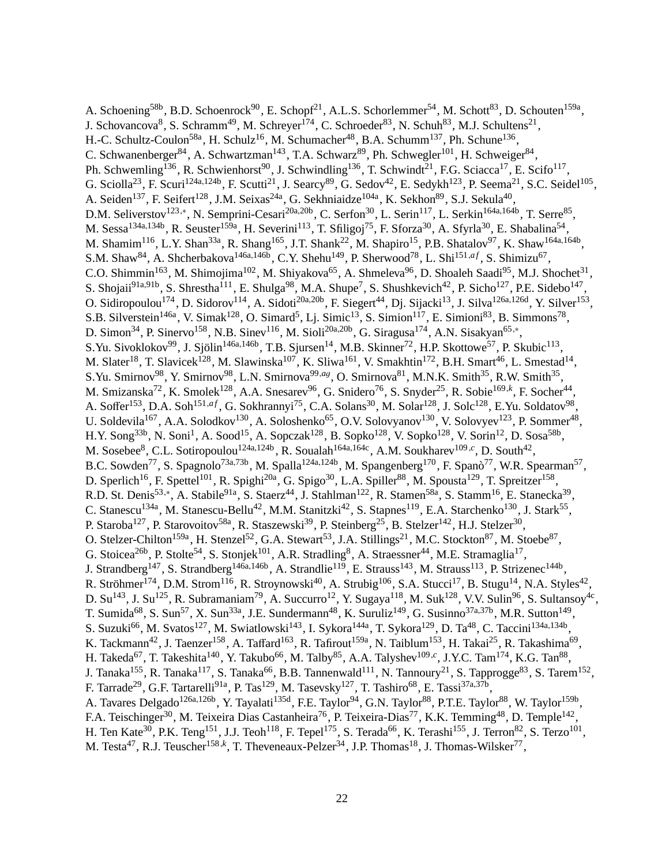A. Schoening<sup>58b</sup>, B.D. Schoenrock<sup>90</sup>, E. Schopf<sup>21</sup>, A.L.S. Schorlemmer<sup>54</sup>, M. Schott<sup>83</sup>, D. Schouten<sup>159a</sup>, J. Schovancova<sup>8</sup>, S. Schramm<sup>49</sup>, M. Schreyer<sup>174</sup>, C. Schroeder<sup>83</sup>, N. Schuh<sup>83</sup>, M.J. Schultens<sup>21</sup>, H.-C. Schultz-Coulon<sup>58a</sup>, H. Schulz<sup>16</sup>, M. Schumacher<sup>48</sup>, B.A. Schumm<sup>137</sup>, Ph. Schune<sup>136</sup>, C. Schwanenberger<sup>84</sup>, A. Schwartzman<sup>143</sup>, T.A. Schwarz<sup>89</sup>, Ph. Schwegler<sup>101</sup>, H. Schweiger<sup>84</sup>, Ph. Schwemling<sup>136</sup>, R. Schwienhorst<sup>90</sup>, J. Schwindling<sup>136</sup>, T. Schwindt<sup>21</sup>, F.G. Sciacca<sup>17</sup>, E. Scifo<sup>117</sup>, G. Sciolla<sup>23</sup>, F. Scuri<sup>124a,124b</sup>, F. Scutti<sup>21</sup>, J. Searcy<sup>89</sup>, G. Sedov<sup>42</sup>, E. Sedykh<sup>123</sup>, P. Seema<sup>21</sup>, S.C. Seidel<sup>105</sup>, A. Seiden<sup>137</sup>, F. Seifert<sup>128</sup>, J.M. Seixas<sup>24a</sup>, G. Sekhniaidze<sup>104a</sup>, K. Sekhon<sup>89</sup>, S.J. Sekula<sup>40</sup>, D.M. Seliverstov<sup>123,∗</sup>, N. Semprini-Cesari<sup>20a,20b</sup>, C. Serfon<sup>30</sup>, L. Serin<sup>117</sup>, L. Serkin<sup>164a,164b</sup>, T. Serre<sup>85</sup>, M. Sessa<sup>134a,134b</sup>, R. Seuster<sup>159a</sup>, H. Severini<sup>113</sup>, T. Sfiligoj<sup>75</sup>, F. Sforza<sup>30</sup>, A. Sfyrla<sup>30</sup>, E. Shabalina<sup>54</sup>, M. Shamim<sup>116</sup>, L.Y. Shan<sup>33a</sup>, R. Shang<sup>165</sup>, J.T. Shank<sup>22</sup>, M. Shapiro<sup>15</sup>, P.B. Shatalov<sup>97</sup>, K. Shaw<sup>164a,164b</sup>, S.M. Shaw<sup>84</sup>, A. Shcherbakova<sup>146a,146b</sup>, C.Y. Shehu<sup>149</sup>, P. Sherwood<sup>78</sup>, L. Shi<sup>151,af</sup>, S. Shimizu<sup>67</sup>, C.O. Shimmin<sup>163</sup>, M. Shimojima<sup>102</sup>, M. Shiyakova<sup>65</sup>, A. Shmeleva<sup>96</sup>, D. Shoaleh Saadi<sup>95</sup>, M.J. Shochet<sup>31</sup>, S. Shojaii<sup>91a,91b</sup>, S. Shrestha<sup>111</sup>, E. Shulga<sup>98</sup>, M.A. Shupe<sup>7</sup>, S. Shushkevich<sup>42</sup>, P. Sicho<sup>127</sup>, P.E. Sidebo<sup>147</sup>, O. Sidiropoulou<sup>174</sup>, D. Sidorov<sup>114</sup>, A. Sidoti<sup>20a,20b</sup>, F. Siegert<sup>44</sup>, Dj. Sijacki<sup>13</sup>, J. Silva<sup>126a,126d</sup>, Y. Silver<sup>153</sup>, S.B. Silverstein<sup>146a</sup>, V. Simak<sup>128</sup>, O. Simard<sup>5</sup>, Lj. Simic<sup>13</sup>, S. Simion<sup>117</sup>, E. Simioni<sup>83</sup>, B. Simmons<sup>78</sup>, D. Simon<sup>34</sup>, P. Sinervo<sup>158</sup>, N.B. Sinev<sup>116</sup>, M. Sioli<sup>20a,20b</sup>, G. Siragusa<sup>174</sup>, A.N. Sisakyan<sup>65,\*</sup>, S.Yu. Sivoklokov<sup>99</sup>, J. Sjölin<sup>146a,146b</sup>, T.B. Sjursen<sup>14</sup>, M.B. Skinner<sup>72</sup>, H.P. Skottowe<sup>57</sup>, P. Skubic<sup>113</sup>, M. Slater<sup>18</sup>, T. Slavicek<sup>128</sup>, M. Slawinska<sup>107</sup>, K. Sliwa<sup>161</sup>, V. Smakhtin<sup>172</sup>, B.H. Smart<sup>46</sup>, L. Smestad<sup>14</sup>, S.Yu. Smirnov<sup>98</sup>, Y. Smirnov<sup>98</sup>, L.N. Smirnova<sup>99,ag</sup>, O. Smirnova<sup>81</sup>, M.N.K. Smith<sup>35</sup>, R.W. Smith<sup>35</sup>, M. Smizanska<sup>72</sup>, K. Smolek<sup>128</sup>, A.A. Snesarev<sup>96</sup>, G. Snidero<sup>76</sup>, S. Snyder<sup>25</sup>, R. Sobie<sup>169,k</sup>, F. Socher<sup>44</sup>, A. Soffer<sup>153</sup>, D.A. Soh<sup>151,af</sup>, G. Sokhrannyi<sup>75</sup>, C.A. Solans<sup>30</sup>, M. Solar<sup>128</sup>, J. Solc<sup>128</sup>, E.Yu. Soldatov<sup>98</sup>, U. Soldevila<sup>167</sup>, A.A. Solodkov<sup>130</sup>, A. Soloshenko<sup>65</sup>, O.V. Solovyanov<sup>130</sup>, V. Solovyev<sup>123</sup>, P. Sommer<sup>48</sup>, H.Y. Song<sup>33b</sup>, N. Soni<sup>1</sup>, A. Sood<sup>15</sup>, A. Sopczak<sup>128</sup>, B. Sopko<sup>128</sup>, V. Sopko<sup>128</sup>, V. Sorin<sup>12</sup>, D. Sosa<sup>58b</sup>, M. Sosebee<sup>8</sup>, C.L. Sotiropoulou<sup>124a,124b</sup>, R. Soualah<sup>164a,164c</sup>, A.M. Soukharev<sup>109,c</sup>, D. South<sup>42</sup>, B.C. Sowden<sup>77</sup>, S. Spagnolo<sup>73a,73b</sup>, M. Spalla<sup>124a,124b</sup>, M. Spangenberg<sup>170</sup>, F. Spanò<sup>77</sup>, W.R. Spearman<sup>57</sup>, D. Sperlich<sup>16</sup>, F. Spettel<sup>101</sup>, R. Spighi<sup>20a</sup>, G. Spigo<sup>30</sup>, L.A. Spiller<sup>88</sup>, M. Spousta<sup>129</sup>, T. Spreitzer<sup>158</sup>, R.D. St. Denis<sup>53,\*</sup>, A. Stabile<sup>91a</sup>, S. Staerz<sup>44</sup>, J. Stahlman<sup>122</sup>, R. Stamen<sup>58a</sup>, S. Stamm<sup>16</sup>, E. Stanecka<sup>39</sup>, C. Stanescu<sup>134a</sup>, M. Stanescu-Bellu<sup>42</sup>, M.M. Stanitzki<sup>42</sup>, S. Stapnes<sup>119</sup>, E.A. Starchenko<sup>130</sup>, J. Stark<sup>55</sup>, P. Staroba<sup>127</sup>, P. Starovoitov<sup>58a</sup>, R. Staszewski<sup>39</sup>, P. Steinberg<sup>25</sup>, B. Stelzer<sup>142</sup>, H.J. Stelzer<sup>30</sup>, O. Stelzer-Chilton<sup>159a</sup>, H. Stenzel<sup>52</sup>, G.A. Stewart<sup>53</sup>, J.A. Stillings<sup>21</sup>, M.C. Stockton<sup>87</sup>, M. Stoebe<sup>87</sup>, G. Stoicea<sup>26b</sup>, P. Stolte<sup>54</sup>, S. Stonjek<sup>101</sup>, A.R. Stradling<sup>8</sup>, A. Straessner<sup>44</sup>, M.E. Stramaglia<sup>17</sup>, J. Strandberg<sup>147</sup>, S. Strandberg<sup>146a,146b</sup>, A. Strandlie<sup>119</sup>, E. Strauss<sup>143</sup>, M. Strauss<sup>113</sup>, P. Strizenec<sup>144b</sup>, R. Ströhmer<sup>174</sup>, D.M. Strom<sup>116</sup>, R. Stroynowski<sup>40</sup>, A. Strubig<sup>106</sup>, S.A. Stucci<sup>17</sup>, B. Stugu<sup>14</sup>, N.A. Styles<sup>42</sup>, D. Su<sup>143</sup>, J. Su<sup>125</sup>, R. Subramaniam<sup>79</sup>, A. Succurro<sup>12</sup>, Y. Sugaya<sup>118</sup>, M. Suk<sup>128</sup>, V.V. Sulin<sup>96</sup>, S. Sultansoy<sup>4c</sup>, T. Sumida<sup>68</sup>, S. Sun<sup>57</sup>, X. Sun<sup>33a</sup>, J.E. Sundermann<sup>48</sup>, K. Suruliz<sup>149</sup>, G. Susinno<sup>37a,37b</sup>, M.R. Sutton<sup>149</sup>, S. Suzuki<sup>66</sup>, M. Svatos<sup>127</sup>, M. Swiatlowski<sup>143</sup>, I. Sykora<sup>144a</sup>, T. Sykora<sup>129</sup>, D. Ta<sup>48</sup>, C. Taccini<sup>134a,134b</sup>, K. Tackmann<sup>42</sup>, J. Taenzer<sup>158</sup>, A. Taffard<sup>163</sup>, R. Tafirout<sup>159a</sup>, N. Taiblum<sup>153</sup>, H. Takai<sup>25</sup>, R. Takashima<sup>69</sup>, H. Takeda<sup>67</sup>, T. Takeshita<sup>140</sup>, Y. Takubo<sup>66</sup>, M. Talby<sup>85</sup>, A.A. Talyshev<sup>109,c</sup>, J.Y.C. Tam<sup>174</sup>, K.G. Tan<sup>88</sup>, J. Tanaka<sup>155</sup>, R. Tanaka<sup>117</sup>, S. Tanaka<sup>66</sup>, B.B. Tannenwald<sup>111</sup>, N. Tannoury<sup>21</sup>, S. Tapprogge<sup>83</sup>, S. Tarem<sup>152</sup>, F. Tarrade<sup>29</sup>, G.F. Tartarelli<sup>91a</sup>, P. Tas<sup>129</sup>, M. Tasevsky<sup>127</sup>, T. Tashiro<sup>68</sup>, E. Tassi<sup>37a,37b</sup>, A. Tavares Delgado<sup>126a,126b</sup>, Y. Tayalati<sup>135d</sup>, F.E. Taylor<sup>94</sup>, G.N. Taylor<sup>88</sup>, P.T.E. Taylor<sup>88</sup>, W. Taylor<sup>159b</sup>, F.A. Teischinger<sup>30</sup>, M. Teixeira Dias Castanheira<sup>76</sup>, P. Teixeira-Dias<sup>77</sup>, K.K. Temming<sup>48</sup>, D. Temple<sup>142</sup>, H. Ten Kate<sup>30</sup>, P.K. Teng<sup>151</sup>, J.J. Teoh<sup>118</sup>, F. Tepel<sup>175</sup>, S. Terada<sup>66</sup>, K. Terashi<sup>155</sup>, J. Terron<sup>82</sup>, S. Terzo<sup>101</sup>, M. Testa<sup>47</sup>, R.J. Teuscher<sup>158,k</sup>, T. Theveneaux-Pelzer<sup>34</sup>, J.P. Thomas<sup>18</sup>, J. Thomas-Wilsker<sup>77</sup>,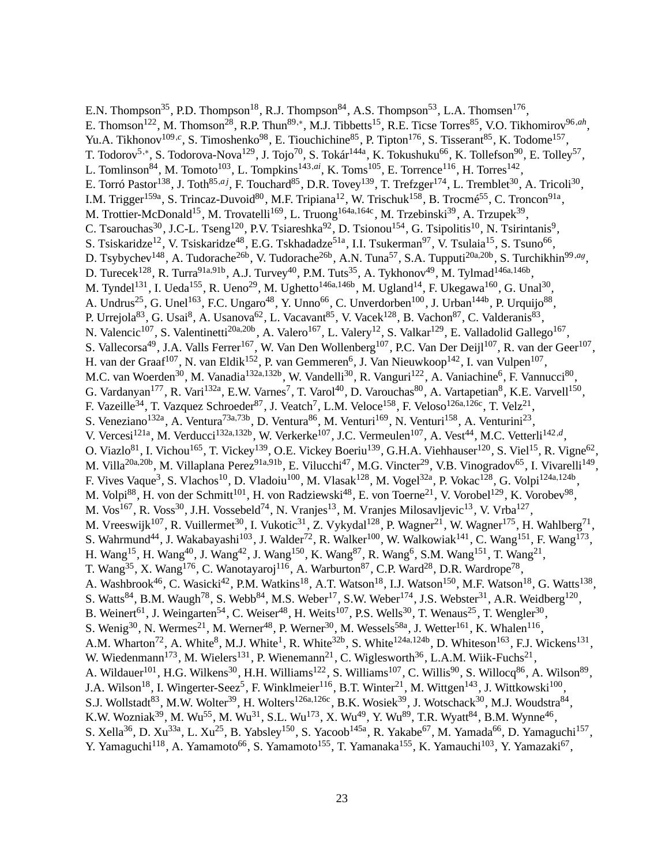E.N. Thompson<sup>35</sup>, P.D. Thompson<sup>18</sup>, R.J. Thompson<sup>84</sup>, A.S. Thompson<sup>53</sup>, L.A. Thomsen<sup>176</sup>, E. Thomson<sup>122</sup>, M. Thomson<sup>28</sup>, R.P. Thun<sup>89,\*</sup>, M.J. Tibbetts<sup>15</sup>, R.E. Ticse Torres<sup>85</sup>, V.O. Tikhomirov<sup>96,*ah*</sup>, Yu.A. Tikhonov<sup>109,c</sup>, S. Timoshenko<sup>98</sup>, E. Tiouchichine<sup>85</sup>, P. Tipton<sup>176</sup>, S. Tisserant<sup>85</sup>, K. Todome<sup>157</sup>, T. Todorov<sup>5,∗</sup>, S. Todorova-Nova<sup>129</sup>, J. Tojo<sup>70</sup>, S. Tokár<sup>144a</sup>, K. Tokushuku<sup>66</sup>, K. Tollefson<sup>90</sup>, E. Tolley<sup>57</sup>, L. Tomlinson<sup>84</sup>, M. Tomoto<sup>103</sup>, L. Tompkins<sup>143,*ai*</sup>, K. Toms<sup>105</sup>, E. Torrence<sup>116</sup>, H. Torres<sup>142</sup>, E. Torró Pastor<sup>138</sup>, J. Toth<sup>85,aj</sup>, F. Touchard<sup>85</sup>, D.R. Tovey<sup>139</sup>, T. Trefzger<sup>174</sup>, L. Tremblet<sup>30</sup>, A. Tricoli<sup>30</sup>, I.M. Trigger<sup>159a</sup>, S. Trincaz-Duvoid<sup>80</sup>, M.F. Tripiana<sup>12</sup>, W. Trischuk<sup>158</sup>, B. Trocmé<sup>55</sup>, C. Troncon<sup>91a</sup>, M. Trottier-McDonald<sup>15</sup>, M. Trovatelli<sup>169</sup>, L. Truong<sup>164a,164c</sup>, M. Trzebinski<sup>39</sup>, A. Trzupek<sup>39</sup>, C. Tsarouchas<sup>30</sup>, J.C-L. Tseng<sup>120</sup>, P.V. Tsiareshka<sup>92</sup>, D. Tsionou<sup>154</sup>, G. Tsipolitis<sup>10</sup>, N. Tsirintanis<sup>9</sup>, S. Tsiskaridze<sup>12</sup>, V. Tsiskaridze<sup>48</sup>, E.G. Tskhadadze<sup>51a</sup>, I.I. Tsukerman<sup>97</sup>, V. Tsulaia<sup>15</sup>, S. Tsuno<sup>66</sup>, D. Tsybychev<sup>148</sup>, A. Tudorache<sup>26b</sup>, V. Tudorache<sup>26b</sup>, A.N. Tuna<sup>57</sup>, S.A. Tupputi<sup>20a,20b</sup>, S. Turchikhin<sup>99,ag</sup>, D. Turecek<sup>128</sup>, R. Turra<sup>91a,91b</sup>, A.J. Turvey<sup>40</sup>, P.M. Tuts<sup>35</sup>, A. Tykhonov<sup>49</sup>, M. Tylmad<sup>146a,146b</sup>, M. Tyndel<sup>131</sup>, I. Ueda<sup>155</sup>, R. Ueno<sup>29</sup>, M. Ughetto<sup>146a,146b</sup>, M. Ugland<sup>14</sup>, F. Ukegawa<sup>160</sup>, G. Unal<sup>30</sup>, A. Undrus<sup>25</sup>, G. Unel<sup>163</sup>, F.C. Ungaro<sup>48</sup>, Y. Unno<sup>66</sup>, C. Unverdorben<sup>100</sup>, J. Urban<sup>144b</sup>, P. Urquijo<sup>88</sup>, P. Urrejola<sup>83</sup>, G. Usai<sup>8</sup>, A. Usanova<sup>62</sup>, L. Vacavant<sup>85</sup>, V. Vacek<sup>128</sup>, B. Vachon<sup>87</sup>, C. Valderanis<sup>83</sup>, N. Valencic<sup>107</sup>, S. Valentinetti<sup>20a,20b</sup>, A. Valero<sup>167</sup>, L. Valery<sup>12</sup>, S. Valkar<sup>129</sup>, E. Valladolid Gallego<sup>167</sup>, S. Vallecorsa<sup>49</sup>, J.A. Valls Ferrer<sup>167</sup>, W. Van Den Wollenberg<sup>107</sup>, P.C. Van Der Deijl<sup>107</sup>, R. van der Geer<sup>107</sup>, H. van der Graaf<sup>107</sup>, N. van Eldik<sup>152</sup>, P. van Gemmeren<sup>6</sup>, J. Van Nieuwkoop<sup>142</sup>, I. van Vulpen<sup>107</sup>, M.C. van Woerden<sup>30</sup>, M. Vanadia<sup>132a,132b</sup>, W. Vandelli<sup>30</sup>, R. Vanguri<sup>122</sup>, A. Vaniachine<sup>6</sup>, F. Vannucci<sup>80</sup>, G. Vardanyan<sup>177</sup>, R. Vari<sup>132a</sup>, E.W. Varnes<sup>7</sup>, T. Varol<sup>40</sup>, D. Varouchas<sup>80</sup>, A. Vartapetian<sup>8</sup>, K.E. Varvell<sup>150</sup>, F. Vazeille<sup>34</sup>, T. Vazquez Schroeder<sup>87</sup>, J. Veatch<sup>7</sup>, L.M. Veloce<sup>158</sup>, F. Veloso<sup>126a,126c</sup>, T. Velz<sup>21</sup>, S. Veneziano<sup>132a</sup>, A. Ventura<sup>73a,73b</sup>, D. Ventura<sup>86</sup>, M. Venturi<sup>169</sup>, N. Venturi<sup>158</sup>, A. Venturini<sup>23</sup>, V. Vercesi<sup>121a</sup>, M. Verducci<sup>132a,132b</sup>, W. Verkerke<sup>107</sup>, J.C. Vermeulen<sup>107</sup>, A. Vest<sup>44</sup>, M.C. Vetterli<sup>142,d</sup>, O. Viazlo<sup>81</sup>, I. Vichou<sup>165</sup>, T. Vickey<sup>139</sup>, O.E. Vickey Boeriu<sup>139</sup>, G.H.A. Viehhauser<sup>120</sup>, S. Viel<sup>15</sup>, R. Vigne<sup>62</sup>, M. Villa<sup>20a,20b</sup>, M. Villaplana Perez<sup>91a,91b</sup>, E. Vilucchi<sup>47</sup>, M.G. Vincter<sup>29</sup>, V.B. Vinogradov<sup>65</sup>, I. Vivarelli<sup>149</sup>, F. Vives Vaque<sup>3</sup>, S. Vlachos<sup>10</sup>, D. Vladoiu<sup>100</sup>, M. Vlasak<sup>128</sup>, M. Vogel<sup>32a</sup>, P. Vokac<sup>128</sup>, G. Volpi<sup>124a,124b</sup>, M. Volpi<sup>88</sup>, H. von der Schmitt<sup>101</sup>, H. von Radziewski<sup>48</sup>, E. von Toerne<sup>21</sup>, V. Vorobel<sup>129</sup>, K. Vorobev<sup>98</sup>, M. Vos<sup>167</sup>, R. Voss<sup>30</sup>, J.H. Vossebeld<sup>74</sup>, N. Vranjes<sup>13</sup>, M. Vranjes Milosavljevic<sup>13</sup>, V. Vrba<sup>127</sup>, M. Vreeswijk<sup>107</sup>, R. Vuillermet<sup>30</sup>, I. Vukotic<sup>31</sup>, Z. Vykydal<sup>128</sup>, P. Wagner<sup>21</sup>, W. Wagner<sup>175</sup>, H. Wahlberg<sup>71</sup>, S. Wahrmund<sup>44</sup>, J. Wakabayashi<sup>103</sup>, J. Walder<sup>72</sup>, R. Walker<sup>100</sup>, W. Walkowiak<sup>141</sup>, C. Wang<sup>151</sup>, F. Wang<sup>173</sup>, H. Wang<sup>15</sup>, H. Wang<sup>40</sup>, J. Wang<sup>42</sup>, J. Wang<sup>150</sup>, K. Wang<sup>87</sup>, R. Wang<sup>6</sup>, S.M. Wang<sup>151</sup>, T. Wang<sup>21</sup>, T. Wang<sup>35</sup>, X. Wang<sup>176</sup>, C. Wanotayaroj<sup>116</sup>, A. Warburton<sup>87</sup>, C.P. Ward<sup>28</sup>, D.R. Wardrope<sup>78</sup>, A. Washbrook<sup>46</sup>, C. Wasicki<sup>42</sup>, P.M. Watkins<sup>18</sup>, A.T. Watson<sup>18</sup>, I.J. Watson<sup>150</sup>, M.F. Watson<sup>18</sup>, G. Watts<sup>138</sup>, S. Watts<sup>84</sup>, B.M. Waugh<sup>78</sup>, S. Webb<sup>84</sup>, M.S. Weber<sup>17</sup>, S.W. Weber<sup>174</sup>, J.S. Webster<sup>31</sup>, A.R. Weidberg<sup>120</sup>, B. Weinert<sup>61</sup>, J. Weingarten<sup>54</sup>, C. Weiser<sup>48</sup>, H. Weits<sup>107</sup>, P.S. Wells<sup>30</sup>, T. Wenaus<sup>25</sup>, T. Wengler<sup>30</sup>, S. Wenig<sup>30</sup>, N. Wermes<sup>21</sup>, M. Werner<sup>48</sup>, P. Werner<sup>30</sup>, M. Wessels<sup>58a</sup>, J. Wetter<sup>161</sup>, K. Whalen<sup>116</sup>, A.M. Wharton<sup>72</sup>, A. White<sup>8</sup>, M.J. White<sup>1</sup>, R. White<sup>32b</sup>, S. White<sup>124a,124b</sup>, D. Whiteson<sup>163</sup>, F.J. Wickens<sup>131</sup>, W. Wiedenmann<sup>173</sup>, M. Wielers<sup>131</sup>, P. Wienemann<sup>21</sup>, C. Wiglesworth<sup>36</sup>, L.A.M. Wiik-Fuchs<sup>21</sup>, A. Wildauer<sup>101</sup>, H.G. Wilkens<sup>30</sup>, H.H. Williams<sup>122</sup>, S. Williams<sup>107</sup>, C. Willis<sup>90</sup>, S. Willocq<sup>86</sup>, A. Wilson<sup>89</sup>, J.A. Wilson<sup>18</sup>, I. Wingerter-Seez<sup>5</sup>, F. Winklmeier<sup>116</sup>, B.T. Winter<sup>21</sup>, M. Wittgen<sup>143</sup>, J. Wittkowski<sup>100</sup>, S.J. Wollstadt $^{83}$ , M.W. Wolter $^{39}$ , H. Wolters $^{126a,126c}$ , B.K. Wosiek $^{39}$ , J. Wotschack $^{30}$ , M.J. Woudstra $^{84}$ , K.W. Wozniak<sup>39</sup>, M. Wu<sup>55</sup>, M. Wu<sup>31</sup>, S.L. Wu<sup>173</sup>, X. Wu<sup>49</sup>, Y. Wu<sup>89</sup>, T.R. Wyatt<sup>84</sup>, B.M. Wynne<sup>46</sup>, S. Xella<sup>36</sup>, D. Xu<sup>33a</sup>, L. Xu<sup>25</sup>, B. Yabsley<sup>150</sup>, S. Yacoob<sup>145a</sup>, R. Yakabe<sup>67</sup>, M. Yamada<sup>66</sup>, D. Yamaguchi<sup>157</sup>, Y. Yamaguchi<sup>118</sup>, A. Yamamoto<sup>66</sup>, S. Yamamoto<sup>155</sup>, T. Yamanaka<sup>155</sup>, K. Yamauchi<sup>103</sup>, Y. Yamazaki<sup>67</sup>,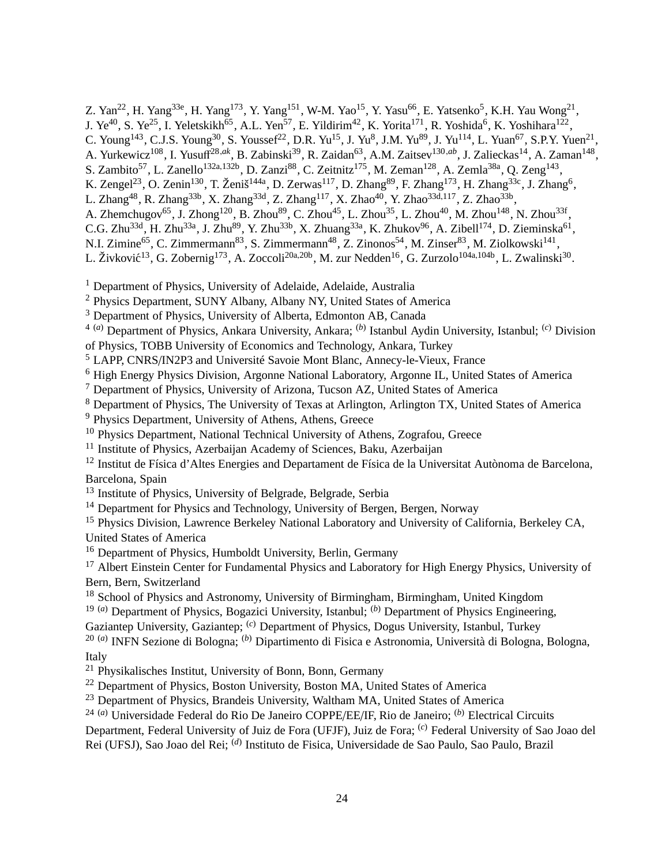Z. Yan<sup>22</sup>, H. Yang<sup>33e</sup>, H. Yang<sup>173</sup>, Y. Yang<sup>151</sup>, W-M. Yao<sup>15</sup>, Y. Yasu<sup>66</sup>, E. Yatsenko<sup>5</sup>, K.H. Yau Wong<sup>21</sup>,

J. Ye<sup>40</sup>, S. Ye<sup>25</sup>, I. Yeletskikh<sup>65</sup>, A.L. Yen<sup>57</sup>, E. Yildirim<sup>42</sup>, K. Yorita<sup>171</sup>, R. Yoshida<sup>6</sup>, K. Yoshihara<sup>122</sup>,

C. Young<sup>143</sup>, C.J.S. Young<sup>30</sup>, S. Youssef<sup>22</sup>, D.R. Yu<sup>15</sup>, J. Yu<sup>8</sup>, J.M. Yu<sup>89</sup>, J. Yu<sup>114</sup>, L. Yuan<sup>67</sup>, S.P.Y. Yuen<sup>21</sup>,

A. Yurkewicz<sup>108</sup>, I. Yusuff<sup>28,ak</sup>, B. Zabinski<sup>39</sup>, R. Zaidan<sup>63</sup>, A.M. Zaitsev<sup>130,ab</sup>, J. Zalieckas<sup>14</sup>, A. Zaman<sup>148</sup>,

S. Zambito<sup>57</sup>, L. Zanello<sup>132a,132b</sup>, D. Zanzi<sup>88</sup>, C. Zeitnitz<sup>175</sup>, M. Zeman<sup>128</sup>, A. Zemla<sup>38a</sup>, Q. Zeng<sup>143</sup>,

K. Zengel<sup>23</sup>, O. Zenin<sup>130</sup>, T. Ženiš<sup>144a</sup>, D. Zerwas<sup>117</sup>, D. Zhang<sup>89</sup>, F. Zhang<sup>173</sup>, H. Zhang<sup>33c</sup>, J. Zhang<sup>6</sup>,

L. Zhang<sup>48</sup>, R. Zhang<sup>33b</sup>, X. Zhang<sup>33d</sup>, Z. Zhang<sup>117</sup>, X. Zhao<sup>40</sup>, Y. Zhao<sup>33d,117</sup>, Z. Zhao<sup>33b</sup>,

A. Zhemchugov<sup>65</sup>, J. Zhong<sup>120</sup>, B. Zhou<sup>89</sup>, C. Zhou<sup>45</sup>, L. Zhou<sup>35</sup>, L. Zhou<sup>40</sup>, M. Zhou<sup>148</sup>, N. Zhou<sup>33f</sup>,

C.G. Zhu<sup>33d</sup>, H. Zhu<sup>33a</sup>, J. Zhu<sup>89</sup>, Y. Zhu<sup>33b</sup>, X. Zhuang<sup>33a</sup>, K. Zhukov<sup>96</sup>, A. Zibell<sup>174</sup>, D. Zieminska<sup>61</sup>,

N.I. Zimine<sup>65</sup>, C. Zimmermann<sup>83</sup>, S. Zimmermann<sup>48</sup>, Z. Zinonos<sup>54</sup>, M. Zinser<sup>83</sup>, M. Ziolkowski<sup>141</sup>,

L. Živković<sup>13</sup>, G. Zobernig<sup>173</sup>, A. Zoccoli<sup>20a,20b</sup>, M. zur Nedden<sup>16</sup>, G. Zurzolo<sup>104a,104b</sup>, L. Zwalinski<sup>30</sup>.

<sup>1</sup> Department of Physics, University of Adelaide, Adelaide, Australia

<sup>2</sup> Physics Department, SUNY Albany, Albany NY, United States of America

<sup>3</sup> Department of Physics, University of Alberta, Edmonton AB, Canada

4 (*a*) Department of Physics, Ankara University, Ankara; (*b*) Istanbul Aydin University, Istanbul; (*c*) Division of Physics, TOBB University of Economics and Technology, Ankara, Turkey

<sup>5</sup> LAPP, CNRS/IN2P3 and Université Savoie Mont Blanc, Annecy-le-Vieux, France

<sup>6</sup> High Energy Physics Division, Argonne National Laboratory, Argonne IL, United States of America

<sup>7</sup> Department of Physics, University of Arizona, Tucson AZ, United States of America

<sup>8</sup> Department of Physics, The University of Texas at Arlington, Arlington TX, United States of America

<sup>9</sup> Physics Department, University of Athens, Athens, Greece

<sup>10</sup> Physics Department, National Technical University of Athens, Zografou, Greece

<sup>11</sup> Institute of Physics, Azerbaijan Academy of Sciences, Baku, Azerbaijan

<sup>12</sup> Institut de Física d'Altes Energies and Departament de Física de la Universitat Autònoma de Barcelona, Barcelona, Spain

<sup>13</sup> Institute of Physics, University of Belgrade, Belgrade, Serbia

<sup>14</sup> Department for Physics and Technology, University of Bergen, Bergen, Norway

<sup>15</sup> Physics Division, Lawrence Berkeley National Laboratory and University of California, Berkeley CA. United States of America

<sup>16</sup> Department of Physics, Humboldt University, Berlin, Germany

<sup>17</sup> Albert Einstein Center for Fundamental Physics and Laboratory for High Energy Physics, University of Bern, Bern, Switzerland

<sup>18</sup> School of Physics and Astronomy, University of Birmingham, Birmingham, United Kingdom

19 (*a*) Department of Physics, Bogazici University, Istanbul; (*b*) Department of Physics Engineering,

Gaziantep University, Gaziantep; (*c*) Department of Physics, Dogus University, Istanbul, Turkey

20 (*a*) INFN Sezione di Bologna; (*b*) Dipartimento di Fisica e Astronomia, Università di Bologna, Bologna, Italy

<sup>21</sup> Physikalisches Institut, University of Bonn, Bonn, Germany

<sup>22</sup> Department of Physics, Boston University, Boston MA, United States of America

<sup>23</sup> Department of Physics, Brandeis University, Waltham MA, United States of America

24 (*a*) Universidade Federal do Rio De Janeiro COPPE/EE/IF, Rio de Janeiro; (*b*) Electrical Circuits

Department, Federal University of Juiz de Fora (UFJF), Juiz de Fora; (*c*) Federal University of Sao Joao del

Rei (UFSJ), Sao Joao del Rei; (*d*) Instituto de Fisica, Universidade de Sao Paulo, Sao Paulo, Brazil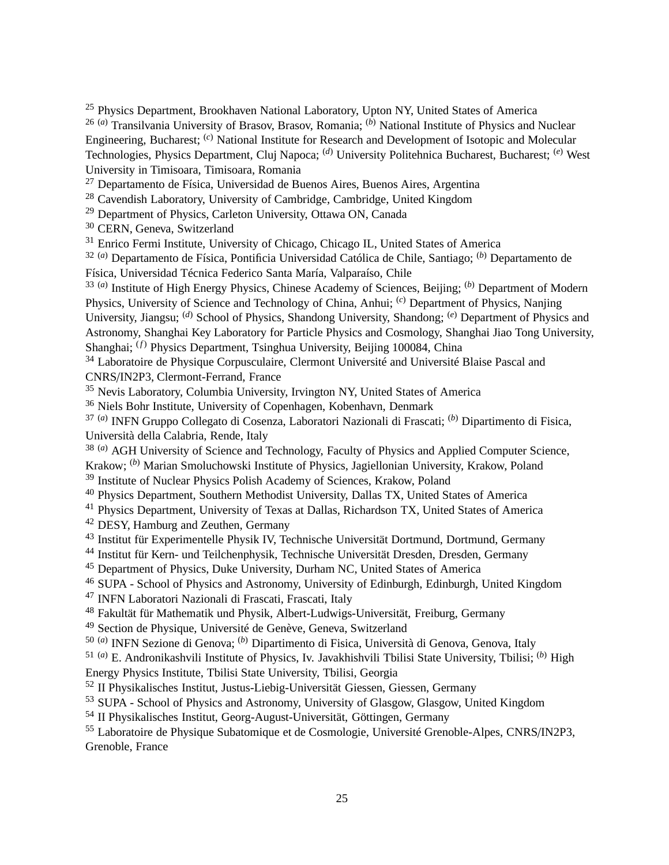<sup>25</sup> Physics Department, Brookhaven National Laboratory, Upton NY, United States of America 26 (*a*) Transilvania University of Brasov, Brasov, Romania; (*b*) National Institute of Physics and Nuclear Engineering, Bucharest; (*c*) National Institute for Research and Development of Isotopic and Molecular Technologies, Physics Department, Cluj Napoca; (*d*) University Politehnica Bucharest, Bucharest; (*e*) West University in Timisoara, Timisoara, Romania

<sup>27</sup> Departamento de Física, Universidad de Buenos Aires, Buenos Aires, Argentina

<sup>28</sup> Cavendish Laboratory, University of Cambridge, Cambridge, United Kingdom

<sup>29</sup> Department of Physics, Carleton University, Ottawa ON, Canada

<sup>30</sup> CERN, Geneva, Switzerland

<sup>31</sup> Enrico Fermi Institute, University of Chicago, Chicago IL, United States of America

32 (*a*) Departamento de Física, Pontificia Universidad Católica de Chile, Santiago; (*b*) Departamento de Física, Universidad Técnica Federico Santa María, Valparaíso, Chile

33 (*a*) Institute of High Energy Physics, Chinese Academy of Sciences, Beijing; (*b*) Department of Modern Physics, University of Science and Technology of China, Anhui; (*c*) Department of Physics, Nanjing University, Jiangsu; <sup>(d)</sup> School of Physics, Shandong University, Shandong; <sup>(e)</sup> Department of Physics and Astronomy, Shanghai Key Laboratory for Particle Physics and Cosmology, Shanghai Jiao Tong University, Shanghai; (*f*) Physics Department, Tsinghua University, Beijing 100084, China

<sup>34</sup> Laboratoire de Physique Corpusculaire, Clermont Université and Université Blaise Pascal and CNRS/IN2P3, Clermont-Ferrand, France

<sup>35</sup> Nevis Laboratory, Columbia University, Irvington NY, United States of America

<sup>36</sup> Niels Bohr Institute, University of Copenhagen, Kobenhavn, Denmark

37 (*a*) INFN Gruppo Collegato di Cosenza, Laboratori Nazionali di Frascati; (*b*) Dipartimento di Fisica, Università della Calabria, Rende, Italy

<sup>38 (a)</sup> AGH University of Science and Technology, Faculty of Physics and Applied Computer Science, Krakow; (*b*) Marian Smoluchowski Institute of Physics, Jagiellonian University, Krakow, Poland

<sup>39</sup> Institute of Nuclear Physics Polish Academy of Sciences, Krakow, Poland

<sup>40</sup> Physics Department, Southern Methodist University, Dallas TX, United States of America

<sup>41</sup> Physics Department, University of Texas at Dallas, Richardson TX, United States of America

<sup>42</sup> DESY, Hamburg and Zeuthen, Germany

<sup>43</sup> Institut für Experimentelle Physik IV, Technische Universität Dortmund, Dortmund, Germany

<sup>44</sup> Institut für Kern- und Teilchenphysik, Technische Universität Dresden, Dresden, Germany

<sup>45</sup> Department of Physics, Duke University, Durham NC, United States of America

<sup>46</sup> SUPA - School of Physics and Astronomy, University of Edinburgh, Edinburgh, United Kingdom

<sup>47</sup> INFN Laboratori Nazionali di Frascati, Frascati, Italy

<sup>48</sup> Fakultät für Mathematik und Physik, Albert-Ludwigs-Universität, Freiburg, Germany

<sup>49</sup> Section de Physique, Université de Genève, Geneva, Switzerland

50 (*a*) INFN Sezione di Genova; (*b*) Dipartimento di Fisica, Università di Genova, Genova, Italy

51 (*a*) E. Andronikashvili Institute of Physics, Iv. Javakhishvili Tbilisi State University, Tbilisi; (*b*) High Energy Physics Institute, Tbilisi State University, Tbilisi, Georgia

<sup>52</sup> II Physikalisches Institut, Justus-Liebig-Universität Giessen, Giessen, Germany

<sup>53</sup> SUPA - School of Physics and Astronomy, University of Glasgow, Glasgow, United Kingdom

<sup>54</sup> II Physikalisches Institut, Georg-August-Universität, Göttingen, Germany

<sup>55</sup> Laboratoire de Physique Subatomique et de Cosmologie, Université Grenoble-Alpes, CNRS/IN2P3, Grenoble, France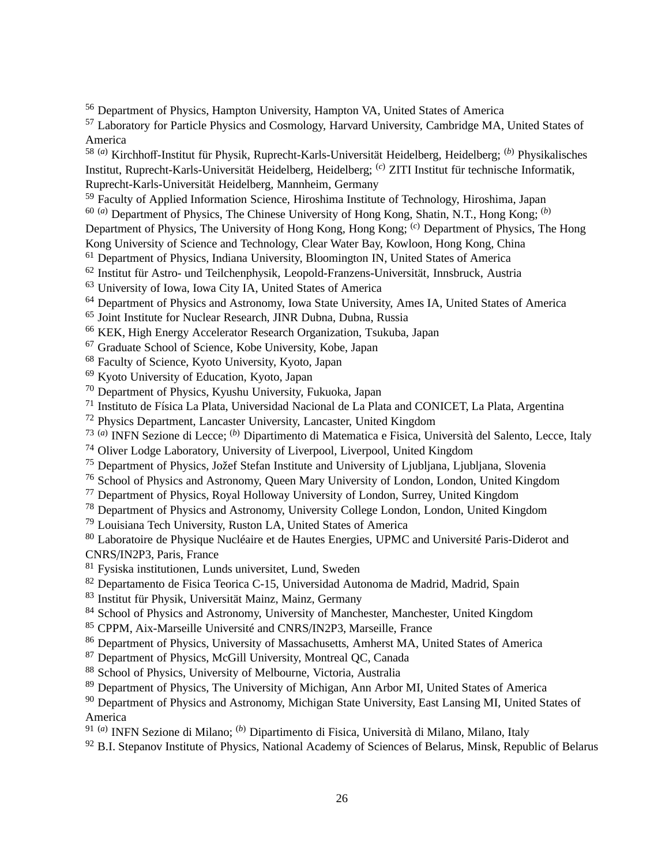Department of Physics, Hampton University, Hampton VA, United States of America

 Laboratory for Particle Physics and Cosmology, Harvard University, Cambridge MA, United States of America

58 (*a*) Kirchhoff-Institut für Physik, Ruprecht-Karls-Universität Heidelberg, Heidelberg; (*b*) Physikalisches Institut, Ruprecht-Karls-Universität Heidelberg, Heidelberg; (*c*) ZITI Institut für technische Informatik, Ruprecht-Karls-Universität Heidelberg, Mannheim, Germany

Faculty of Applied Information Science, Hiroshima Institute of Technology, Hiroshima, Japan

60 (*a*) Department of Physics, The Chinese University of Hong Kong, Shatin, N.T., Hong Kong; (*b*)

Department of Physics, The University of Hong Kong, Hong Kong; (*c*) Department of Physics, The Hong

Kong University of Science and Technology, Clear Water Bay, Kowloon, Hong Kong, China

<sup>61</sup> Department of Physics, Indiana University, Bloomington IN, United States of America

Institut für Astro- und Teilchenphysik, Leopold-Franzens-Universität, Innsbruck, Austria

University of Iowa, Iowa City IA, United States of America

Department of Physics and Astronomy, Iowa State University, Ames IA, United States of America

Joint Institute for Nuclear Research, JINR Dubna, Dubna, Russia

KEK, High Energy Accelerator Research Organization, Tsukuba, Japan

Graduate School of Science, Kobe University, Kobe, Japan

Faculty of Science, Kyoto University, Kyoto, Japan

Kyoto University of Education, Kyoto, Japan

Department of Physics, Kyushu University, Fukuoka, Japan

Instituto de Física La Plata, Universidad Nacional de La Plata and CONICET, La Plata, Argentina

Physics Department, Lancaster University, Lancaster, United Kingdom

73 (*a*) INFN Sezione di Lecce; (*b*) Dipartimento di Matematica e Fisica, Università del Salento, Lecce, Italy

Oliver Lodge Laboratory, University of Liverpool, Liverpool, United Kingdom

Department of Physics, Jožef Stefan Institute and University of Ljubljana, Ljubljana, Slovenia

<sup>76</sup> School of Physics and Astronomy, Queen Mary University of London, London, United Kingdom

Department of Physics, Royal Holloway University of London, Surrey, United Kingdom

Department of Physics and Astronomy, University College London, London, United Kingdom

Louisiana Tech University, Ruston LA, United States of America

 Laboratoire de Physique Nucléaire et de Hautes Energies, UPMC and Université Paris-Diderot and CNRS/IN2P3, Paris, France

Fysiska institutionen, Lunds universitet, Lund, Sweden

Departamento de Fisica Teorica C-15, Universidad Autonoma de Madrid, Madrid, Spain

Institut für Physik, Universität Mainz, Mainz, Germany

84 School of Physics and Astronomy, University of Manchester, Manchester, United Kingdom

CPPM, Aix-Marseille Université and CNRS/IN2P3, Marseille, France

Department of Physics, University of Massachusetts, Amherst MA, United States of America

Department of Physics, McGill University, Montreal QC, Canada

School of Physics, University of Melbourne, Victoria, Australia

<sup>89</sup> Department of Physics, The University of Michigan, Ann Arbor MI, United States of America

<sup>90</sup> Department of Physics and Astronomy, Michigan State University, East Lansing MI, United States of America

91 (*a*) INFN Sezione di Milano; (*b*) Dipartimento di Fisica, Università di Milano, Milano, Italy

B.I. Stepanov Institute of Physics, National Academy of Sciences of Belarus, Minsk, Republic of Belarus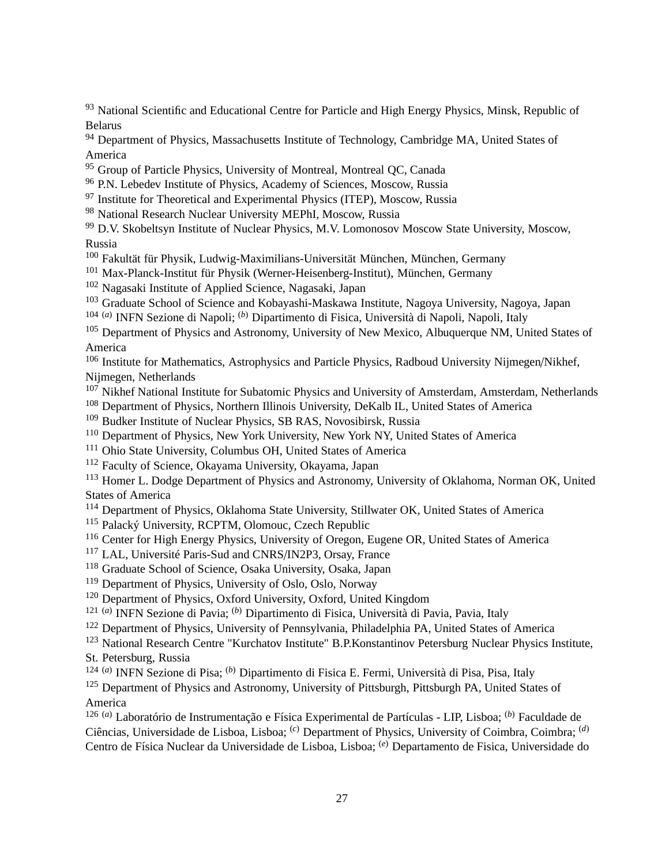<sup>93</sup> National Scientific and Educational Centre for Particle and High Energy Physics, Minsk, Republic of Belarus

<sup>94</sup> Department of Physics, Massachusetts Institute of Technology, Cambridge MA, United States of America

- <sup>95</sup> Group of Particle Physics, University of Montreal, Montreal QC, Canada
- <sup>96</sup> P.N. Lebedev Institute of Physics, Academy of Sciences, Moscow, Russia
- $97$  Institute for Theoretical and Experimental Physics (ITEP), Moscow, Russia
- <sup>98</sup> National Research Nuclear University MEPhI, Moscow, Russia
- <sup>99</sup> D.V. Skobeltsyn Institute of Nuclear Physics, M.V. Lomonosov Moscow State University, Moscow, Russia
- <sup>100</sup> Fakultät für Physik, Ludwig-Maximilians-Universität München, München, Germany
- <sup>101</sup> Max-Planck-Institut für Physik (Werner-Heisenberg-Institut), München, Germany
- <sup>102</sup> Nagasaki Institute of Applied Science, Nagasaki, Japan
- <sup>103</sup> Graduate School of Science and Kobayashi-Maskawa Institute, Nagoya University, Nagoya, Japan
- 104 (*a*) INFN Sezione di Napoli; (*b*) Dipartimento di Fisica, Università di Napoli, Napoli, Italy
- <sup>105</sup> Department of Physics and Astronomy, University of New Mexico, Albuquerque NM, United States of America

<sup>106</sup> Institute for Mathematics, Astrophysics and Particle Physics, Radboud University Nijmegen/Nikhef, Nijmegen, Netherlands

- <sup>107</sup> Nikhef National Institute for Subatomic Physics and University of Amsterdam, Amsterdam, Netherlands
- <sup>108</sup> Department of Physics, Northern Illinois University, DeKalb IL, United States of America
- <sup>109</sup> Budker Institute of Nuclear Physics, SB RAS, Novosibirsk, Russia
- <sup>110</sup> Department of Physics, New York University, New York NY, United States of America
- <sup>111</sup> Ohio State University, Columbus OH, United States of America
- <sup>112</sup> Faculty of Science, Okayama University, Okayama, Japan

<sup>113</sup> Homer L. Dodge Department of Physics and Astronomy, University of Oklahoma, Norman OK, United States of America

- <sup>114</sup> Department of Physics, Oklahoma State University, Stillwater OK, United States of America
- <sup>115</sup> Palacký University, RCPTM, Olomouc, Czech Republic
- <sup>116</sup> Center for High Energy Physics, University of Oregon, Eugene OR, United States of America
- <sup>117</sup> LAL, Université Paris-Sud and CNRS/IN2P3, Orsay, France
- <sup>118</sup> Graduate School of Science, Osaka University, Osaka, Japan
- <sup>119</sup> Department of Physics, University of Oslo, Oslo, Norway
- <sup>120</sup> Department of Physics, Oxford University, Oxford, United Kingdom
- 121 (*a*) INFN Sezione di Pavia; (*b*) Dipartimento di Fisica, Università di Pavia, Pavia, Italy
- <sup>122</sup> Department of Physics, University of Pennsylvania, Philadelphia PA, United States of America

<sup>123</sup> National Research Centre "Kurchatov Institute" B.P.Konstantinov Petersburg Nuclear Physics Institute, St. Petersburg, Russia

124 (*a*) INFN Sezione di Pisa; (*b*) Dipartimento di Fisica E. Fermi, Università di Pisa, Pisa, Italy

<sup>125</sup> Department of Physics and Astronomy, University of Pittsburgh, Pittsburgh PA, United States of America

126 (*a*) Laboratório de Instrumentação e Física Experimental de Partículas - LIP, Lisboa; (*b*) Faculdade de Ciências, Universidade de Lisboa, Lisboa; (*c*) Department of Physics, University of Coimbra, Coimbra; (*d*) Centro de Física Nuclear da Universidade de Lisboa, Lisboa; (*e*) Departamento de Fisica, Universidade do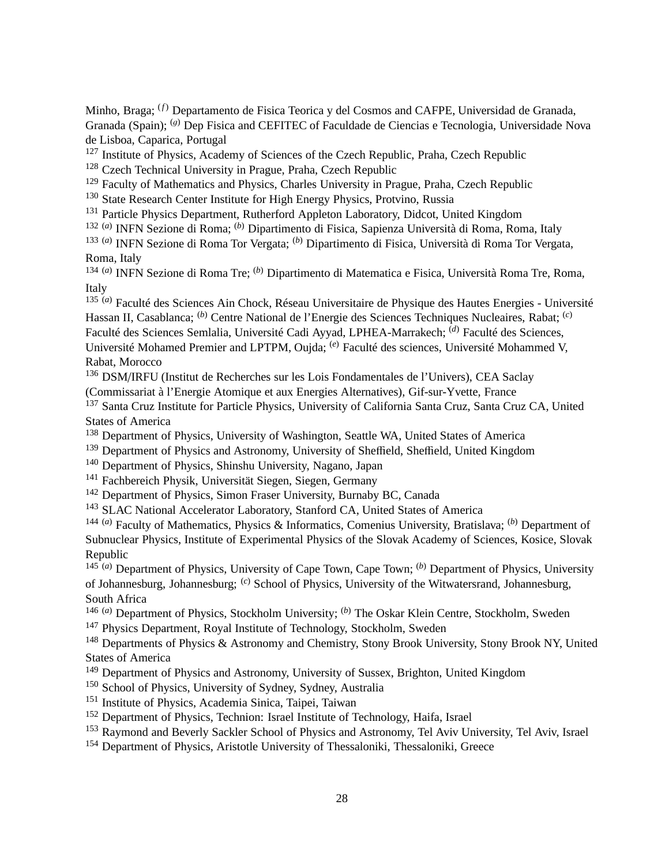Minho, Braga; (*f*) Departamento de Fisica Teorica y del Cosmos and CAFPE, Universidad de Granada, Granada (Spain); <sup>(g)</sup> Dep Fisica and CEFITEC of Faculdade de Ciencias e Tecnologia, Universidade Nova de Lisboa, Caparica, Portugal

 $127$  Institute of Physics, Academy of Sciences of the Czech Republic, Praha, Czech Republic

<sup>128</sup> Czech Technical University in Prague, Praha, Czech Republic

<sup>129</sup> Faculty of Mathematics and Physics, Charles University in Prague, Praha, Czech Republic

<sup>130</sup> State Research Center Institute for High Energy Physics, Protvino, Russia

<sup>131</sup> Particle Physics Department, Rutherford Appleton Laboratory, Didcot, United Kingdom

132 (*a*) INFN Sezione di Roma; (*b*) Dipartimento di Fisica, Sapienza Università di Roma, Roma, Italy

133 (*a*) INFN Sezione di Roma Tor Vergata; (*b*) Dipartimento di Fisica, Università di Roma Tor Vergata, Roma, Italy

134 (*a*) INFN Sezione di Roma Tre; (*b*) Dipartimento di Matematica e Fisica, Università Roma Tre, Roma, Italy

135 (*a*) Faculté des Sciences Ain Chock, Réseau Universitaire de Physique des Hautes Energies - Université Hassan II, Casablanca; (*b*) Centre National de l'Energie des Sciences Techniques Nucleaires, Rabat; (*c*) Faculté des Sciences Semlalia, Université Cadi Ayyad, LPHEA-Marrakech; (*d*) Faculté des Sciences, Université Mohamed Premier and LPTPM, Oujda; <sup>(e)</sup> Faculté des sciences, Université Mohammed V, Rabat, Morocco

<sup>136</sup> DSM/IRFU (Institut de Recherches sur les Lois Fondamentales de l'Univers), CEA Saclay (Commissariat à l'Energie Atomique et aux Energies Alternatives), Gif-sur-Yvette, France

<sup>137</sup> Santa Cruz Institute for Particle Physics, University of California Santa Cruz, Santa Cruz CA, United States of America

<sup>138</sup> Department of Physics, University of Washington, Seattle WA, United States of America

<sup>139</sup> Department of Physics and Astronomy, University of Sheffield, Sheffield, United Kingdom

<sup>140</sup> Department of Physics, Shinshu University, Nagano, Japan

<sup>141</sup> Fachbereich Physik, Universität Siegen, Siegen, Germany

<sup>142</sup> Department of Physics, Simon Fraser University, Burnaby BC, Canada

<sup>143</sup> SLAC National Accelerator Laboratory, Stanford CA, United States of America

144 (*a*) Faculty of Mathematics, Physics & Informatics, Comenius University, Bratislava; (*b*) Department of Subnuclear Physics, Institute of Experimental Physics of the Slovak Academy of Sciences, Kosice, Slovak Republic

145 (*a*) Department of Physics, University of Cape Town, Cape Town; (*b*) Department of Physics, University of Johannesburg, Johannesburg; (*c*) School of Physics, University of the Witwatersrand, Johannesburg, South Africa

146 (*a*) Department of Physics, Stockholm University; (*b*) The Oskar Klein Centre, Stockholm, Sweden <sup>147</sup> Physics Department, Royal Institute of Technology, Stockholm, Sweden

<sup>148</sup> Departments of Physics & Astronomy and Chemistry, Stony Brook University, Stony Brook NY, United States of America

- <sup>149</sup> Department of Physics and Astronomy, University of Sussex, Brighton, United Kingdom
- <sup>150</sup> School of Physics, University of Sydney, Sydney, Australia

<sup>151</sup> Institute of Physics, Academia Sinica, Taipei, Taiwan

- <sup>152</sup> Department of Physics, Technion: Israel Institute of Technology, Haifa, Israel
- <sup>153</sup> Raymond and Beverly Sackler School of Physics and Astronomy, Tel Aviv University, Tel Aviv, Israel

<sup>154</sup> Department of Physics, Aristotle University of Thessaloniki, Thessaloniki, Greece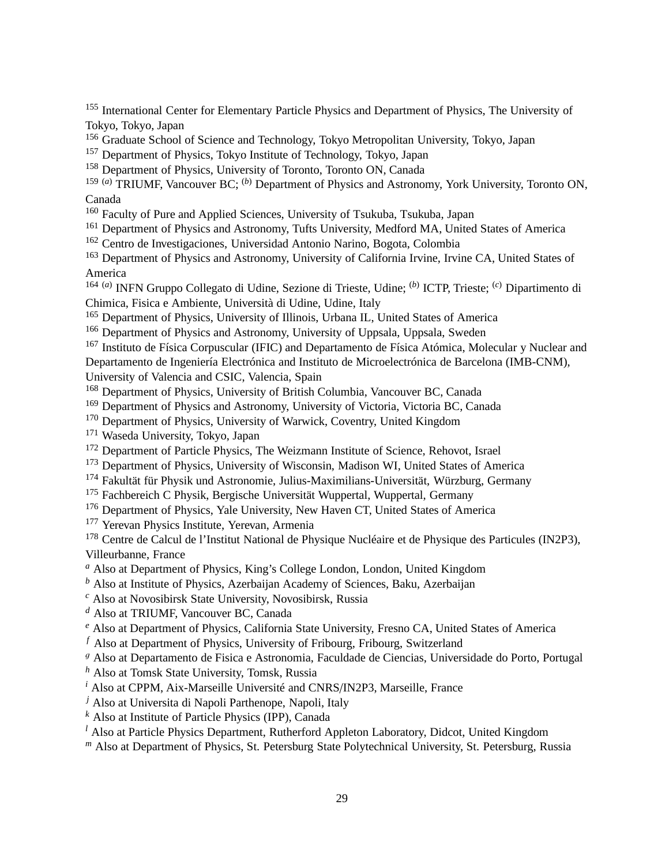<sup>155</sup> International Center for Elementary Particle Physics and Department of Physics, The University of Tokyo, Tokyo, Japan

- <sup>156</sup> Graduate School of Science and Technology, Tokyo Metropolitan University, Tokyo, Japan
- <sup>157</sup> Department of Physics, Tokyo Institute of Technology, Tokyo, Japan
- <sup>158</sup> Department of Physics, University of Toronto, Toronto ON, Canada

159 (*a*) TRIUMF, Vancouver BC; (*b*) Department of Physics and Astronomy, York University, Toronto ON, Canada

- <sup>160</sup> Faculty of Pure and Applied Sciences, University of Tsukuba, Tsukuba, Japan
- <sup>161</sup> Department of Physics and Astronomy, Tufts University, Medford MA, United States of America
- <sup>162</sup> Centro de Investigaciones, Universidad Antonio Narino, Bogota, Colombia
- <sup>163</sup> Department of Physics and Astronomy, University of California Irvine, Irvine CA, United States of America

164 (*a*) INFN Gruppo Collegato di Udine, Sezione di Trieste, Udine; (*b*) ICTP, Trieste; (*c*) Dipartimento di Chimica, Fisica e Ambiente, Università di Udine, Udine, Italy

- <sup>165</sup> Department of Physics, University of Illinois, Urbana IL, United States of America
- <sup>166</sup> Department of Physics and Astronomy, University of Uppsala, Uppsala, Sweden

<sup>167</sup> Instituto de Física Corpuscular (IFIC) and Departamento de Física Atómica, Molecular y Nuclear and Departamento de Ingeniería Electrónica and Instituto de Microelectrónica de Barcelona (IMB-CNM), University of Valencia and CSIC, Valencia, Spain

<sup>168</sup> Department of Physics, University of British Columbia, Vancouver BC, Canada

- <sup>169</sup> Department of Physics and Astronomy, University of Victoria, Victoria BC, Canada
- <sup>170</sup> Department of Physics, University of Warwick, Coventry, United Kingdom

<sup>171</sup> Waseda University, Tokyo, Japan

- <sup>172</sup> Department of Particle Physics, The Weizmann Institute of Science, Rehovot, Israel
- <sup>173</sup> Department of Physics, University of Wisconsin, Madison WI, United States of America
- <sup>174</sup> Fakultät für Physik und Astronomie, Julius-Maximilians-Universität, Würzburg, Germany
- <sup>175</sup> Fachbereich C Physik, Bergische Universität Wuppertal, Wuppertal, Germany
- <sup>176</sup> Department of Physics, Yale University, New Haven CT, United States of America

<sup>177</sup> Yerevan Physics Institute, Yerevan, Armenia

<sup>178</sup> Centre de Calcul de l'Institut National de Physique Nucléaire et de Physique des Particules (IN2P3), Villeurbanne, France

- *<sup>a</sup>* Also at Department of Physics, King's College London, London, United Kingdom
- *<sup>b</sup>* Also at Institute of Physics, Azerbaijan Academy of Sciences, Baku, Azerbaijan

*<sup>c</sup>* Also at Novosibirsk State University, Novosibirsk, Russia

*<sup>d</sup>* Also at TRIUMF, Vancouver BC, Canada

*<sup>e</sup>* Also at Department of Physics, California State University, Fresno CA, United States of America

*<sup>f</sup>* Also at Department of Physics, University of Fribourg, Fribourg, Switzerland

<sup>g</sup> Also at Departamento de Fisica e Astronomia, Faculdade de Ciencias, Universidade do Porto, Portugal

*<sup>h</sup>* Also at Tomsk State University, Tomsk, Russia

*<sup>i</sup>* Also at CPPM, Aix-Marseille Université and CNRS/IN2P3, Marseille, France

*<sup>j</sup>* Also at Universita di Napoli Parthenope, Napoli, Italy

*<sup>k</sup>* Also at Institute of Particle Physics (IPP), Canada

*<sup>l</sup>* Also at Particle Physics Department, Rutherford Appleton Laboratory, Didcot, United Kingdom

*<sup>m</sup>* Also at Department of Physics, St. Petersburg State Polytechnical University, St. Petersburg, Russia